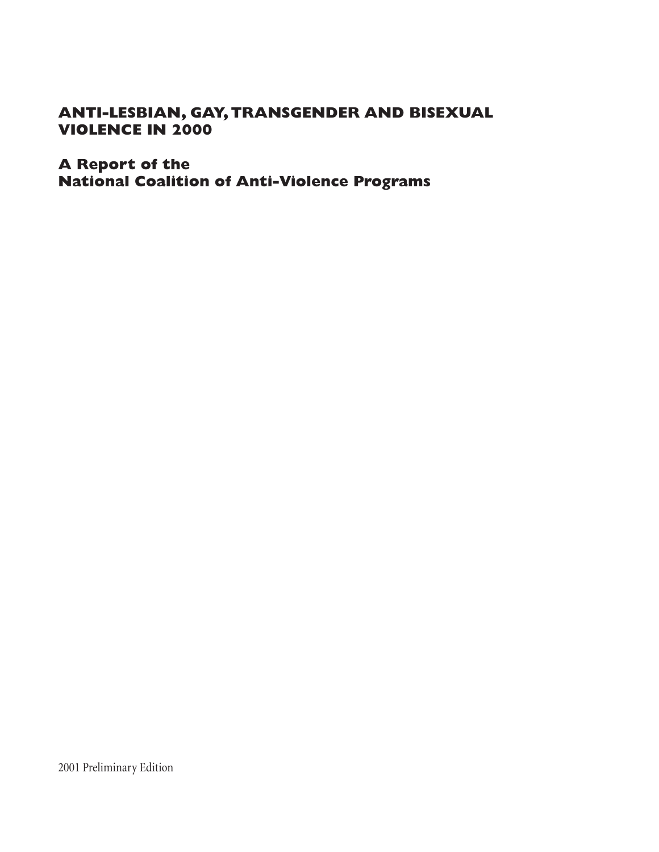# **ANTI-LESBIAN, GAY, TRANSGENDER AND BISEXUAL VIOLENCE IN 2000**

# **A Report of the National Coalition of Anti-Violence Programs**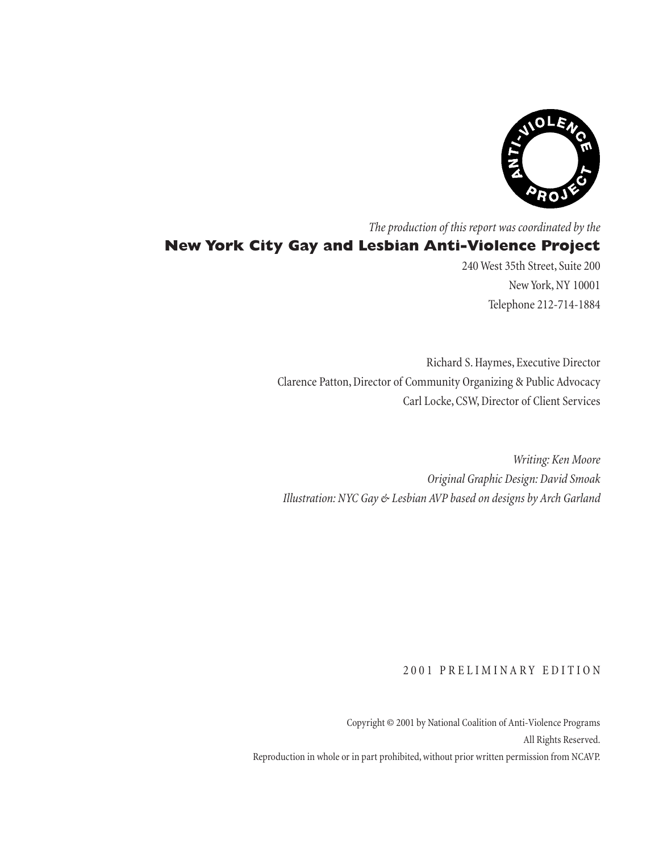

*The production of this report was coordinated by the* **New York City Gay and Lesbian Anti-Violence Project**

240 West 35th Street, Suite 200 New York, NY 10001 Telephone 212-714-1884

Richard S. Haymes, Executive Director Clarence Patton, Director of Community Organizing & Public Advocacy Carl Locke, CSW, Director of Client Services

*Writing: Ken Moore Original Graphic Design: David Smoak Illustration: NYC Gay & Lesbian AVP based on designs by Arch Garland*

## 2001 PRELIMINARY EDITION

Copyright © 2001 by National Coalition of Anti-Violence Programs All Rights Reserved. Reproduction in whole or in part prohibited, without prior written permission from NCAVP.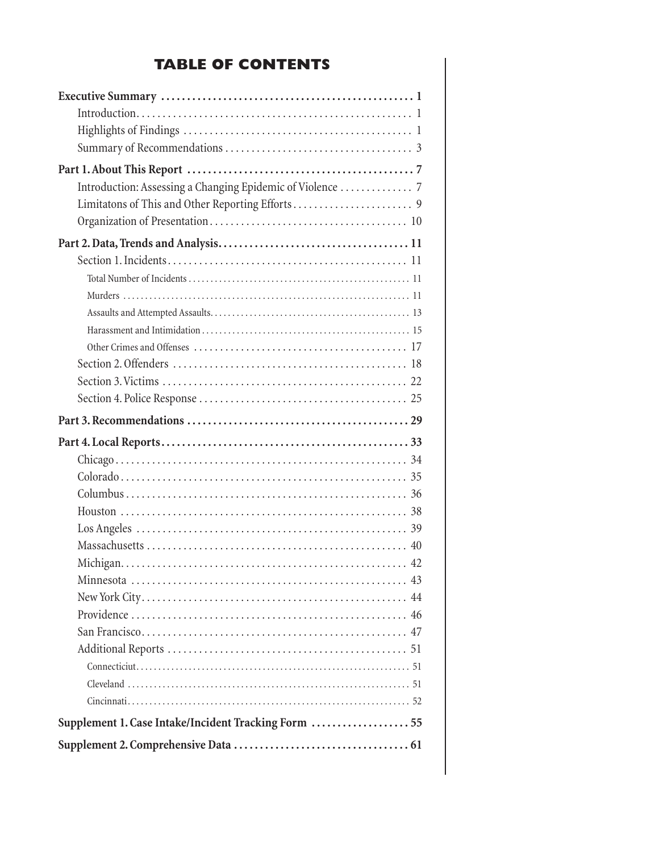# **TABLE OF CONTENTS**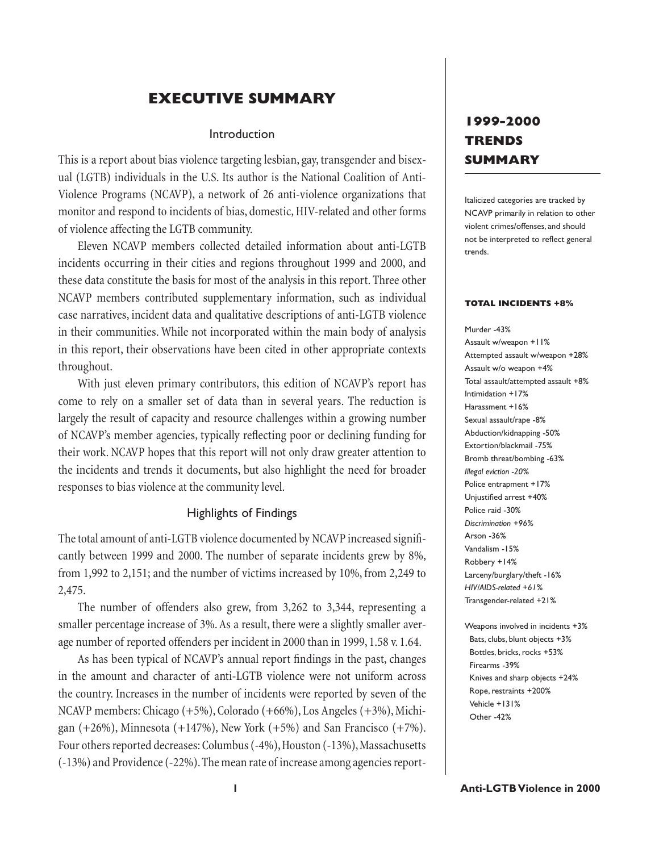# **EXECUTIVE SUMMARY**

### Introduction

This is a report about bias violence targeting lesbian, gay, transgender and bisexual (LGTB) individuals in the U.S. Its author is the National Coalition of Anti-Violence Programs (NCAVP), a network of 26 anti-violence organizations that monitor and respond to incidents of bias, domestic, HIV-related and other forms of violence affecting the LGTB community.

Eleven NCAVP members collected detailed information about anti-LGTB incidents occurring in their cities and regions throughout 1999 and 2000, and these data constitute the basis for most of the analysis in this report. Three other NCAVP members contributed supplementary information, such as individual case narratives, incident data and qualitative descriptions of anti-LGTB violence in their communities. While not incorporated within the main body of analysis in this report, their observations have been cited in other appropriate contexts throughout.

With just eleven primary contributors, this edition of NCAVP's report has come to rely on a smaller set of data than in several years. The reduction is largely the result of capacity and resource challenges within a growing number of NCAVP's member agencies, typically reflecting poor or declining funding for their work. NCAVP hopes that this report will not only draw greater attention to the incidents and trends it documents, but also highlight the need for broader responses to bias violence at the community level.

### Highlights of Findings

The total amount of anti-LGTB violence documented by NCAVP increased significantly between 1999 and 2000. The number of separate incidents grew by 8%, from 1,992 to 2,151; and the number of victims increased by 10%, from 2,249 to 2,475.

The number of offenders also grew, from 3,262 to 3,344, representing a smaller percentage increase of 3%. As a result, there were a slightly smaller average number of reported offenders per incident in 2000 than in 1999, 1.58 v. 1.64.

As has been typical of NCAVP's annual report findings in the past, changes in the amount and character of anti-LGTB violence were not uniform across the country. Increases in the number of incidents were reported by seven of the NCAVP members: Chicago (+5%), Colorado (+66%), Los Angeles (+3%), Michigan  $(+26%)$ , Minnesota  $(+147%)$ , New York  $(+5%)$  and San Francisco  $(+7%)$ . Four others reported decreases: Columbus (-4%), Houston (-13%), Massachusetts (-13%) and Providence (-22%). The mean rate of increase among agencies report-

# **1999-2000 TRENDS SUMMARY**

Italicized categories are tracked by NCAVP primarily in relation to other violent crimes/offenses, and should not be interpreted to reflect general trends.

#### **TOTAL INCIDENTS +8%**

Murder -43% Assault w/weapon +11% Attempted assault w/weapon +28% Assault w/o weapon +4% Total assault/attempted assault +8% Intimidation +17% Harassment +16% Sexual assault/rape -8% Abduction/kidnapping -50% Extortion/blackmail -75% Bromb threat/bombing -63% *Illegal eviction -20%* Police entrapment +17% Unjustified arrest +40% Police raid -30% *Discrimination +96%* Arson -36% Vandalism -15% Robbery +14% Larceny/burglary/theft -16% *HIV/AIDS-related +61%* Transgender-related +21%

Weapons involved in incidents +3% Bats, clubs, blunt objects +3% Bottles, bricks, rocks +53% Firearms -39% Knives and sharp objects +24% Rope, restraints +200% Vehicle +131% Other -42%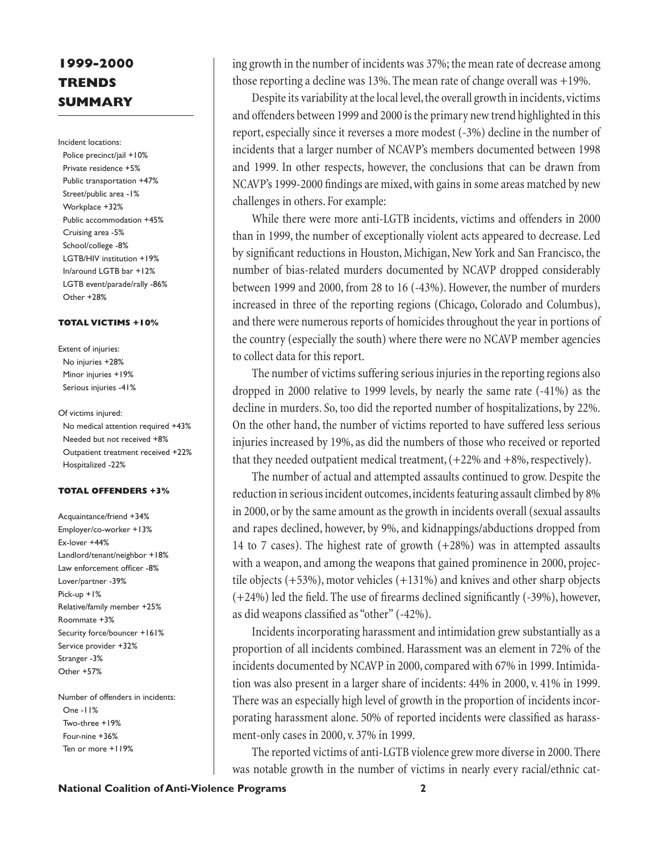# **1999-2000 TRENDS SUMMARY**

Incident locations:

Police precinct/jail +10% Private residence +5% Public transportation +47% Street/public area -1% Workplace +32% Public accommodation +45% Cruising area -5% School/college -8% LGTB/HIV institution +19% In/around LGTB bar +12% LGTB event/parade/rally -86% Other +28%

#### **TOTAL VICTIMS +10%**

Extent of injuries: No injuries +28% Minor injuries +19% Serious injuries -41%

Of victims injured: No medical attention required +43% Needed but not received +8% Outpatient treatment received +22% Hospitalized -22%

### **TOTAL OFFENDERS +3%**

Acquaintance/friend +34% Employer/co-worker +13% Ex-lover +44% Landlord/tenant/neighbor +18% Law enforcement officer -8% Lover/partner -39% Pick-up +1% Relative/family member +25% Roommate +3% Security force/bouncer +161% Service provider +32% Stranger -3% Other +57%

Number of offenders in incidents: One -11% Two-three +19% Four-nine +36% Ten or more +119%

ing growth in the number of incidents was 37%; the mean rate of decrease among those reporting a decline was 13%. The mean rate of change overall was +19%.

Despite its variability at the local level, the overall growth in incidents, victims and offenders between 1999 and 2000 is the primary new trend highlighted in this report, especially since it reverses a more modest (-3%) decline in the number of incidents that a larger number of NCAVP's members documented between 1998 and 1999. In other respects, however, the conclusions that can be drawn from NCAVP's 1999-2000 findings are mixed, with gains in some areas matched by new challenges in others. For example:

While there were more anti-LGTB incidents, victims and offenders in 2000 than in 1999, the number of exceptionally violent acts appeared to decrease. Led by significant reductions in Houston, Michigan, New York and San Francisco, the number of bias-related murders documented by NCAVP dropped considerably between 1999 and 2000, from 28 to 16 (-43%). However, the number of murders increased in three of the reporting regions (Chicago, Colorado and Columbus), and there were numerous reports of homicides throughout the year in portions of the country (especially the south) where there were no NCAVP member agencies to collect data for this report.

The number of victims suffering serious injuries in the reporting regions also dropped in 2000 relative to 1999 levels, by nearly the same rate (-41%) as the decline in murders. So, too did the reported number of hospitalizations, by 22%. On the other hand, the number of victims reported to have suffered less serious injuries increased by 19%, as did the numbers of those who received or reported that they needed outpatient medical treatment,  $(+22\%$  and  $+8\%$ , respectively).

The number of actual and attempted assaults continued to grow. Despite the reduction in serious incident outcomes, incidents featuring assault climbed by 8% in 2000, or by the same amount as the growth in incidents overall (sexual assaults and rapes declined, however, by 9%, and kidnappings/abductions dropped from 14 to 7 cases). The highest rate of growth (+28%) was in attempted assaults with a weapon, and among the weapons that gained prominence in 2000, projectile objects (+53%), motor vehicles (+131%) and knives and other sharp objects  $(+24%)$  led the field. The use of firearms declined significantly  $(-39%)$ , however, as did weapons classified as "other" (-42%).

Incidents incorporating harassment and intimidation grew substantially as a proportion of all incidents combined. Harassment was an element in 72% of the incidents documented by NCAVP in 2000, compared with 67% in 1999. Intimidation was also present in a larger share of incidents: 44% in 2000, v. 41% in 1999. There was an especially high level of growth in the proportion of incidents incorporating harassment alone. 50% of reported incidents were classified as harassment-only cases in 2000, v. 37% in 1999.

The reported victims of anti-LGTB violence grew more diverse in 2000. There was notable growth in the number of victims in nearly every racial/ethnic cat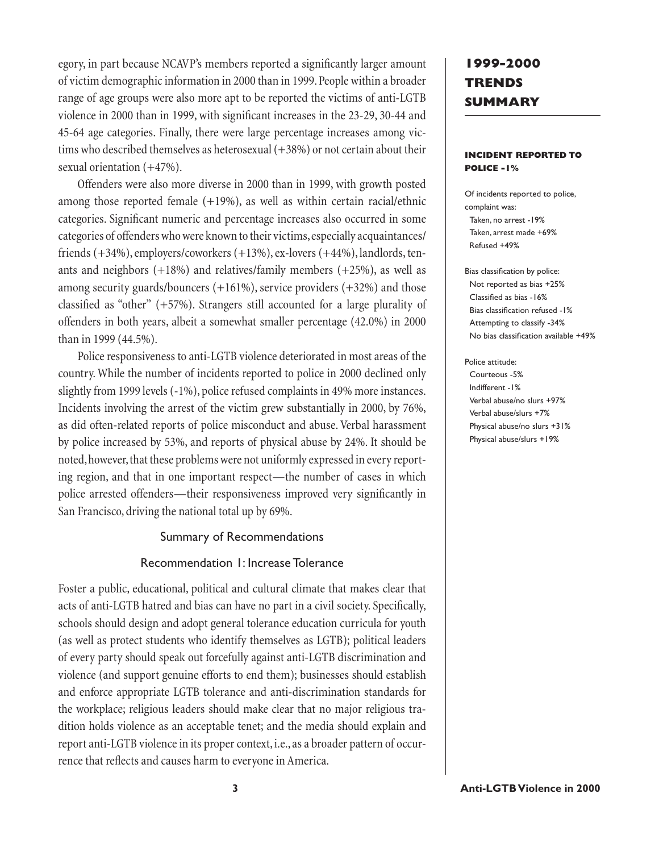egory, in part because NCAVP's members reported a significantly larger amount of victim demographic information in 2000 than in 1999. People within a broader range of age groups were also more apt to be reported the victims of anti-LGTB violence in 2000 than in 1999, with significant increases in the 23-29, 30-44 and 45-64 age categories. Finally, there were large percentage increases among victims who described themselves as heterosexual (+38%) or not certain about their sexual orientation (+47%).

Offenders were also more diverse in 2000 than in 1999, with growth posted among those reported female  $(+19%)$ , as well as within certain racial/ethnic categories. Significant numeric and percentage increases also occurred in some categories of offenders who were known to their victims, especially acquaintances/ friends (+34%), employers/coworkers (+13%), ex-lovers (+44%), landlords, tenants and neighbors  $(+18%)$  and relatives/family members  $(+25%)$ , as well as among security guards/bouncers  $(+161\%)$ , service providers  $(+32\%)$  and those classified as "other"  $(+57%)$ . Strangers still accounted for a large plurality of offenders in both years, albeit a somewhat smaller percentage (42.0%) in 2000 than in 1999 (44.5%).

Police responsiveness to anti-LGTB violence deteriorated in most areas of the country. While the number of incidents reported to police in 2000 declined only slightly from 1999 levels (-1%), police refused complaints in 49% more instances. Incidents involving the arrest of the victim grew substantially in 2000, by 76%, as did often-related reports of police misconduct and abuse. Verbal harassment by police increased by 53%, and reports of physical abuse by 24%. It should be noted, however, that these problems were not uniformly expressed in every reporting region, and that in one important respect—the number of cases in which police arrested offenders—their responsiveness improved very significantly in San Francisco, driving the national total up by 69%.

### Summary of Recommendations

## Recommendation 1: Increase Tolerance

Foster a public, educational, political and cultural climate that makes clear that acts of anti-LGTB hatred and bias can have no part in a civil society. Specifically, schools should design and adopt general tolerance education curricula for youth (as well as protect students who identify themselves as LGTB); political leaders of every party should speak out forcefully against anti-LGTB discrimination and violence (and support genuine efforts to end them); businesses should establish and enforce appropriate LGTB tolerance and anti-discrimination standards for the workplace; religious leaders should make clear that no major religious tradition holds violence as an acceptable tenet; and the media should explain and report anti-LGTB violence in its proper context, i.e., as a broader pattern of occurrence that reflects and causes harm to everyone in America.

# **1999-2000 TRENDS SUMMARY**

### **INCIDENT REPORTED TO POLICE -1%**

Of incidents reported to police, complaint was: Taken, no arrest -19% Taken, arrest made +69% Refused +49%

Bias classification by police: Not reported as bias +25% Classified as bias -16% Bias classification refused -1% Attempting to classify -34% No bias classification available +49%

Police attitude: Courteous -5% Indifferent -1% Verbal abuse/no slurs +97% Verbal abuse/slurs +7% Physical abuse/no slurs +31% Physical abuse/slurs +19%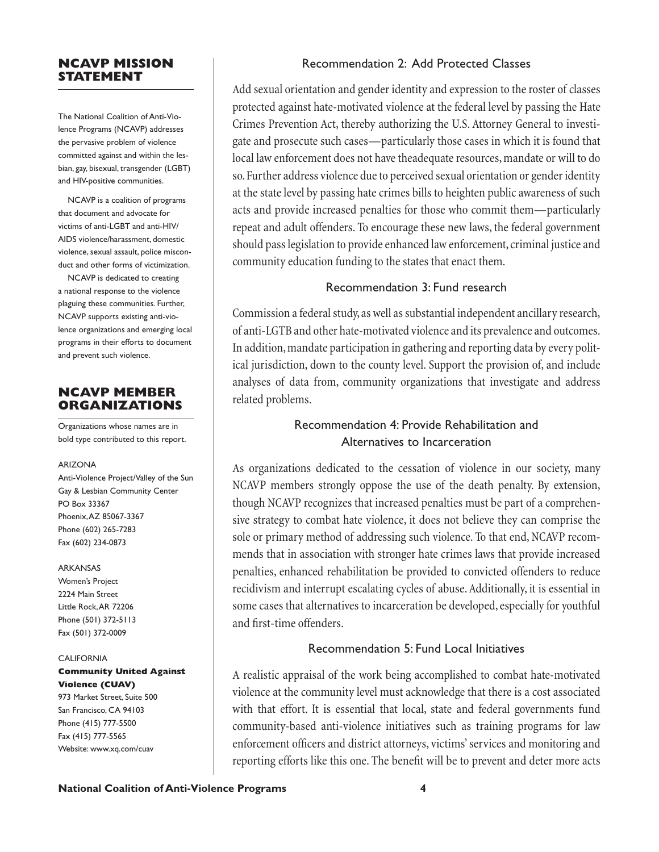## **NCAVP MISSION STATEMENT**

The National Coalition of Anti-Violence Programs (NCAVP) addresses the pervasive problem of violence committed against and within the lesbian, gay, bisexual, transgender (LGBT) and HIV-positive communities.

NCAVP is a coalition of programs that document and advocate for victims of anti-LGBT and anti-HIV/ AIDS violence/harassment, domestic violence, sexual assault, police misconduct and other forms of victimization.

NCAVP is dedicated to creating a national response to the violence plaguing these communities. Further, NCAVP supports existing anti-violence organizations and emerging local programs in their efforts to document and prevent such violence.

## **NCAVP MEMBER ORGANIZATIONS**

Organizations whose names are in bold type contributed to this report.

### ARIZONA

Anti-Violence Project/Valley of the Sun Gay & Lesbian Community Center PO Box 33367 Phoenix, AZ 85067-3367 Phone (602) 265-7283 Fax (602) 234-0873

### ARKANSAS

Women's Project 2224 Main Street Little Rock, AR 72206 Phone (501) 372-5113 Fax (501) 372-0009

### **CALIFORNIA**

### **Community United Against Violence (CUAV)**

973 Market Street, Suite 500 San Francisco, CA 94103 Phone (415) 777-5500 Fax (415) 777-5565 Website: www.xq.com/cuav

## Recommendation 2: Add Protected Classes

Add sexual orientation and gender identity and expression to the roster of classes protected against hate-motivated violence at the federal level by passing the Hate Crimes Prevention Act, thereby authorizing the U.S. Attorney General to investigate and prosecute such cases—particularly those cases in which it is found that local law enforcement does not have theadequate resources, mandate or will to do so. Further address violence due to perceived sexual orientation or gender identity at the state level by passing hate crimes bills to heighten public awareness of such acts and provide increased penalties for those who commit them—particularly repeat and adult offenders. To encourage these new laws, the federal government should pass legislation to provide enhanced law enforcement, criminal justice and community education funding to the states that enact them.

## Recommendation 3: Fund research

Commission a federal study, as well as substantial independent ancillary research, of anti-LGTB and other hate-motivated violence and its prevalence and outcomes. In addition, mandate participation in gathering and reporting data by every political jurisdiction, down to the county level. Support the provision of, and include analyses of data from, community organizations that investigate and address related problems.

# Recommendation 4: Provide Rehabilitation and Alternatives to Incarceration

As organizations dedicated to the cessation of violence in our society, many NCAVP members strongly oppose the use of the death penalty. By extension, though NCAVP recognizes that increased penalties must be part of a comprehensive strategy to combat hate violence, it does not believe they can comprise the sole or primary method of addressing such violence. To that end, NCAVP recommends that in association with stronger hate crimes laws that provide increased penalties, enhanced rehabilitation be provided to convicted offenders to reduce recidivism and interrupt escalating cycles of abuse. Additionally, it is essential in some cases that alternatives to incarceration be developed, especially for youthful and first-time offenders.

# Recommendation 5: Fund Local Initiatives

A realistic appraisal of the work being accomplished to combat hate-motivated violence at the community level must acknowledge that there is a cost associated with that effort. It is essential that local, state and federal governments fund community-based anti-violence initiatives such as training programs for law enforcement officers and district attorneys, victims' services and monitoring and reporting efforts like this one. The benefit will be to prevent and deter more acts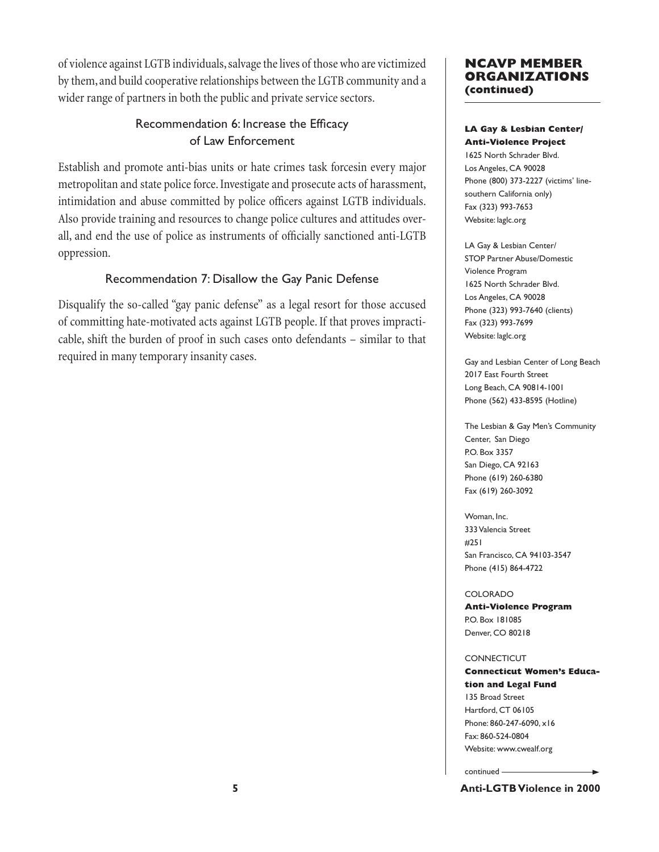of violence against LGTB individuals, salvage the lives of those who are victimized by them, and build cooperative relationships between the LGTB community and a wider range of partners in both the public and private service sectors.

# Recommendation 6: Increase the Efficacy of Law Enforcement

Establish and promote anti-bias units or hate crimes task forcesin every major metropolitan and state police force. Investigate and prosecute acts of harassment, intimidation and abuse committed by police officers against LGTB individuals. Also provide training and resources to change police cultures and attitudes overall, and end the use of police as instruments of officially sanctioned anti-LGTB oppression.

# Recommendation 7: Disallow the Gay Panic Defense

Disqualify the so-called "gay panic defense" as a legal resort for those accused of committing hate-motivated acts against LGTB people. If that proves impracticable, shift the burden of proof in such cases onto defendants – similar to that required in many temporary insanity cases.

## **NCAVP MEMBER ORGANIZATIONS (continued)**

### **LA Gay & Lesbian Center/ Anti-Violence Project**

1625 North Schrader Blvd. Los Angeles, CA 90028 Phone (800) 373-2227 (victims' linesouthern California only) Fax (323) 993-7653 Website: laglc.org

LA Gay & Lesbian Center/ STOP Partner Abuse/Domestic Violence Program 1625 North Schrader Blvd. Los Angeles, CA 90028 Phone (323) 993-7640 (clients) Fax (323) 993-7699 Website: laglc.org

Gay and Lesbian Center of Long Beach 2017 East Fourth Street Long Beach, CA 90814-1001 Phone (562) 433-8595 (Hotline)

The Lesbian & Gay Men's Community Center, San Diego P.O. Box 3357 San Diego, CA 92163 Phone (619) 260-6380 Fax (619) 260-3092

Woman, Inc. 333 Valencia Street #251 San Francisco, CA 94103-3547 Phone (415) 864-4722

### COLORADO

**Anti-Violence Program**  P.O. Box 181085 Denver, CO 80218

### CONNECTICUT

### **Connecticut Women's Education and Legal Fund**

135 Broad Street Hartford, CT 06105 Phone: 860-247-6090, x16 Fax: 860-524-0804 Website: www.cwealf.org

continued

**5 Anti-LGTB Violence in 2000**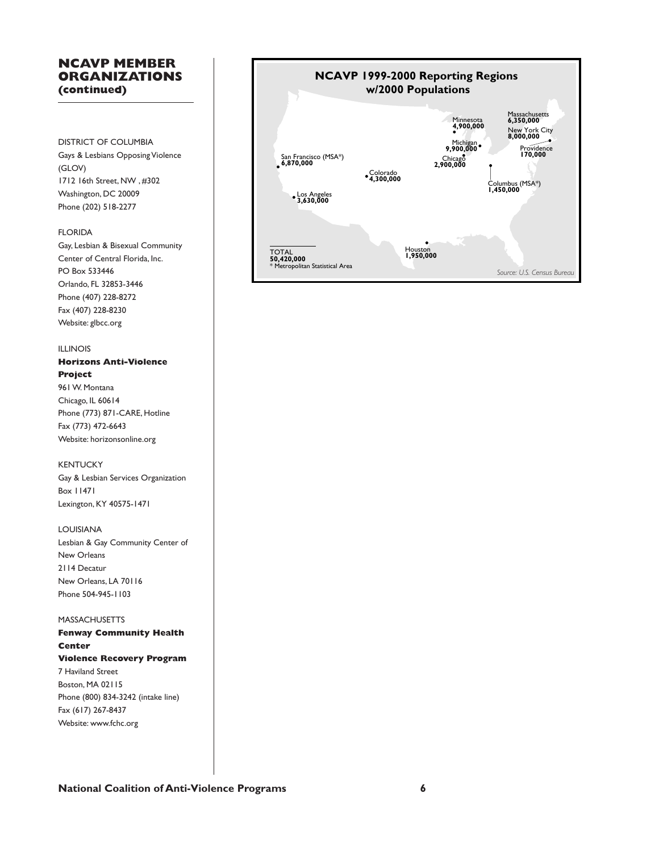## **NCAVP MEMBER ORGANIZATIONS (continued)**

DISTRICT OF COLUMBIA Gays & Lesbians Opposing Violence (GLOV) 1712 16th Street, NW , #302 Washington, DC 20009 Phone (202) 518-2277

### FLORIDA

Gay, Lesbian & Bisexual Community Center of Central Florida, Inc. PO Box 533446 Orlando, FL 32853-3446 Phone (407) 228-8272 Fax (407) 228-8230 Website: glbcc.org

### ILLINOIS

**Horizons Anti-Violence Project** 961 W. Montana Chicago, IL 60614 Phone (773) 871-CARE, Hotline Fax (773) 472-6643 Website: horizonsonline.org

### KENTUCKY

Gay & Lesbian Services Organization Box 11471 Lexington, KY 40575-1471

### LOUISIANA

Lesbian & Gay Community Center of New Orleans 2114 Decatur New Orleans, LA 70116 Phone 504-945-1103

### MASSACHUSETTS

**Fenway Community Health Center Violence Recovery Program** 7 Haviland Street Boston, MA 02115 Phone (800) 834-3242 (intake line) Fax (617) 267-8437 Website: www.fchc.org

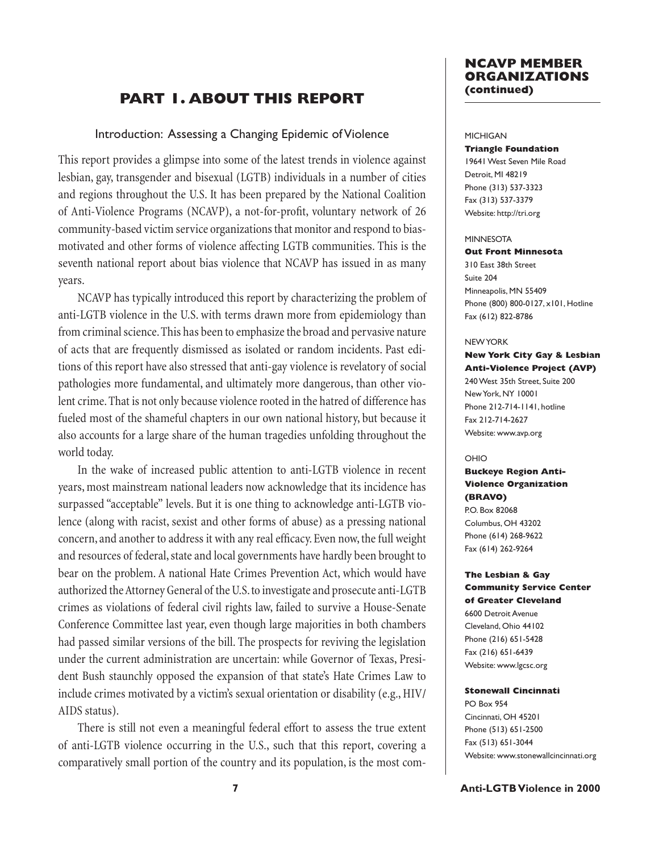# **PART 1. ABOUT THIS REPORT**

### Introduction: Assessing a Changing Epidemic of Violence

This report provides a glimpse into some of the latest trends in violence against lesbian, gay, transgender and bisexual (LGTB) individuals in a number of cities and regions throughout the U.S. It has been prepared by the National Coalition of Anti-Violence Programs (NCAVP), a not-for-profit, voluntary network of 26 community-based victim service organizations that monitor and respond to biasmotivated and other forms of violence affecting LGTB communities. This is the seventh national report about bias violence that NCAVP has issued in as many years.

NCAVP has typically introduced this report by characterizing the problem of anti-LGTB violence in the U.S. with terms drawn more from epidemiology than from criminal science. This has been to emphasize the broad and pervasive nature of acts that are frequently dismissed as isolated or random incidents. Past editions of this report have also stressed that anti-gay violence is revelatory of social pathologies more fundamental, and ultimately more dangerous, than other violent crime. That is not only because violence rooted in the hatred of difference has fueled most of the shameful chapters in our own national history, but because it also accounts for a large share of the human tragedies unfolding throughout the world today.

In the wake of increased public attention to anti-LGTB violence in recent years, most mainstream national leaders now acknowledge that its incidence has surpassed "acceptable" levels. But it is one thing to acknowledge anti-LGTB violence (along with racist, sexist and other forms of abuse) as a pressing national concern, and another to address it with any real efficacy. Even now, the full weight and resources of federal, state and local governments have hardly been brought to bear on the problem. A national Hate Crimes Prevention Act, which would have authorized the Attorney General of the U.S. to investigate and prosecute anti-LGTB crimes as violations of federal civil rights law, failed to survive a House-Senate Conference Committee last year, even though large majorities in both chambers had passed similar versions of the bill. The prospects for reviving the legislation under the current administration are uncertain: while Governor of Texas, President Bush staunchly opposed the expansion of that state's Hate Crimes Law to include crimes motivated by a victim's sexual orientation or disability (e.g., HIV/ AIDS status).

There is still not even a meaningful federal effort to assess the true extent of anti-LGTB violence occurring in the U.S., such that this report, covering a comparatively small portion of the country and its population, is the most com-

### **NCAVP MEMBER ORGANIZATIONS (continued)**

#### MICHIGAN

#### **Triangle Foundation**

19641 West Seven Mile Road Detroit, MI 48219 Phone (313) 537-3323 Fax (313) 537-3379 Website: http://tri.org

#### MINNESOTA

#### **Out Front Minnesota**

310 East 38th Street Suite 204 Minneapolis, MN 55409 Phone (800) 800-0127, x101, Hotline Fax (612) 822-8786

#### NEW YORK

## **New York City Gay & Lesbian Anti-Violence Project (AVP)**

240 West 35th Street, Suite 200 New York, NY 10001 Phone 212-714-1141, hotline Fax 212-714-2627 Website: www.avp.org

#### OHIO

### **Buckeye Region Anti-Violence Organization (BRAVO)**

P.O. Box 82068 Columbus, OH 43202 Phone (614) 268-9622 Fax (614) 262-9264

### **The Lesbian & Gay Community Service Center of Greater Cleveland**

6600 Detroit Avenue Cleveland, Ohio 44102 Phone (216) 651-5428 Fax (216) 651-6439 Website: www.lgcsc.org

#### **Stonewall Cincinnati**

PO Box 954 Cincinnati, OH 45201 Phone (513) 651-2500 Fax (513) 651-3044 Website: www.stonewallcincinnati.org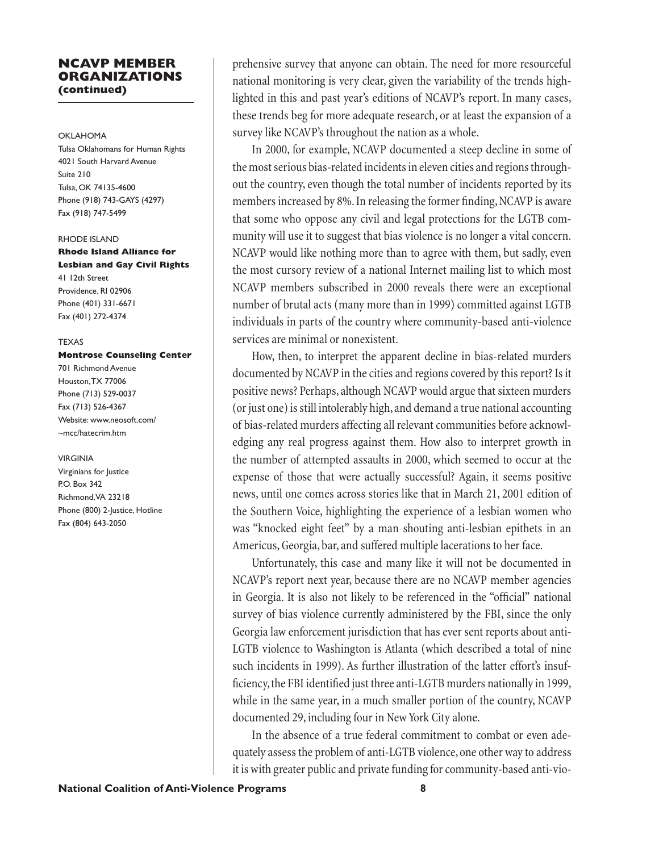### **NCAVP MEMBER ORGANIZATIONS (continued)**

#### OKLAHOMA

Tulsa Oklahomans for Human Rights 4021 South Harvard Avenue Suite 210 Tulsa, OK 74135-4600 Phone (918) 743-GAYS (4297) Fax (918) 747-5499

#### RHODE ISLAND

**Rhode Island Alliance for Lesbian and Gay Civil Rights** 41 12th Street Providence, RI 02906 Phone (401) 331-6671 Fax (401) 272-4374

#### **TFXAS**

### **Montrose Counseling Center**

701 Richmond Avenue Houston, TX 77006 Phone (713) 529-0037 Fax (713) 526-4367 Website: www.neosoft.com/ ~mcc/hatecrim.htm

#### VIRGINIA

Virginians for Justice P.O. Box 342 Richmond, VA 23218 Phone (800) 2-Justice, Hotline Fax (804) 643-2050

prehensive survey that anyone can obtain. The need for more resourceful national monitoring is very clear, given the variability of the trends highlighted in this and past year's editions of NCAVP's report. In many cases, these trends beg for more adequate research, or at least the expansion of a survey like NCAVP's throughout the nation as a whole.

In 2000, for example, NCAVP documented a steep decline in some of the most serious bias-related incidents in eleven cities and regions throughout the country, even though the total number of incidents reported by its members increased by 8%. In releasing the former finding, NCAVP is aware that some who oppose any civil and legal protections for the LGTB community will use it to suggest that bias violence is no longer a vital concern. NCAVP would like nothing more than to agree with them, but sadly, even the most cursory review of a national Internet mailing list to which most NCAVP members subscribed in 2000 reveals there were an exceptional number of brutal acts (many more than in 1999) committed against LGTB individuals in parts of the country where community-based anti-violence services are minimal or nonexistent.

How, then, to interpret the apparent decline in bias-related murders documented by NCAVP in the cities and regions covered by this report? Is it positive news? Perhaps, although NCAVP would argue that sixteen murders (or just one) is still intolerably high, and demand a true national accounting of bias-related murders affecting all relevant communities before acknowledging any real progress against them. How also to interpret growth in the number of attempted assaults in 2000, which seemed to occur at the expense of those that were actually successful? Again, it seems positive news, until one comes across stories like that in March 21, 2001 edition of the Southern Voice, highlighting the experience of a lesbian women who was "knocked eight feet" by a man shouting anti-lesbian epithets in an Americus, Georgia, bar, and suffered multiple lacerations to her face.

Unfortunately, this case and many like it will not be documented in NCAVP's report next year, because there are no NCAVP member agencies in Georgia. It is also not likely to be referenced in the "official" national survey of bias violence currently administered by the FBI, since the only Georgia law enforcement jurisdiction that has ever sent reports about anti-LGTB violence to Washington is Atlanta (which described a total of nine such incidents in 1999). As further illustration of the latter effort's insufficiency, the FBI identified just three anti-LGTB murders nationally in 1999, while in the same year, in a much smaller portion of the country, NCAVP documented 29, including four in New York City alone.

In the absence of a true federal commitment to combat or even adequately assess the problem of anti-LGTB violence, one other way to address it is with greater public and private funding for community-based anti-vio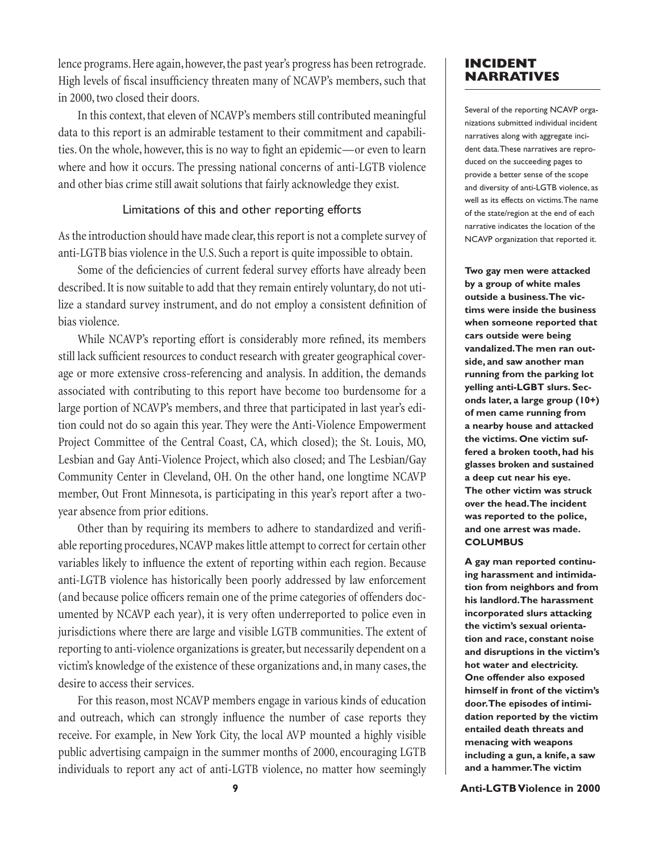lence programs. Here again, however, the past year's progress has been retrograde. High levels of fiscal insufficiency threaten many of NCAVP's members, such that in 2000, two closed their doors.

In this context, that eleven of NCAVP's members still contributed meaningful data to this report is an admirable testament to their commitment and capabilities. On the whole, however, this is no way to fight an epidemic—or even to learn where and how it occurs. The pressing national concerns of anti-LGTB violence and other bias crime still await solutions that fairly acknowledge they exist.

### Limitations of this and other reporting efforts

As the introduction should have made clear, this report is not a complete survey of anti-LGTB bias violence in the U.S. Such a report is quite impossible to obtain.

Some of the deficiencies of current federal survey efforts have already been described. It is now suitable to add that they remain entirely voluntary, do not utilize a standard survey instrument, and do not employ a consistent definition of bias violence.

While NCAVP's reporting effort is considerably more refined, its members still lack sufficient resources to conduct research with greater geographical coverage or more extensive cross-referencing and analysis. In addition, the demands associated with contributing to this report have become too burdensome for a large portion of NCAVP's members, and three that participated in last year's edition could not do so again this year. They were the Anti-Violence Empowerment Project Committee of the Central Coast, CA, which closed); the St. Louis, MO, Lesbian and Gay Anti-Violence Project, which also closed; and The Lesbian/Gay Community Center in Cleveland, OH. On the other hand, one longtime NCAVP member, Out Front Minnesota, is participating in this year's report after a twoyear absence from prior editions.

Other than by requiring its members to adhere to standardized and verifiable reporting procedures, NCAVP makes little attempt to correct for certain other variables likely to influence the extent of reporting within each region. Because anti-LGTB violence has historically been poorly addressed by law enforcement (and because police officers remain one of the prime categories of offenders documented by NCAVP each year), it is very often underreported to police even in jurisdictions where there are large and visible LGTB communities. The extent of reporting to anti-violence organizations is greater, but necessarily dependent on a victim's knowledge of the existence of these organizations and, in many cases, the desire to access their services.

For this reason, most NCAVP members engage in various kinds of education and outreach, which can strongly influence the number of case reports they receive. For example, in New York City, the local AVP mounted a highly visible public advertising campaign in the summer months of 2000, encouraging LGTB individuals to report any act of anti-LGTB violence, no matter how seemingly

## **INCIDENT NARRATIVES**

Several of the reporting NCAVP organizations submitted individual incident narratives along with aggregate incident data. These narratives are reproduced on the succeeding pages to provide a better sense of the scope and diversity of anti-LGTB violence, as well as its effects on victims. The name of the state/region at the end of each narrative indicates the location of the NCAVP organization that reported it.

**Two gay men were attacked by a group of white males outside a business. The victims were inside the business when someone reported that cars outside were being vandalized. The men ran outside, and saw another man running from the parking lot yelling anti-LGBT slurs. Seconds later, a large group (10+) of men came running from a nearby house and attacked the victims. One victim suffered a broken tooth, had his glasses broken and sustained a deep cut near his eye. The other victim was struck over the head. The incident was reported to the police, and one arrest was made. COLUMBUS**

**A gay man reported continuing harassment and intimidation from neighbors and from his landlord. The harassment incorporated slurs attacking the victim's sexual orientation and race, constant noise and disruptions in the victim's hot water and electricity. One offender also exposed himself in front of the victim's door. The episodes of intimidation reported by the victim entailed death threats and menacing with weapons including a gun, a knife, a saw and a hammer. The victim** 

**9 Anti-LGTB Violence in 2000**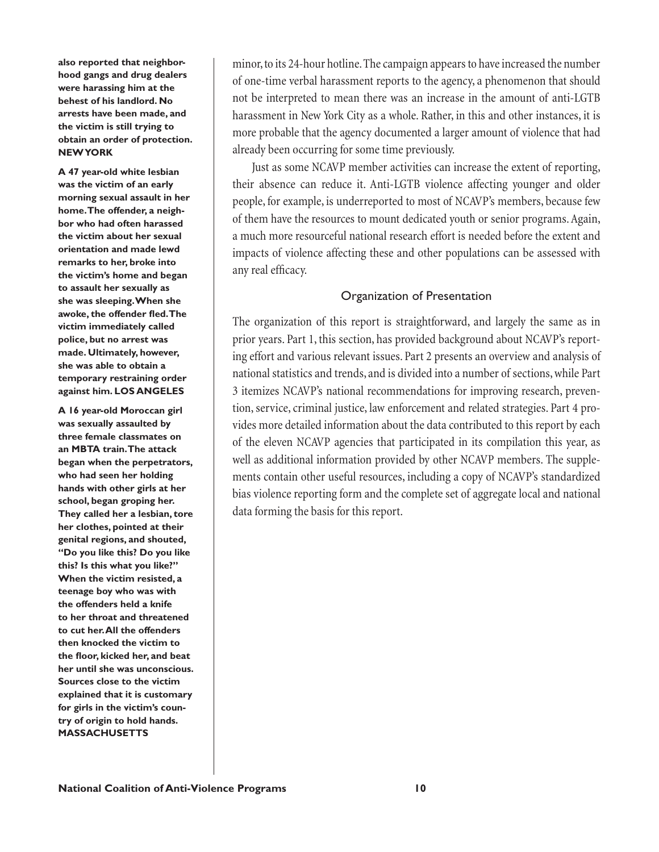**also reported that neighborhood gangs and drug dealers were harassing him at the behest of his landlord. No arrests have been made, and the victim is still trying to obtain an order of protection. NEW YORK**

**A 47 year-old white lesbian was the victim of an early morning sexual assault in her home. The offender, a neighbor who had often harassed the victim about her sexual orientation and made lewd remarks to her, broke into the victim's home and began to assault her sexually as she was sleeping. When she**  awoke, the offender fled. The **victim immediately called police, but no arrest was made. Ultimately, however, she was able to obtain a temporary restraining order against him. LOS ANGELES**

**A 16 year-old Moroccan girl was sexually assaulted by three female classmates on an MBTA train. The attack began when the perpetrators, who had seen her holding hands with other girls at her school, began groping her. They called her a lesbian, tore her clothes, pointed at their genital regions, and shouted, "Do you like this? Do you like this? Is this what you like?" When the victim resisted, a teenage boy who was with the offenders held a knife to her throat and threatened to cut her. All the offenders then knocked the victim to the fl oor, kicked her, and beat her until she was unconscious. Sources close to the victim explained that it is customary for girls in the victim's country of origin to hold hands. MASSACHUSETTS**

minor, to its 24-hour hotline. The campaign appears to have increased the number of one-time verbal harassment reports to the agency, a phenomenon that should not be interpreted to mean there was an increase in the amount of anti-LGTB harassment in New York City as a whole. Rather, in this and other instances, it is more probable that the agency documented a larger amount of violence that had already been occurring for some time previously.

Just as some NCAVP member activities can increase the extent of reporting, their absence can reduce it. Anti-LGTB violence affecting younger and older people, for example, is underreported to most of NCAVP's members, because few of them have the resources to mount dedicated youth or senior programs. Again, a much more resourceful national research effort is needed before the extent and impacts of violence affecting these and other populations can be assessed with any real efficacy.

# Organization of Presentation

The organization of this report is straightforward, and largely the same as in prior years. Part 1, this section, has provided background about NCAVP's reporting effort and various relevant issues. Part 2 presents an overview and analysis of national statistics and trends, and is divided into a number of sections, while Part 3 itemizes NCAVP's national recommendations for improving research, prevention, service, criminal justice, law enforcement and related strategies. Part 4 provides more detailed information about the data contributed to this report by each of the eleven NCAVP agencies that participated in its compilation this year, as well as additional information provided by other NCAVP members. The supplements contain other useful resources, including a copy of NCAVP's standardized bias violence reporting form and the complete set of aggregate local and national data forming the basis for this report.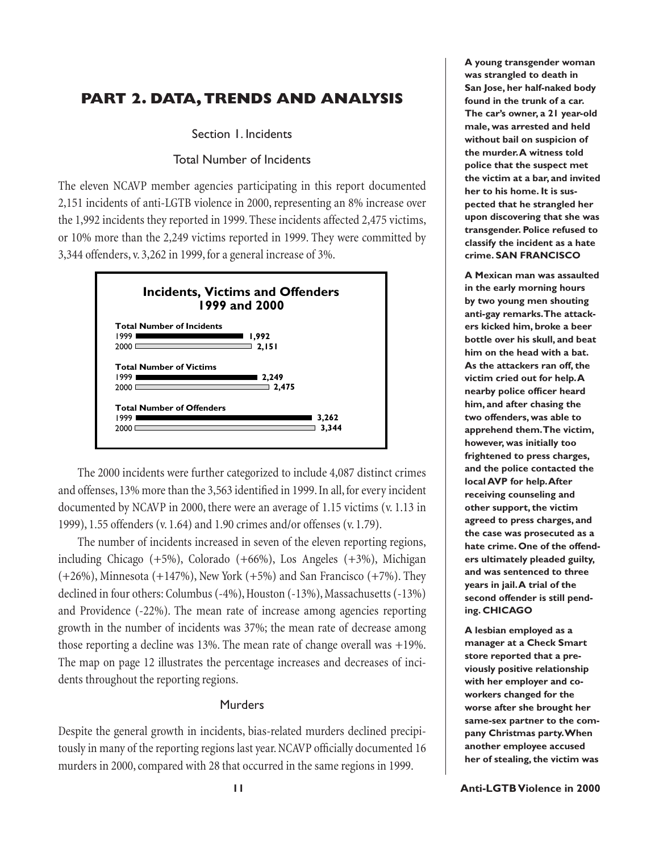# **PART 2. DATA, TRENDS AND ANALYSIS**

Section 1. Incidents

### Total Number of Incidents

The eleven NCAVP member agencies participating in this report documented 2,151 incidents of anti-LGTB violence in 2000, representing an 8% increase over the 1,992 incidents they reported in 1999. These incidents affected 2,475 victims, or 10% more than the 2,249 victims reported in 1999. They were committed by 3,344 offenders, v. 3,262 in 1999, for a general increase of 3%.



The 2000 incidents were further categorized to include 4,087 distinct crimes and offenses, 13% more than the 3,563 identified in 1999. In all, for every incident documented by NCAVP in 2000, there were an average of 1.15 victims (v. 1.13 in 1999), 1.55 offenders (v. 1.64) and 1.90 crimes and/or offenses (v. 1.79).

The number of incidents increased in seven of the eleven reporting regions, including Chicago (+5%), Colorado (+66%), Los Angeles (+3%), Michigan  $(+26%)$ , Minnesota  $(+147%)$ , New York  $(+5%)$  and San Francisco  $(+7%)$ . They declined in four others: Columbus (-4%), Houston (-13%), Massachusetts (-13%) and Providence (-22%). The mean rate of increase among agencies reporting growth in the number of incidents was 37%; the mean rate of decrease among those reporting a decline was 13%. The mean rate of change overall was +19%. The map on page 12 illustrates the percentage increases and decreases of incidents throughout the reporting regions.

### Murders

Despite the general growth in incidents, bias-related murders declined precipitously in many of the reporting regions last year. NCAVP officially documented 16 murders in 2000, compared with 28 that occurred in the same regions in 1999.

**A young transgender woman was strangled to death in San Jose, her half-naked body found in the trunk of a car. The car's owner, a 21 year-old male, was arrested and held without bail on suspicion of the murder. A witness told police that the suspect met the victim at a bar, and invited her to his home. It is suspected that he strangled her upon discovering that she was transgender. Police refused to classify the incident as a hate crime. SAN FRANCISCO**

**A Mexican man was assaulted in the early morning hours by two young men shouting anti-gay remarks. The attackers kicked him, broke a beer bottle over his skull, and beat him on the head with a bat. As the attackers ran off, the victim cried out for help. A nearby police officer heard him, and after chasing the two offenders, was able to apprehend them. The victim, however, was initially too frightened to press charges, and the police contacted the local AVP for help. After receiving counseling and other support, the victim agreed to press charges, and the case was prosecuted as a hate crime. One of the offenders ultimately pleaded guilty, and was sentenced to three years in jail. A trial of the second offender is still pending. CHICAGO**

**A lesbian employed as a manager at a Check Smart store reported that a previously positive relationship with her employer and coworkers changed for the worse after she brought her same-sex partner to the company Christmas party. When another employee accused her of stealing, the victim was**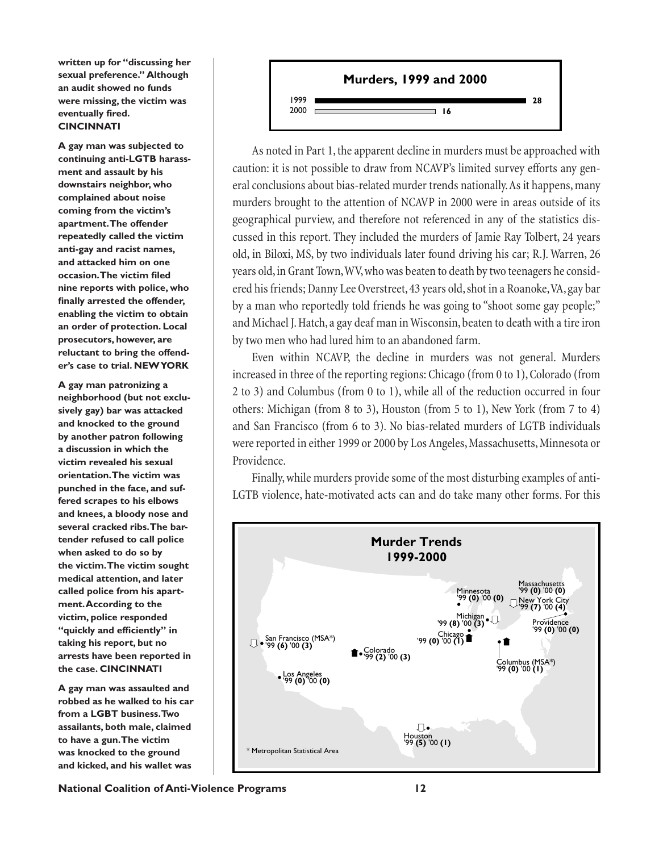**written up for "discussing her sexual preference." Although an audit showed no funds were missing, the victim was eventually fired. CINCINNATI**

**A gay man was subjected to continuing anti-LGTB harassment and assault by his downstairs neighbor, who complained about noise coming from the victim's apartment. The offender repeatedly called the victim anti-gay and racist names, and attacked him on one occasion. The victim filed nine reports with police, who**  finally arrested the offender, **enabling the victim to obtain an order of protection. Local prosecutors, however, are reluctant to bring the offender's case to trial. NEW YORK**

**A gay man patronizing a neighborhood (but not exclusively gay) bar was attacked and knocked to the ground by another patron following a discussion in which the victim revealed his sexual orientation. The victim was punched in the face, and suffered scrapes to his elbows and knees, a bloody nose and several cracked ribs. The bartender refused to call police when asked to do so by the victim. The victim sought medical attention, and later called police from his apartment. According to the victim, police responded**  "quickly and efficiently" in **taking his report, but no arrests have been reported in the case. CINCINNATI**

**A gay man was assaulted and robbed as he walked to his car from a LGBT business. Two assailants, both male, claimed to have a gun. The victim was knocked to the ground and kicked, and his wallet was** 



As noted in Part 1, the apparent decline in murders must be approached with caution: it is not possible to draw from NCAVP's limited survey efforts any general conclusions about bias-related murder trends nationally. As it happens, many murders brought to the attention of NCAVP in 2000 were in areas outside of its geographical purview, and therefore not referenced in any of the statistics discussed in this report. They included the murders of Jamie Ray Tolbert, 24 years old, in Biloxi, MS, by two individuals later found driving his car; R.J. Warren, 26 years old, in Grant Town, WV, who was beaten to death by two teenagers he considered his friends; Danny Lee Overstreet, 43 years old, shot in a Roanoke, VA, gay bar by a man who reportedly told friends he was going to "shoot some gay people;" and Michael J. Hatch, a gay deaf man in Wisconsin, beaten to death with a tire iron by two men who had lured him to an abandoned farm.

Even within NCAVP, the decline in murders was not general. Murders increased in three of the reporting regions: Chicago (from 0 to 1), Colorado (from 2 to 3) and Columbus (from 0 to 1), while all of the reduction occurred in four others: Michigan (from 8 to 3), Houston (from 5 to 1), New York (from 7 to 4) and San Francisco (from 6 to 3). No bias-related murders of LGTB individuals were reported in either 1999 or 2000 by Los Angeles, Massachusetts, Minnesota or Providence.

Finally, while murders provide some of the most disturbing examples of anti-LGTB violence, hate-motivated acts can and do take many other forms. For this



**National Coalition of Anti-Violence Programs 12**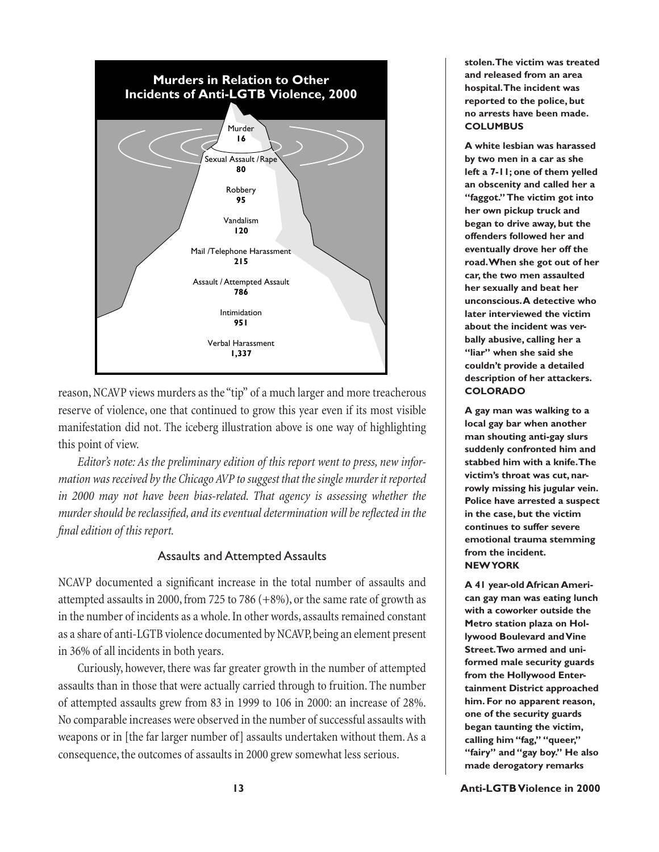

reason, NCAVP views murders as the "tip" of a much larger and more treacherous reserve of violence, one that continued to grow this year even if its most visible manifestation did not. The iceberg illustration above is one way of highlighting this point of view.

*Editor's note: As the preliminary edition of this report went to press, new information was received by the Chicago AVP to suggest that the single murder it reported in 2000 may not have been bias-related. That agency is assessing whether the murder should be reclassified, and its eventual determination will be reflected in the fi nal edition of this report.*

## Assaults and Attempted Assaults

NCAVP documented a significant increase in the total number of assaults and attempted assaults in 2000, from 725 to 786 (+8%), or the same rate of growth as in the number of incidents as a whole. In other words, assaults remained constant as a share of anti-LGTB violence documented by NCAVP, being an element present in 36% of all incidents in both years.

Curiously, however, there was far greater growth in the number of attempted assaults than in those that were actually carried through to fruition. The number of attempted assaults grew from 83 in 1999 to 106 in 2000: an increase of 28%. No comparable increases were observed in the number of successful assaults with weapons or in [the far larger number of] assaults undertaken without them. As a consequence, the outcomes of assaults in 2000 grew somewhat less serious.

**stolen. The victim was treated and released from an area hospital. The incident was reported to the police, but no arrests have been made. COLUMBUS**

**A white lesbian was harassed by two men in a car as she left a 7-11; one of them yelled an obscenity and called her a "faggot." The victim got into her own pickup truck and began to drive away, but the offenders followed her and eventually drove her off the road. When she got out of her car, the two men assaulted her sexually and beat her unconscious. A detective who later interviewed the victim about the incident was verbally abusive, calling her a "liar" when she said she couldn't provide a detailed description of her attackers. COLORADO**

**A gay man was walking to a local gay bar when another man shouting anti-gay slurs suddenly confronted him and stabbed him with a knife. The victim's throat was cut, narrowly missing his jugular vein. Police have arrested a suspect in the case, but the victim continues to suffer severe emotional trauma stemming from the incident. NEW YORK**

**A 41 year-old African American gay man was eating lunch with a coworker outside the Metro station plaza on Hollywood Boulevard and Vine Street. Two armed and uniformed male security guards from the Hollywood Entertainment District approached him. For no apparent reason, one of the security guards began taunting the victim, calling him "fag," "queer," "fairy" and "gay boy." He also made derogatory remarks**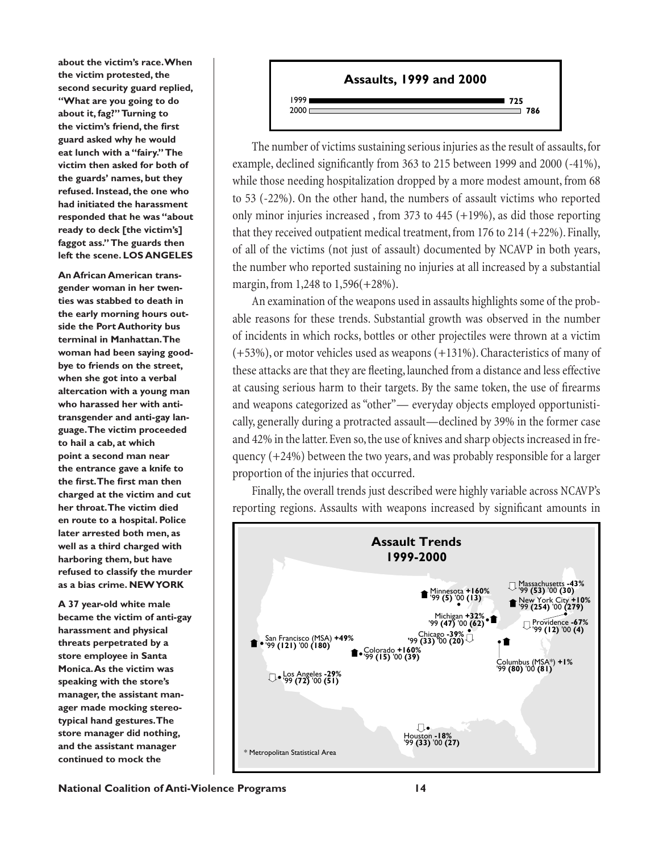**about the victim's race. When the victim protested, the second security guard replied, "What are you going to do about it, fag?" Turning to**  the victim's friend, the first **guard asked why he would eat lunch with a "fairy." The victim then asked for both of the guards' names, but they refused. Instead, the one who had initiated the harassment responded that he was "about ready to deck [the victim's] faggot ass." The guards then left the scene. LOS ANGELES**

**An African American transgender woman in her twenties was stabbed to death in the early morning hours outside the Port Authority bus terminal in Manhattan. The woman had been saying goodbye to friends on the street, when she got into a verbal altercation with a young man who harassed her with antitransgender and anti-gay language. The victim proceeded to hail a cab, at which point a second man near the entrance gave a knife to**  the first. The first man then **charged at the victim and cut her throat. The victim died en route to a hospital. Police later arrested both men, as well as a third charged with harboring them, but have refused to classify the murder as a bias crime. NEW YORK**

**A 37 year-old white male became the victim of anti-gay harassment and physical threats perpetrated by a store employee in Santa Monica. As the victim was speaking with the store's manager, the assistant manager made mocking stereotypical hand gestures. The store manager did nothing, and the assistant manager continued to mock the** 



The number of victims sustaining serious injuries as the result of assaults, for example, declined significantly from 363 to 215 between 1999 and 2000 (-41%), while those needing hospitalization dropped by a more modest amount, from 68 to 53 (-22%). On the other hand, the numbers of assault victims who reported only minor injuries increased, from 373 to 445  $(+19%)$ , as did those reporting that they received outpatient medical treatment, from 176 to 214  $(+22%)$ . Finally, of all of the victims (not just of assault) documented by NCAVP in both years, the number who reported sustaining no injuries at all increased by a substantial margin, from 1,248 to 1,596(+28%).

An examination of the weapons used in assaults highlights some of the probable reasons for these trends. Substantial growth was observed in the number of incidents in which rocks, bottles or other projectiles were thrown at a victim (+53%), or motor vehicles used as weapons (+131%). Characteristics of many of these attacks are that they are fleeting, launched from a distance and less effective at causing serious harm to their targets. By the same token, the use of firearms and weapons categorized as "other"— everyday objects employed opportunistically, generally during a protracted assault—declined by 39% in the former case and 42% in the latter. Even so, the use of knives and sharp objects increased in frequency (+24%) between the two years, and was probably responsible for a larger proportion of the injuries that occurred.

Finally, the overall trends just described were highly variable across NCAVP's reporting regions. Assaults with weapons increased by significant amounts in

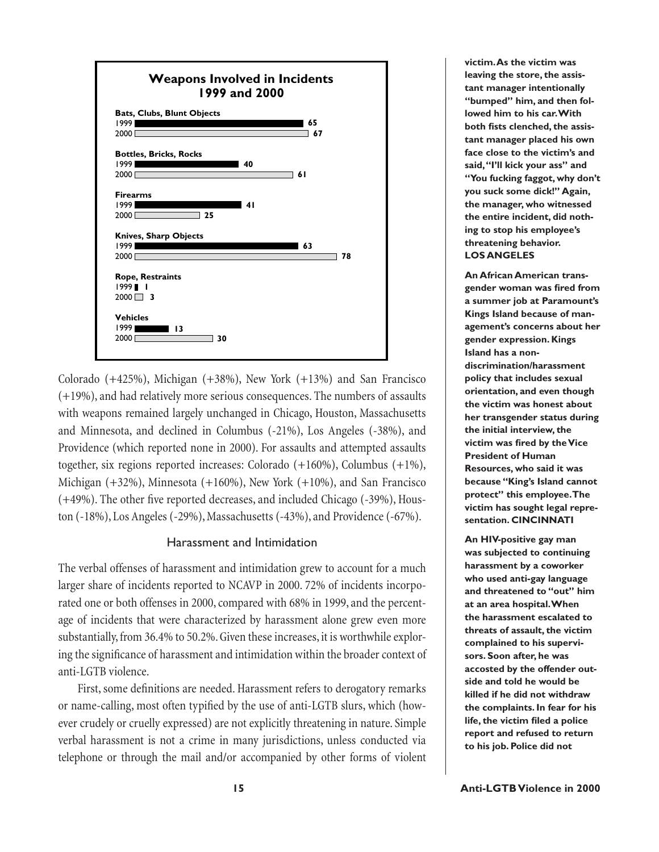

Colorado (+425%), Michigan (+38%), New York (+13%) and San Francisco (+19%), and had relatively more serious consequences. The numbers of assaults with weapons remained largely unchanged in Chicago, Houston, Massachusetts and Minnesota, and declined in Columbus (-21%), Los Angeles (-38%), and Providence (which reported none in 2000). For assaults and attempted assaults together, six regions reported increases: Colorado (+160%), Columbus (+1%), Michigan (+32%), Minnesota (+160%), New York (+10%), and San Francisco  $(+49%)$ . The other five reported decreases, and included Chicago  $(-39%)$ , Houston (-18%), Los Angeles (-29%), Massachusetts (-43%), and Providence (-67%).

### Harassment and Intimidation

The verbal offenses of harassment and intimidation grew to account for a much larger share of incidents reported to NCAVP in 2000. 72% of incidents incorporated one or both offenses in 2000, compared with 68% in 1999, and the percentage of incidents that were characterized by harassment alone grew even more substantially, from 36.4% to 50.2%. Given these increases, it is worthwhile exploring the significance of harassment and intimidation within the broader context of anti-LGTB violence.

First, some definitions are needed. Harassment refers to derogatory remarks or name-calling, most often typified by the use of anti-LGTB slurs, which (however crudely or cruelly expressed) are not explicitly threatening in nature. Simple verbal harassment is not a crime in many jurisdictions, unless conducted via telephone or through the mail and/or accompanied by other forms of violent

**victim. As the victim was leaving the store, the assistant manager intentionally "bumped" him, and then followed him to his car. With**  both fists clenched, the assis**tant manager placed his own face close to the victim's and said, "I'll kick your ass" and "You fucking faggot, why don't you suck some dick!" Again, the manager, who witnessed the entire incident, did nothing to stop his employee's threatening behavior. LOS ANGELES**

**An African American transgender woman was fi red from a summer job at Paramount's Kings Island because of management's concerns about her gender expression. Kings Island has a nondiscrimination/harassment policy that includes sexual orientation, and even though the victim was honest about her transgender status during the initial interview, the victim was fired by the Vice President of Human Resources, who said it was because "King's Island cannot protect" this employee. The victim has sought legal representation. CINCINNATI**

**An HIV-positive gay man was subjected to continuing harassment by a coworker who used anti-gay language and threatened to "out" him at an area hospital. When the harassment escalated to threats of assault, the victim complained to his supervisors. Soon after, he was accosted by the offender outside and told he would be killed if he did not withdraw the complaints. In fear for his life, the victim filed a police report and refused to return to his job. Police did not**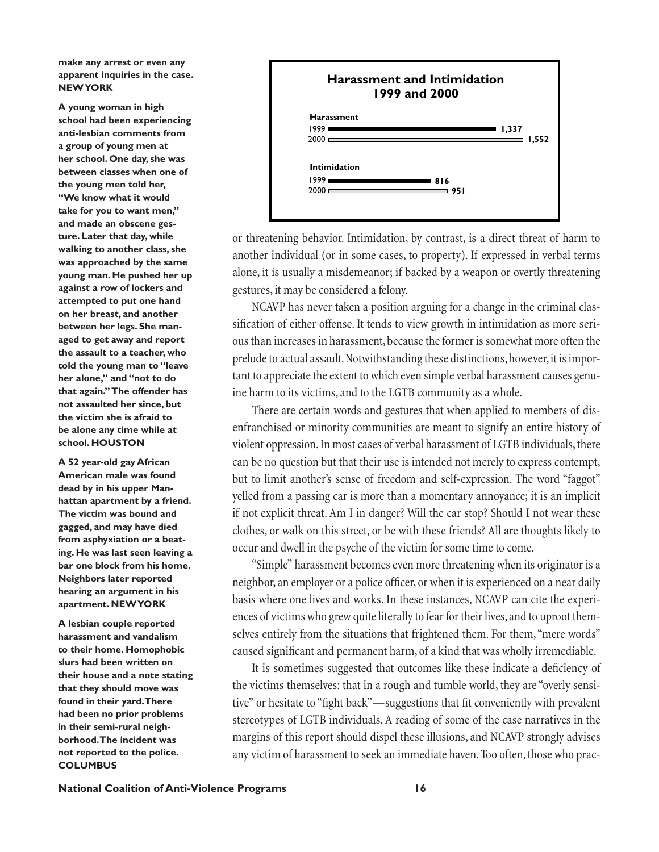**make any arrest or even any apparent inquiries in the case. NEW YORK**

**A young woman in high school had been experiencing anti-lesbian comments from a group of young men at her school. One day, she was between classes when one of the young men told her, "We know what it would take for you to want men," and made an obscene gesture. Later that day, while walking to another class, she was approached by the same young man. He pushed her up against a row of lockers and attempted to put one hand on her breast, and another between her legs. She managed to get away and report the assault to a teacher, who told the young man to "leave her alone," and "not to do that again." The offender has not assaulted her since, but the victim she is afraid to be alone any time while at school. HOUSTON**

**A 52 year-old gay African American male was found dead by in his upper Manhattan apartment by a friend. The victim was bound and gagged, and may have died from asphyxiation or a beating. He was last seen leaving a bar one block from his home. Neighbors later reported hearing an argument in his apartment. NEW YORK**

**A lesbian couple reported harassment and vandalism to their home. Homophobic slurs had been written on their house and a note stating that they should move was found in their yard. There had been no prior problems in their semi-rural neighborhood. The incident was not reported to the police. COLUMBUS**



or threatening behavior. Intimidation, by contrast, is a direct threat of harm to another individual (or in some cases, to property). If expressed in verbal terms alone, it is usually a misdemeanor; if backed by a weapon or overtly threatening gestures, it may be considered a felony.

NCAVP has never taken a position arguing for a change in the criminal classification of either offense. It tends to view growth in intimidation as more serious than increases in harassment, because the former is somewhat more often the prelude to actual assault. Notwithstanding these distinctions, however, it is important to appreciate the extent to which even simple verbal harassment causes genuine harm to its victims, and to the LGTB community as a whole.

There are certain words and gestures that when applied to members of disenfranchised or minority communities are meant to signify an entire history of violent oppression. In most cases of verbal harassment of LGTB individuals, there can be no question but that their use is intended not merely to express contempt, but to limit another's sense of freedom and self-expression. The word "faggot" yelled from a passing car is more than a momentary annoyance; it is an implicit if not explicit threat. Am I in danger? Will the car stop? Should I not wear these clothes, or walk on this street, or be with these friends? All are thoughts likely to occur and dwell in the psyche of the victim for some time to come.

"Simple" harassment becomes even more threatening when its originator is a neighbor, an employer or a police officer, or when it is experienced on a near daily basis where one lives and works. In these instances, NCAVP can cite the experiences of victims who grew quite literally to fear for their lives, and to uproot themselves entirely from the situations that frightened them. For them, "mere words" caused significant and permanent harm, of a kind that was wholly irremediable.

It is sometimes suggested that outcomes like these indicate a deficiency of the victims themselves: that in a rough and tumble world, they are "overly sensitive" or hesitate to "fight back"—suggestions that fit conveniently with prevalent stereotypes of LGTB individuals. A reading of some of the case narratives in the margins of this report should dispel these illusions, and NCAVP strongly advises any victim of harassment to seek an immediate haven. Too often, those who prac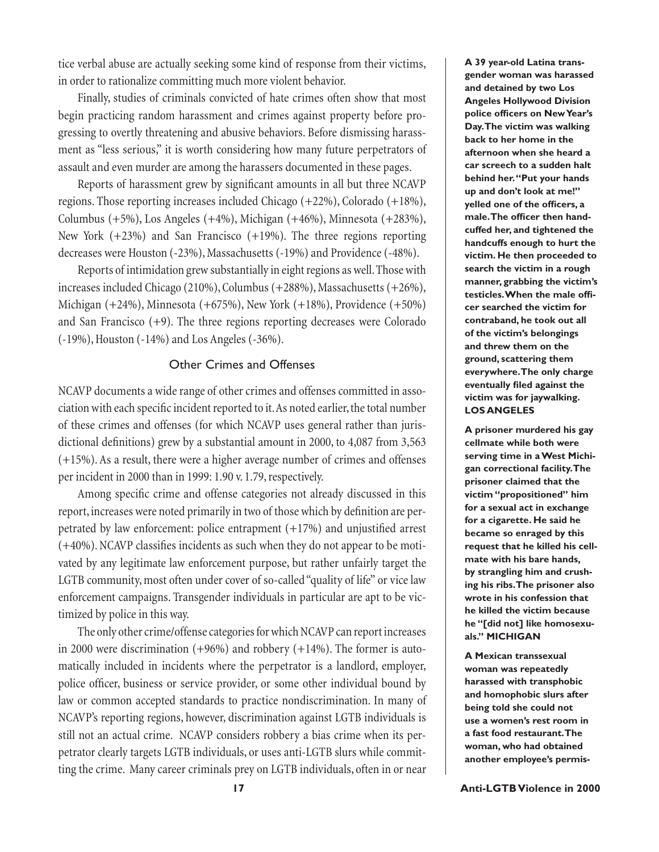tice verbal abuse are actually seeking some kind of response from their victims, in order to rationalize committing much more violent behavior.

Finally, studies of criminals convicted of hate crimes often show that most begin practicing random harassment and crimes against property before progressing to overtly threatening and abusive behaviors. Before dismissing harassment as "less serious," it is worth considering how many future perpetrators of assault and even murder are among the harassers documented in these pages.

Reports of harassment grew by significant amounts in all but three NCAVP regions. Those reporting increases included Chicago (+22%), Colorado (+18%), Columbus (+5%), Los Angeles (+4%), Michigan (+46%), Minnesota (+283%), New York (+23%) and San Francisco (+19%). The three regions reporting decreases were Houston (-23%), Massachusetts (-19%) and Providence (-48%).

Reports of intimidation grew substantially in eight regions as well. Those with increases included Chicago (210%), Columbus (+288%), Massachusetts (+26%), Michigan (+24%), Minnesota (+675%), New York (+18%), Providence (+50%) and San Francisco  $(+9)$ . The three regions reporting decreases were Colorado (-19%), Houston (-14%) and Los Angeles (-36%).

### Other Crimes and Offenses

NCAVP documents a wide range of other crimes and offenses committed in association with each specific incident reported to it. As noted earlier, the total number of these crimes and offenses (for which NCAVP uses general rather than jurisdictional definitions) grew by a substantial amount in 2000, to 4,087 from 3,563 (+15%). As a result, there were a higher average number of crimes and offenses per incident in 2000 than in 1999: 1.90 v. 1.79, respectively.

Among specific crime and offense categories not already discussed in this report, increases were noted primarily in two of those which by definition are perpetrated by law enforcement: police entrapment  $(+17%)$  and unjustified arrest  $(+40%)$ . NCAVP classifies incidents as such when they do not appear to be motivated by any legitimate law enforcement purpose, but rather unfairly target the LGTB community, most often under cover of so-called "quality of life" or vice law enforcement campaigns. Transgender individuals in particular are apt to be victimized by police in this way.

The only other crime/offense categories for which NCAVP can report increases in 2000 were discrimination (+96%) and robbery (+14%). The former is automatically included in incidents where the perpetrator is a landlord, employer, police officer, business or service provider, or some other individual bound by law or common accepted standards to practice nondiscrimination. In many of NCAVP's reporting regions, however, discrimination against LGTB individuals is still not an actual crime. NCAVP considers robbery a bias crime when its perpetrator clearly targets LGTB individuals, or uses anti-LGTB slurs while committing the crime. Many career criminals prey on LGTB individuals, often in or near

**A 39 year-old Latina transgender woman was harassed and detained by two Los Angeles Hollywood Division**  police officers on New Year's **Day. The victim was walking back to her home in the afternoon when she heard a car screech to a sudden halt behind her. "Put your hands up and don't look at me!" yelled one of the officers, a** male. The officer then hand**cuffed her, and tightened the handcuffs enough to hurt the victim. He then proceeded to search the victim in a rough manner, grabbing the victim's testicles. When the male offi cer searched the victim for contraband, he took out all of the victim's belongings and threw them on the ground, scattering them everywhere. The only charge eventually filed against the victim was for jaywalking. LOS ANGELES**

**A prisoner murdered his gay cellmate while both were serving time in a West Michigan correctional facility. The prisoner claimed that the victim "propositioned" him for a sexual act in exchange for a cigarette. He said he became so enraged by this request that he killed his cellmate with his bare hands, by strangling him and crushing his ribs. The prisoner also wrote in his confession that he killed the victim because he "[did not] like homosexuals." MICHIGAN**

**A Mexican transsexual woman was repeatedly harassed with transphobic and homophobic slurs after being told she could not use a women's rest room in a fast food restaurant. The woman, who had obtained another employee's permis-**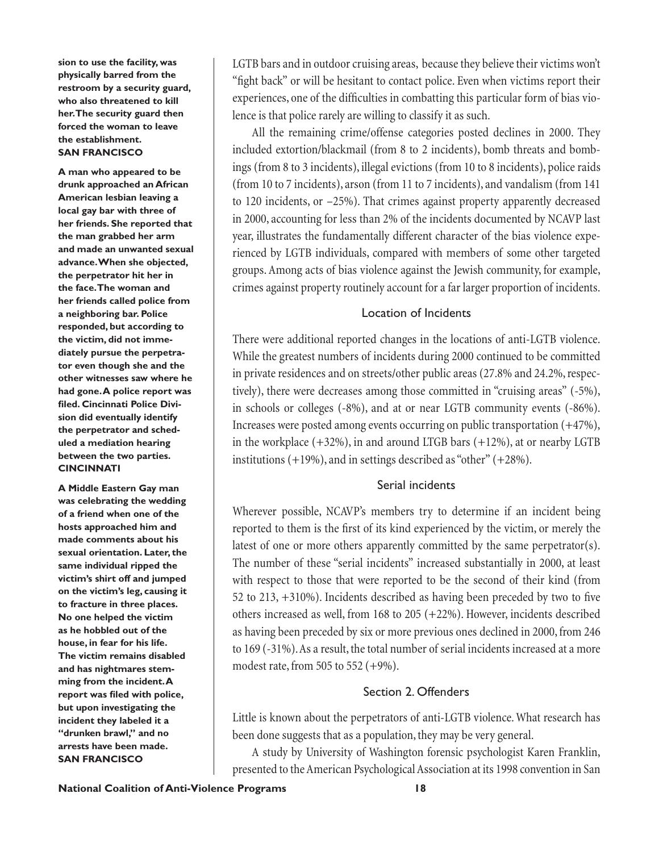**sion to use the facility, was physically barred from the restroom by a security guard, who also threatened to kill her. The security guard then forced the woman to leave the establishment. SAN FRANCISCO**

**A man who appeared to be drunk approached an African American lesbian leaving a local gay bar with three of her friends. She reported that the man grabbed her arm and made an unwanted sexual advance. When she objected, the perpetrator hit her in the face. The woman and her friends called police from a neighboring bar. Police responded, but according to the victim, did not immediately pursue the perpetrator even though she and the other witnesses saw where he had gone. A police report was**  filed. Cincinnati Police Divi**sion did eventually identify the perpetrator and scheduled a mediation hearing between the two parties. CINCINNATI**

**A Middle Eastern Gay man was celebrating the wedding of a friend when one of the hosts approached him and made comments about his sexual orientation. Later, the same individual ripped the victim's shirt off and jumped on the victim's leg, causing it to fracture in three places. No one helped the victim as he hobbled out of the house, in fear for his life. The victim remains disabled and has nightmares stemming from the incident. A**  report was filed with police, **but upon investigating the incident they labeled it a "drunken brawl," and no arrests have been made. SAN FRANCISCO**

LGTB bars and in outdoor cruising areas, because they believe their victims won't "fight back" or will be hesitant to contact police. Even when victims report their experiences, one of the difficulties in combatting this particular form of bias violence is that police rarely are willing to classify it as such.

All the remaining crime/offense categories posted declines in 2000. They included extortion/blackmail (from 8 to 2 incidents), bomb threats and bombings (from 8 to 3 incidents), illegal evictions (from 10 to 8 incidents), police raids (from 10 to 7 incidents), arson (from 11 to 7 incidents), and vandalism (from 141 to 120 incidents, or –25%). That crimes against property apparently decreased in 2000, accounting for less than 2% of the incidents documented by NCAVP last year, illustrates the fundamentally different character of the bias violence experienced by LGTB individuals, compared with members of some other targeted groups. Among acts of bias violence against the Jewish community, for example, crimes against property routinely account for a far larger proportion of incidents.

## Location of Incidents

There were additional reported changes in the locations of anti-LGTB violence. While the greatest numbers of incidents during 2000 continued to be committed in private residences and on streets/other public areas (27.8% and 24.2%, respectively), there were decreases among those committed in "cruising areas" (-5%), in schools or colleges (-8%), and at or near LGTB community events (-86%). Increases were posted among events occurring on public transportation (+47%), in the workplace  $(+32%)$ , in and around LTGB bars  $(+12%)$ , at or nearby LGTB institutions (+19%), and in settings described as "other" (+28%).

## Serial incidents

Wherever possible, NCAVP's members try to determine if an incident being reported to them is the first of its kind experienced by the victim, or merely the latest of one or more others apparently committed by the same perpetrator(s). The number of these "serial incidents" increased substantially in 2000, at least with respect to those that were reported to be the second of their kind (from 52 to  $213, +310%$ ). Incidents described as having been preceded by two to five others increased as well, from 168 to 205 (+22%). However, incidents described as having been preceded by six or more previous ones declined in 2000, from 246 to 169 (-31%). As a result, the total number of serial incidents increased at a more modest rate, from 505 to 552 (+9%).

## Section 2. Offenders

Little is known about the perpetrators of anti-LGTB violence. What research has been done suggests that as a population, they may be very general.

A study by University of Washington forensic psychologist Karen Franklin, presented to the American Psychological Association at its 1998 convention in San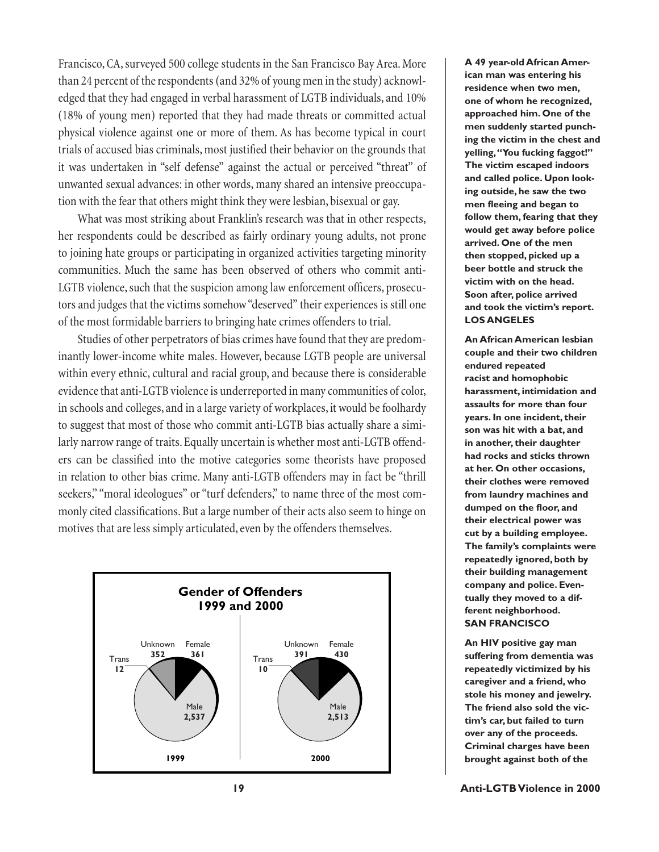Francisco, CA, surveyed 500 college students in the San Francisco Bay Area. More than 24 percent of the respondents (and 32% of young men in the study) acknowledged that they had engaged in verbal harassment of LGTB individuals, and 10% (18% of young men) reported that they had made threats or committed actual physical violence against one or more of them. As has become typical in court trials of accused bias criminals, most justified their behavior on the grounds that it was undertaken in "self defense" against the actual or perceived "threat" of unwanted sexual advances: in other words, many shared an intensive preoccupation with the fear that others might think they were lesbian, bisexual or gay.

What was most striking about Franklin's research was that in other respects, her respondents could be described as fairly ordinary young adults, not prone to joining hate groups or participating in organized activities targeting minority communities. Much the same has been observed of others who commit anti-LGTB violence, such that the suspicion among law enforcement officers, prosecutors and judges that the victims somehow "deserved" their experiences is still one of the most formidable barriers to bringing hate crimes offenders to trial.

Studies of other perpetrators of bias crimes have found that they are predominantly lower-income white males. However, because LGTB people are universal within every ethnic, cultural and racial group, and because there is considerable evidence that anti-LGTB violence is underreported in many communities of color, in schools and colleges, and in a large variety of workplaces, it would be foolhardy to suggest that most of those who commit anti-LGTB bias actually share a similarly narrow range of traits. Equally uncertain is whether most anti-LGTB offenders can be classified into the motive categories some theorists have proposed in relation to other bias crime. Many anti-LGTB offenders may in fact be "thrill seekers," "moral ideologues" or "turf defenders," to name three of the most commonly cited classifications. But a large number of their acts also seem to hinge on motives that are less simply articulated, even by the offenders themselves.



**A 49 year-old African American man was entering his residence when two men, one of whom he recognized, approached him. One of the men suddenly started punching the victim in the chest and yelling, "You fucking faggot!" The victim escaped indoors and called police. Upon looking outside, he saw the two men fl eeing and began to follow them, fearing that they would get away before police arrived. One of the men then stopped, picked up a beer bottle and struck the victim with on the head. Soon after, police arrived and took the victim's report. LOS ANGELES**

**An African American lesbian couple and their two children endured repeated racist and homophobic harassment, intimidation and assaults for more than four years. In one incident, their son was hit with a bat, and in another, their daughter had rocks and sticks thrown at her. On other occasions, their clothes were removed from laundry machines and**  dumped on the floor, and **their electrical power was cut by a building employee. The family's complaints were repeatedly ignored, both by their building management company and police. Eventually they moved to a different neighborhood. SAN FRANCISCO**

**An HIV positive gay man suffering from dementia was repeatedly victimized by his caregiver and a friend, who stole his money and jewelry. The friend also sold the victim's car, but failed to turn over any of the proceeds. Criminal charges have been brought against both of the**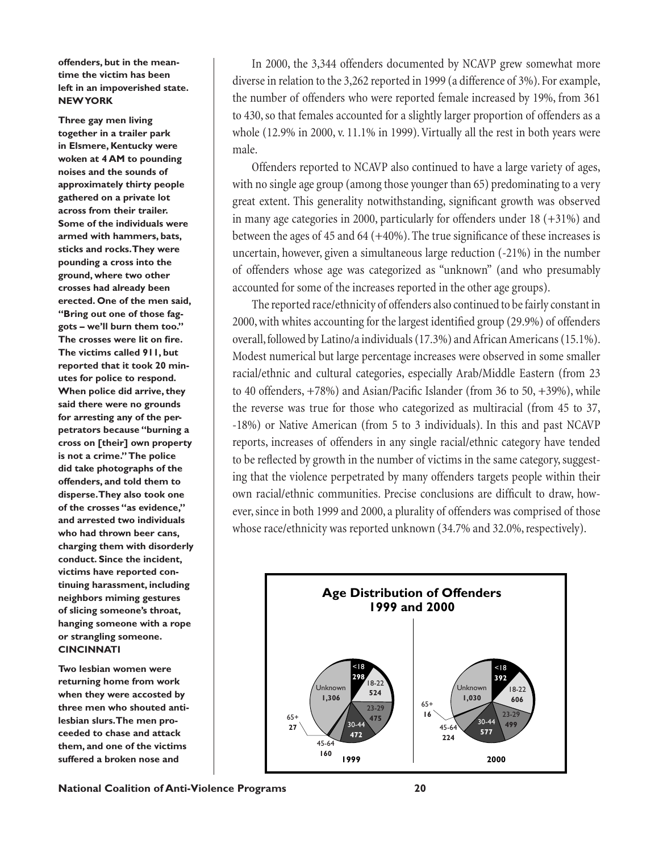**offenders, but in the meantime the victim has been left in an impoverished state. NEW YORK**

**Three gay men living together in a trailer park in Elsmere, Kentucky were woken at 4 AM to pounding noises and the sounds of approximately thirty people gathered on a private lot across from their trailer. Some of the individuals were armed with hammers, bats, sticks and rocks. They were pounding a cross into the ground, where two other crosses had already been erected. One of the men said, "Bring out one of those faggots – we'll burn them too."** The crosses were lit on fire. **The victims called 911, but reported that it took 20 minutes for police to respond. When police did arrive, they said there were no grounds for arresting any of the perpetrators because "burning a cross on [their] own property is not a crime." The police did take photographs of the offenders, and told them to disperse. They also took one of the crosses "as evidence," and arrested two individuals who had thrown beer cans, charging them with disorderly conduct. Since the incident, victims have reported continuing harassment, including neighbors miming gestures of slicing someone's throat, hanging someone with a rope or strangling someone. CINCINNATI**

**Two lesbian women were returning home from work when they were accosted by three men who shouted antilesbian slurs. The men proceeded to chase and attack them, and one of the victims suffered a broken nose and** 

In 2000, the 3,344 offenders documented by NCAVP grew somewhat more diverse in relation to the 3,262 reported in 1999 (a difference of 3%). For example, the number of offenders who were reported female increased by 19%, from 361 to 430, so that females accounted for a slightly larger proportion of offenders as a whole (12.9% in 2000, v. 11.1% in 1999). Virtually all the rest in both years were male.

Offenders reported to NCAVP also continued to have a large variety of ages, with no single age group (among those younger than 65) predominating to a very great extent. This generality notwithstanding, significant growth was observed in many age categories in 2000, particularly for offenders under  $18 (+31%)$  and between the ages of 45 and 64 ( $+40\%$ ). The true significance of these increases is uncertain, however, given a simultaneous large reduction (-21%) in the number of offenders whose age was categorized as "unknown" (and who presumably accounted for some of the increases reported in the other age groups).

The reported race/ethnicity of offenders also continued to be fairly constant in 2000, with whites accounting for the largest identified group (29.9%) of offenders overall, followed by Latino/a individuals (17.3%) and African Americans (15.1%). Modest numerical but large percentage increases were observed in some smaller racial/ethnic and cultural categories, especially Arab/Middle Eastern (from 23 to 40 offenders,  $+78%$ ) and Asian/Pacific Islander (from 36 to 50,  $+39%$ ), while the reverse was true for those who categorized as multiracial (from 45 to 37, -18%) or Native American (from 5 to 3 individuals). In this and past NCAVP reports, increases of offenders in any single racial/ethnic category have tended to be reflected by growth in the number of victims in the same category, suggesting that the violence perpetrated by many offenders targets people within their own racial/ethnic communities. Precise conclusions are difficult to draw, however, since in both 1999 and 2000, a plurality of offenders was comprised of those whose race/ethnicity was reported unknown (34.7% and 32.0%, respectively).

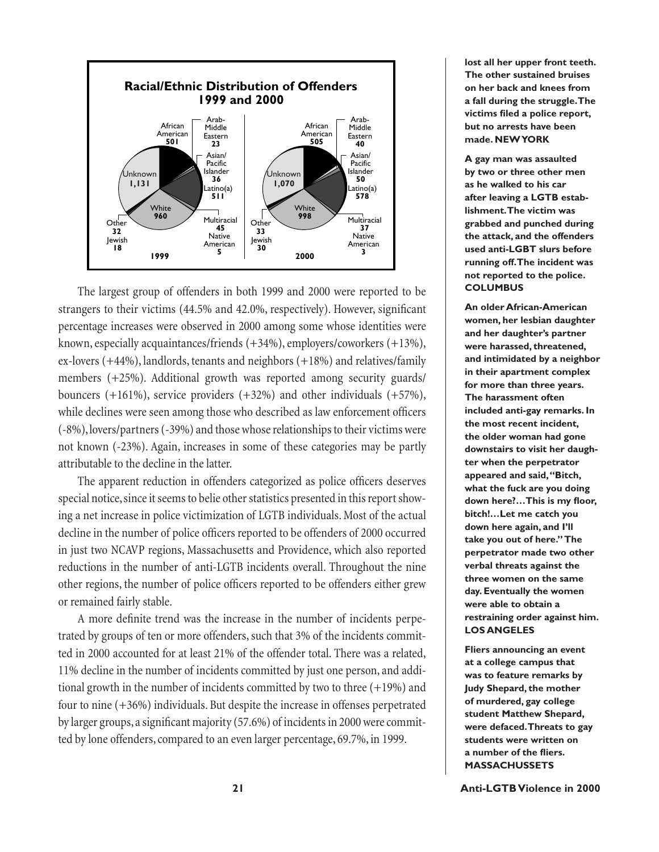

The largest group of offenders in both 1999 and 2000 were reported to be strangers to their victims (44.5% and 42.0%, respectively). However, significant percentage increases were observed in 2000 among some whose identities were known, especially acquaintances/friends (+34%), employers/coworkers (+13%), ex-lovers (+44%), landlords, tenants and neighbors (+18%) and relatives/family members (+25%). Additional growth was reported among security guards/ bouncers (+161%), service providers (+32%) and other individuals (+57%), while declines were seen among those who described as law enforcement officers (-8%), lovers/partners (-39%) and those whose relationships to their victims were not known (-23%). Again, increases in some of these categories may be partly attributable to the decline in the latter.

The apparent reduction in offenders categorized as police officers deserves special notice, since it seems to belie other statistics presented in this report showing a net increase in police victimization of LGTB individuals. Most of the actual decline in the number of police officers reported to be offenders of 2000 occurred in just two NCAVP regions, Massachusetts and Providence, which also reported reductions in the number of anti-LGTB incidents overall. Throughout the nine other regions, the number of police officers reported to be offenders either grew or remained fairly stable.

A more definite trend was the increase in the number of incidents perpetrated by groups of ten or more offenders, such that 3% of the incidents committed in 2000 accounted for at least 21% of the offender total. There was a related, 11% decline in the number of incidents committed by just one person, and additional growth in the number of incidents committed by two to three (+19%) and four to nine (+36%) individuals. But despite the increase in offenses perpetrated by larger groups, a significant majority (57.6%) of incidents in 2000 were committed by lone offenders, compared to an even larger percentage, 69.7%, in 1999.

**lost all her upper front teeth. The other sustained bruises on her back and knees from a fall during the struggle. The**  victims filed a police report, **but no arrests have been made. NEW YORK**

**A gay man was assaulted by two or three other men as he walked to his car after leaving a LGTB establishment. The victim was grabbed and punched during the attack, and the offenders used anti-LGBT slurs before running off. The incident was not reported to the police. COLUMBUS**

**An older African-American women, her lesbian daughter and her daughter's partner were harassed, threatened, and intimidated by a neighbor in their apartment complex for more than three years. The harassment often included anti-gay remarks. In the most recent incident, the older woman had gone downstairs to visit her daughter when the perpetrator appeared and said, "Bitch, what the fuck are you doing**  down here?...This is my floor, **bitch!…Let me catch you down here again, and I'll take you out of here." The perpetrator made two other verbal threats against the three women on the same day. Eventually the women were able to obtain a restraining order against him. LOS ANGELES**

**Fliers announcing an event at a college campus that was to feature remarks by Judy Shepard, the mother of murdered, gay college student Matthew Shepard, were defaced. Threats to gay students were written on a** number of the fliers. **MASSACHUSSETS**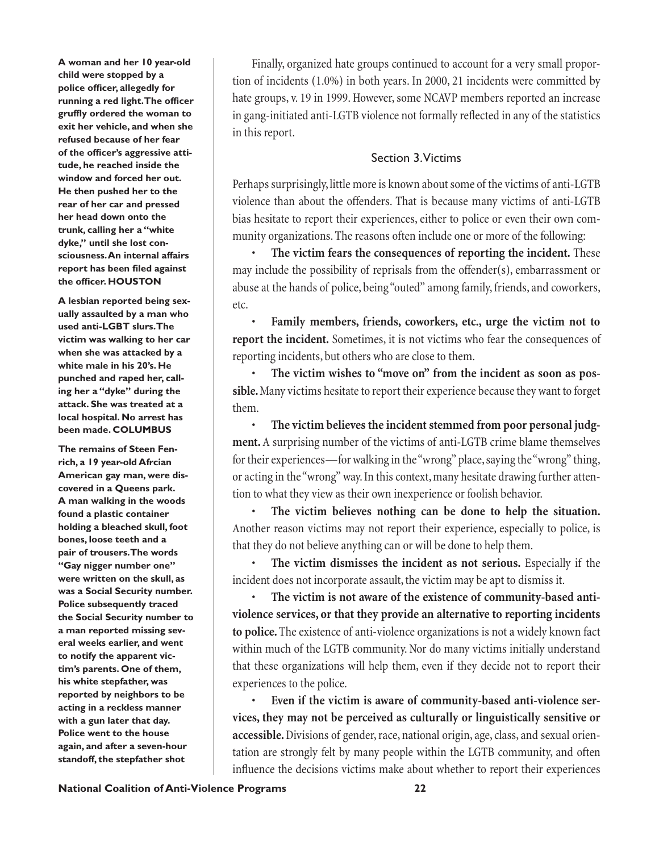**A woman and her 10 year-old child were stopped by a**  police officer, allegedly for **running a red light. The officer** gruffly ordered the woman to **exit her vehicle, and when she refused because of her fear**  of the officer's aggressive atti**tude, he reached inside the window and forced her out. He then pushed her to the rear of her car and pressed her head down onto the trunk, calling her a "white dyke," until she lost consciousness. An internal affairs report has been filed against** the officer. **HOUSTON** 

**A lesbian reported being sexually assaulted by a man who used anti-LGBT slurs. The victim was walking to her car when she was attacked by a white male in his 20's. He punched and raped her, calling her a "dyke" during the attack. She was treated at a local hospital. No arrest has been made. COLUMBUS**

**The remains of Steen Fenrich, a 19 year-old Afrcian American gay man, were discovered in a Queens park. A man walking in the woods found a plastic container holding a bleached skull, foot bones, loose teeth and a pair of trousers. The words "Gay nigger number one" were written on the skull, as was a Social Security number. Police subsequently traced the Social Security number to a man reported missing several weeks earlier, and went to notify the apparent victim's parents. One of them, his white stepfather, was reported by neighbors to be acting in a reckless manner with a gun later that day. Police went to the house again, and after a seven-hour standoff, the stepfather shot** 

Finally, organized hate groups continued to account for a very small proportion of incidents (1.0%) in both years. In 2000, 21 incidents were committed by hate groups, v. 19 in 1999. However, some NCAVP members reported an increase in gang-initiated anti-LGTB violence not formally reflected in any of the statistics in this report.

# Section 3. Victims

Perhaps surprisingly, little more is known about some of the victims of anti-LGTB violence than about the offenders. That is because many victims of anti-LGTB bias hesitate to report their experiences, either to police or even their own community organizations. The reasons often include one or more of the following:

• **The victim fears the consequences of reporting the incident.** These may include the possibility of reprisals from the offender(s), embarrassment or abuse at the hands of police, being "outed" among family, friends, and coworkers, etc.

• **Family members, friends, coworkers, etc., urge the victim not to report the incident.** Sometimes, it is not victims who fear the consequences of reporting incidents, but others who are close to them.

• **The victim wishes to "move on" from the incident as soon as possible.** Many victims hesitate to report their experience because they want to forget them.

• **The victim believes the incident stemmed from poor personal judgment.** A surprising number of the victims of anti-LGTB crime blame themselves for their experiences—for walking in the "wrong" place, saying the "wrong" thing, or acting in the "wrong" way. In this context, many hesitate drawing further attention to what they view as their own inexperience or foolish behavior.

• **The victim believes nothing can be done to help the situation.** Another reason victims may not report their experience, especially to police, is that they do not believe anything can or will be done to help them.

• **The victim dismisses the incident as not serious.** Especially if the incident does not incorporate assault, the victim may be apt to dismiss it.

• **The victim is not aware of the existence of community-based antiviolence services, or that they provide an alternative to reporting incidents to police.** The existence of anti-violence organizations is not a widely known fact within much of the LGTB community. Nor do many victims initially understand that these organizations will help them, even if they decide not to report their experiences to the police.

Even if the victim is aware of community-based anti-violence ser**vices, they may not be perceived as culturally or linguistically sensitive or accessible.** Divisions of gender, race, national origin, age, class, and sexual orientation are strongly felt by many people within the LGTB community, and often influence the decisions victims make about whether to report their experiences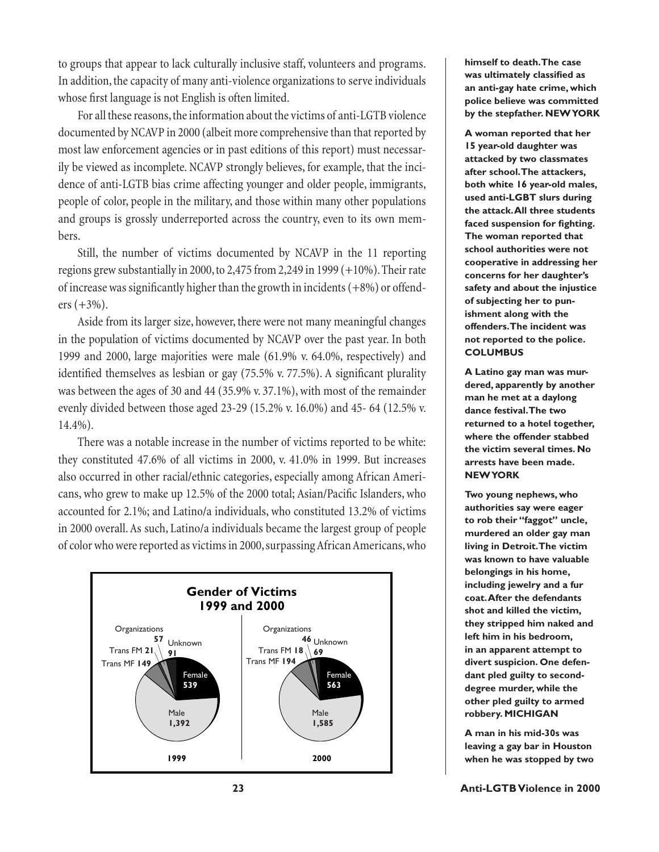to groups that appear to lack culturally inclusive staff, volunteers and programs. In addition, the capacity of many anti-violence organizations to serve individuals whose first language is not English is often limited.

For all these reasons, the information about the victims of anti-LGTB violence documented by NCAVP in 2000 (albeit more comprehensive than that reported by most law enforcement agencies or in past editions of this report) must necessarily be viewed as incomplete. NCAVP strongly believes, for example, that the incidence of anti-LGTB bias crime affecting younger and older people, immigrants, people of color, people in the military, and those within many other populations and groups is grossly underreported across the country, even to its own members.

Still, the number of victims documented by NCAVP in the 11 reporting regions grew substantially in 2000, to 2,475 from 2,249 in 1999 (+10%). Their rate of increase was significantly higher than the growth in incidents  $(+8%)$  or offenders  $(+3%)$ .

Aside from its larger size, however, there were not many meaningful changes in the population of victims documented by NCAVP over the past year. In both 1999 and 2000, large majorities were male (61.9% v. 64.0%, respectively) and identified themselves as lesbian or gay  $(75.5\% \text{ v. } 77.5\%)$ . A significant plurality was between the ages of 30 and 44 (35.9% v. 37.1%), with most of the remainder evenly divided between those aged 23-29 (15.2% v. 16.0%) and 45- 64 (12.5% v. 14.4%).

There was a notable increase in the number of victims reported to be white: they constituted 47.6% of all victims in 2000, v. 41.0% in 1999. But increases also occurred in other racial/ethnic categories, especially among African Americans, who grew to make up 12.5% of the 2000 total; Asian/Pacific Islanders, who accounted for 2.1%; and Latino/a individuals, who constituted 13.2% of victims in 2000 overall. As such, Latino/a individuals became the largest group of people of color who were reported as victims in 2000, surpassing African Americans, who



**himself to death. The case**  was ultimately classified as **an anti-gay hate crime, which police believe was committed by the stepfather. NEW YORK**

**A woman reported that her 15 year-old daughter was attacked by two classmates after school. The attackers, both white 16 year-old males, used anti-LGBT slurs during the attack. All three students**  faced suspension for fighting. **The woman reported that school authorities were not cooperative in addressing her concerns for her daughter's safety and about the injustice of subjecting her to punishment along with the offenders. The incident was not reported to the police. COLUMBUS**

**A Latino gay man was murdered, apparently by another man he met at a daylong dance festival. The two returned to a hotel together, where the offender stabbed the victim several times. No arrests have been made. NEW YORK**

**Two young nephews, who authorities say were eager to rob their "faggot" uncle, murdered an older gay man living in Detroit. The victim was known to have valuable belongings in his home, including jewelry and a fur coat. After the defendants shot and killed the victim, they stripped him naked and left him in his bedroom, in an apparent attempt to divert suspicion. One defendant pled guilty to seconddegree murder, while the other pled guilty to armed robbery. MICHIGAN**

**A man in his mid-30s was leaving a gay bar in Houston when he was stopped by two**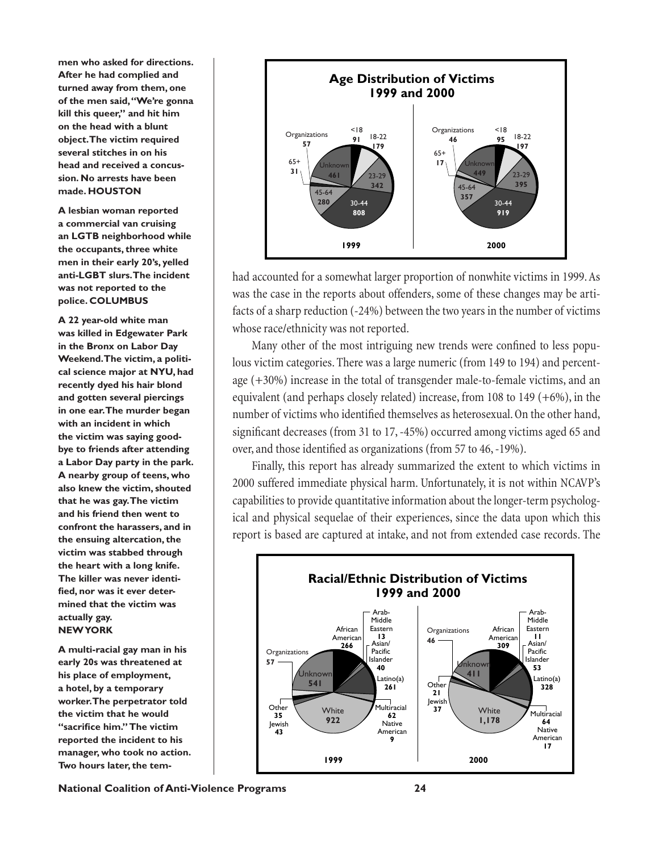**men who asked for directions. After he had complied and turned away from them, one of the men said, "We're gonna kill this queer," and hit him on the head with a blunt object. The victim required several stitches in on his head and received a concussion. No arrests have been made. HOUSTON**

**A lesbian woman reported a commercial van cruising an LGTB neighborhood while the occupants, three white men in their early 20's, yelled anti-LGBT slurs. The incident was not reported to the police. COLUMBUS**

**A 22 year-old white man was killed in Edgewater Park in the Bronx on Labor Day Weekend. The victim, a political science major at NYU, had recently dyed his hair blond and gotten several piercings in one ear. The murder began with an incident in which the victim was saying goodbye to friends after attending a Labor Day party in the park. A nearby group of teens, who also knew the victim, shouted that he was gay. The victim and his friend then went to confront the harassers, and in the ensuing altercation, the victim was stabbed through the heart with a long knife. The killer was never identi**fied, nor was it ever deter**mined that the victim was actually gay. NEW YORK**

**A multi-racial gay man in his early 20s was threatened at his place of employment, a hotel, by a temporary worker. The perpetrator told the victim that he would**  "sacrifice him." The victim **reported the incident to his manager, who took no action. Two hours later, the tem-**



had accounted for a somewhat larger proportion of nonwhite victims in 1999. As was the case in the reports about offenders, some of these changes may be artifacts of a sharp reduction (-24%) between the two years in the number of victims whose race/ethnicity was not reported.

Many other of the most intriguing new trends were confined to less populous victim categories. There was a large numeric (from 149 to 194) and percentage (+30%) increase in the total of transgender male-to-female victims, and an equivalent (and perhaps closely related) increase, from 108 to 149  $(+6%)$ , in the number of victims who identified themselves as heterosexual. On the other hand, significant decreases (from 31 to 17, -45%) occurred among victims aged 65 and over, and those identified as organizations (from 57 to 46, -19%).

Finally, this report has already summarized the extent to which victims in 2000 suffered immediate physical harm. Unfortunately, it is not within NCAVP's capabilities to provide quantitative information about the longer-term psychological and physical sequelae of their experiences, since the data upon which this report is based are captured at intake, and not from extended case records. The



**National Coalition of Anti-Violence Programs 24**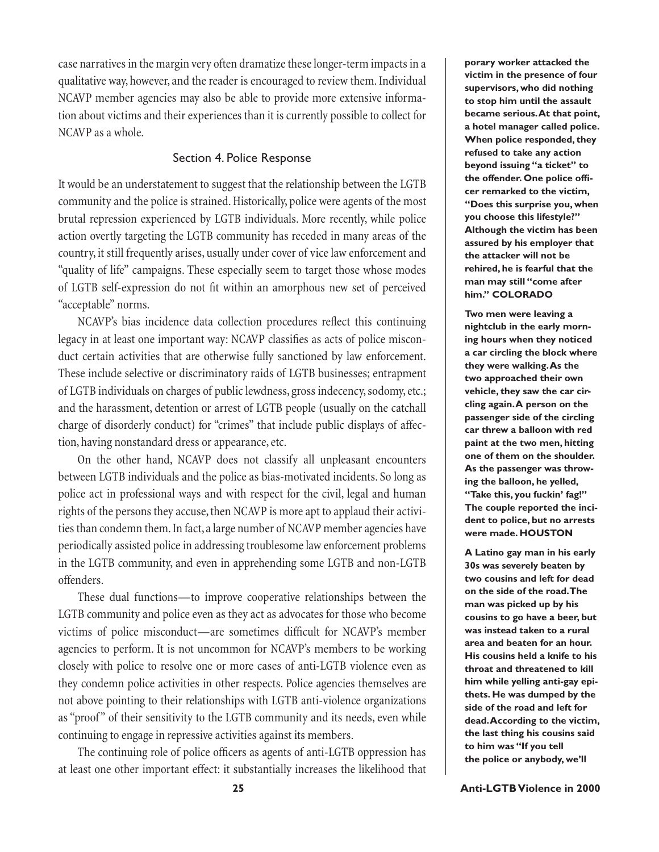case narratives in the margin very often dramatize these longer-term impacts in a qualitative way, however, and the reader is encouraged to review them. Individual NCAVP member agencies may also be able to provide more extensive information about victims and their experiences than it is currently possible to collect for NCAVP as a whole.

### Section 4. Police Response

It would be an understatement to suggest that the relationship between the LGTB community and the police is strained. Historically, police were agents of the most brutal repression experienced by LGTB individuals. More recently, while police action overtly targeting the LGTB community has receded in many areas of the country, it still frequently arises, usually under cover of vice law enforcement and "quality of life" campaigns. These especially seem to target those whose modes of LGTB self-expression do not fi t within an amorphous new set of perceived "acceptable" norms.

NCAVP's bias incidence data collection procedures reflect this continuing legacy in at least one important way: NCAVP classifies as acts of police misconduct certain activities that are otherwise fully sanctioned by law enforcement. These include selective or discriminatory raids of LGTB businesses; entrapment of LGTB individuals on charges of public lewdness, gross indecency, sodomy, etc.; and the harassment, detention or arrest of LGTB people (usually on the catchall charge of disorderly conduct) for "crimes" that include public displays of affection, having nonstandard dress or appearance, etc.

On the other hand, NCAVP does not classify all unpleasant encounters between LGTB individuals and the police as bias-motivated incidents. So long as police act in professional ways and with respect for the civil, legal and human rights of the persons they accuse, then NCAVP is more apt to applaud their activities than condemn them. In fact, a large number of NCAVP member agencies have periodically assisted police in addressing troublesome law enforcement problems in the LGTB community, and even in apprehending some LGTB and non-LGTB offenders.

These dual functions—to improve cooperative relationships between the LGTB community and police even as they act as advocates for those who become victims of police misconduct—are sometimes difficult for NCAVP's member agencies to perform. It is not uncommon for NCAVP's members to be working closely with police to resolve one or more cases of anti-LGTB violence even as they condemn police activities in other respects. Police agencies themselves are not above pointing to their relationships with LGTB anti-violence organizations as "proof" of their sensitivity to the LGTB community and its needs, even while continuing to engage in repressive activities against its members.

The continuing role of police officers as agents of anti-LGTB oppression has at least one other important effect: it substantially increases the likelihood that

**porary worker attacked the victim in the presence of four supervisors, who did nothing to stop him until the assault became serious. At that point, a hotel manager called police. When police responded, they refused to take any action beyond issuing "a ticket" to the offender. One police offi cer remarked to the victim, "Does this surprise you, when you choose this lifestyle?" Although the victim has been assured by his employer that the attacker will not be rehired, he is fearful that the man may still "come after him." COLORADO**

**Two men were leaving a nightclub in the early morning hours when they noticed a car circling the block where they were walking. As the two approached their own vehicle, they saw the car circling again. A person on the passenger side of the circling car threw a balloon with red paint at the two men, hitting one of them on the shoulder. As the passenger was throwing the balloon, he yelled, "Take this, you fuckin' fag!" The couple reported the incident to police, but no arrests were made. HOUSTON**

**A Latino gay man in his early 30s was severely beaten by two cousins and left for dead on the side of the road. The man was picked up by his cousins to go have a beer, but was instead taken to a rural area and beaten for an hour. His cousins held a knife to his throat and threatened to kill him while yelling anti-gay epithets. He was dumped by the side of the road and left for dead. According to the victim, the last thing his cousins said to him was "If you tell the police or anybody, we'll**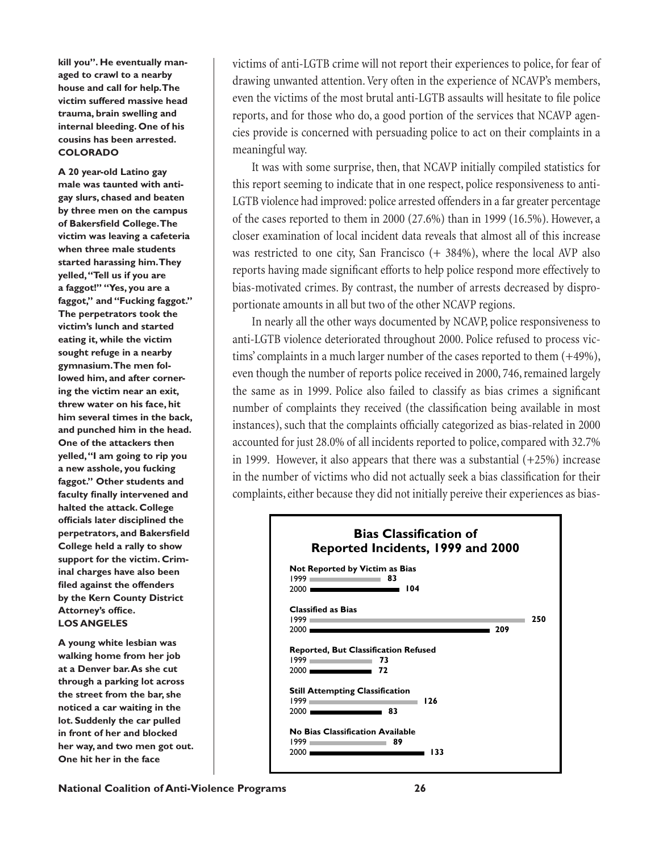**kill you". He eventually managed to crawl to a nearby house and call for help. The victim suffered massive head trauma, brain swelling and internal bleeding. One of his cousins has been arrested. COLORADO**

**A 20 year-old Latino gay male was taunted with antigay slurs, chased and beaten by three men on the campus of Bakersfield College. The victim was leaving a cafeteria when three male students started harassing him. They yelled, "Tell us if you are a faggot!" "Yes, you are a faggot," and "Fucking faggot." The perpetrators took the victim's lunch and started eating it, while the victim sought refuge in a nearby gymnasium. The men followed him, and after cornering the victim near an exit, threw water on his face, hit him several times in the back, and punched him in the head. One of the attackers then yelled, "I am going to rip you a new asshole, you fucking faggot." Other students and**  faculty finally intervened and **halted the attack. College offi cials later disciplined the perpetrators, and Bakersfield College held a rally to show support for the victim. Criminal charges have also been fi led against the offenders by the Kern County District Attorney's office. LOS ANGELES**

**A young white lesbian was walking home from her job at a Denver bar. As she cut through a parking lot across the street from the bar, she noticed a car waiting in the lot. Suddenly the car pulled in front of her and blocked her way, and two men got out. One hit her in the face** 

victims of anti-LGTB crime will not report their experiences to police, for fear of drawing unwanted attention. Very often in the experience of NCAVP's members, even the victims of the most brutal anti-LGTB assaults will hesitate to file police reports, and for those who do, a good portion of the services that NCAVP agencies provide is concerned with persuading police to act on their complaints in a meaningful way.

It was with some surprise, then, that NCAVP initially compiled statistics for this report seeming to indicate that in one respect, police responsiveness to anti-LGTB violence had improved: police arrested offenders in a far greater percentage of the cases reported to them in 2000 (27.6%) than in 1999 (16.5%). However, a closer examination of local incident data reveals that almost all of this increase was restricted to one city, San Francisco  $(+ 384%)$ , where the local AVP also reports having made significant efforts to help police respond more effectively to bias-motivated crimes. By contrast, the number of arrests decreased by disproportionate amounts in all but two of the other NCAVP regions.

In nearly all the other ways documented by NCAVP, police responsiveness to anti-LGTB violence deteriorated throughout 2000. Police refused to process victims' complaints in a much larger number of the cases reported to them (+49%), even though the number of reports police received in 2000, 746, remained largely the same as in 1999. Police also failed to classify as bias crimes a significant number of complaints they received (the classification being available in most instances), such that the complaints officially categorized as bias-related in 2000 accounted for just 28.0% of all incidents reported to police, compared with 32.7% in 1999. However, it also appears that there was a substantial  $(+25%)$  increase in the number of victims who did not actually seek a bias classification for their complaints, either because they did not initially pereive their experiences as bias-

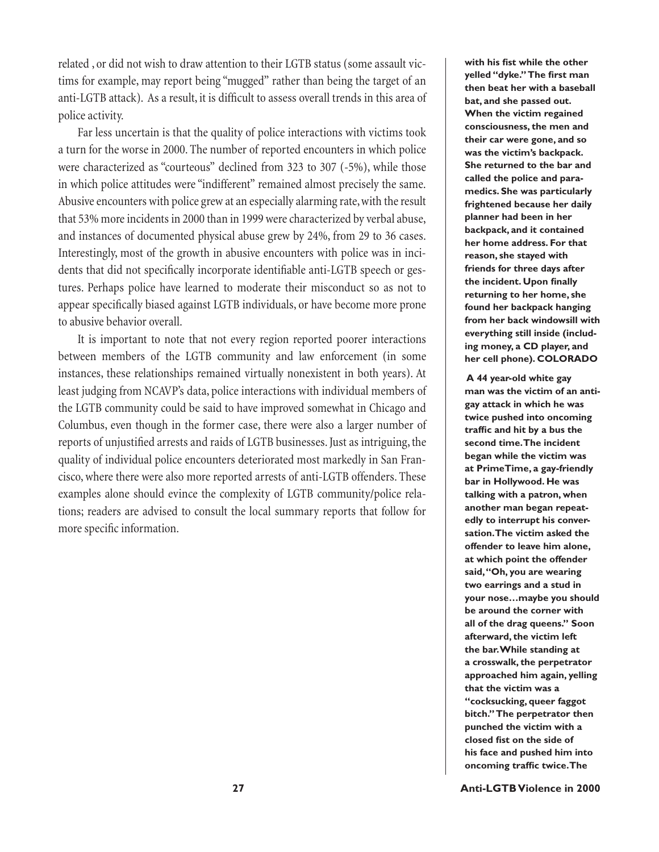related , or did not wish to draw attention to their LGTB status (some assault victims for example, may report being "mugged" rather than being the target of an anti-LGTB attack). As a result, it is difficult to assess overall trends in this area of police activity.

Far less uncertain is that the quality of police interactions with victims took a turn for the worse in 2000. The number of reported encounters in which police were characterized as "courteous" declined from 323 to 307 (-5%), while those in which police attitudes were "indifferent" remained almost precisely the same. Abusive encounters with police grew at an especially alarming rate, with the result that 53% more incidents in 2000 than in 1999 were characterized by verbal abuse, and instances of documented physical abuse grew by 24%, from 29 to 36 cases. Interestingly, most of the growth in abusive encounters with police was in incidents that did not specifically incorporate identifiable anti-LGTB speech or gestures. Perhaps police have learned to moderate their misconduct so as not to appear specifically biased against LGTB individuals, or have become more prone to abusive behavior overall.

It is important to note that not every region reported poorer interactions between members of the LGTB community and law enforcement (in some instances, these relationships remained virtually nonexistent in both years). At least judging from NCAVP's data, police interactions with individual members of the LGTB community could be said to have improved somewhat in Chicago and Columbus, even though in the former case, there were also a larger number of reports of unjustified arrests and raids of LGTB businesses. Just as intriguing, the quality of individual police encounters deteriorated most markedly in San Francisco, where there were also more reported arrests of anti-LGTB offenders. These examples alone should evince the complexity of LGTB community/police relations; readers are advised to consult the local summary reports that follow for more specific information.

with his fist while the other **yelled "dyke."** The first man **then beat her with a baseball bat, and she passed out. When the victim regained consciousness, the men and their car were gone, and so was the victim's backpack. She returned to the bar and called the police and paramedics. She was particularly frightened because her daily planner had been in her backpack, and it contained her home address. For that reason, she stayed with friends for three days after**  the incident. Upon finally **returning to her home, she found her backpack hanging from her back windowsill with everything still inside (including money, a CD player, and her cell phone). COLORADO**

 **A 44 year-old white gay man was the victim of an antigay attack in which he was twice pushed into oncoming**  traffic and hit by a bus the **second time. The incident began while the victim was at PrimeTime, a gay-friendly bar in Hollywood. He was talking with a patron, when another man began repeatedly to interrupt his conversation. The victim asked the offender to leave him alone, at which point the offender said, "Oh, you are wearing two earrings and a stud in your nose…maybe you should be around the corner with all of the drag queens." Soon afterward, the victim left the bar. While standing at a crosswalk, the perpetrator approached him again, yelling that the victim was a "cocksucking, queer faggot bitch." The perpetrator then punched the victim with a**  closed fist on the side of **his face and pushed him into oncoming traffic twice. The**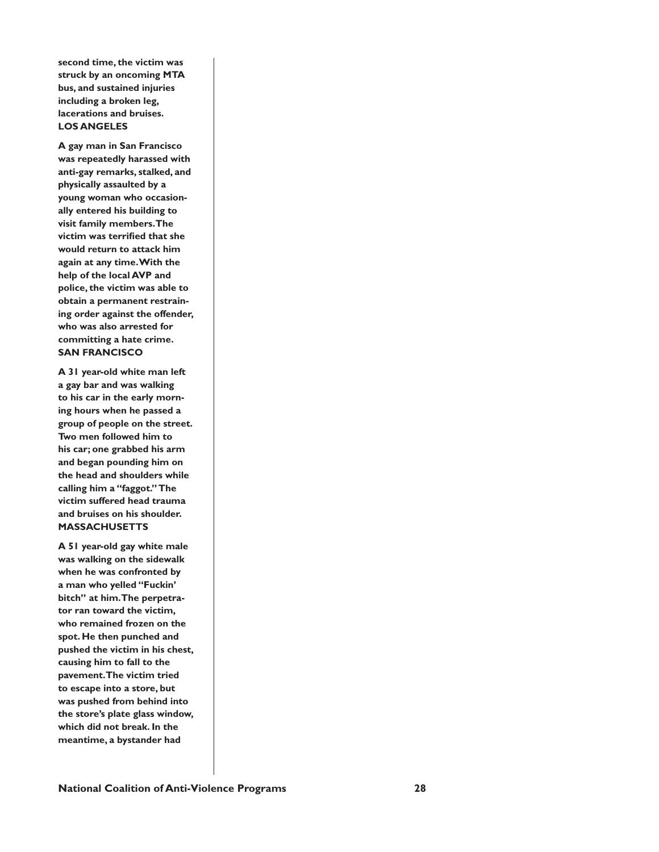**second time, the victim was struck by an oncoming MTA bus, and sustained injuries including a broken leg, lacerations and bruises. LOS ANGELES**

**A gay man in San Francisco was repeatedly harassed with anti-gay remarks, stalked, and physically assaulted by a young woman who occasionally entered his building to visit family members. The victim was terrified that she would return to attack him again at any time. With the help of the local AVP and police, the victim was able to obtain a permanent restraining order against the offender, who was also arrested for committing a hate crime. SAN FRANCISCO**

**A 31 year-old white man left a gay bar and was walking to his car in the early morning hours when he passed a group of people on the street. Two men followed him to his car; one grabbed his arm and began pounding him on the head and shoulders while calling him a "faggot." The victim suffered head trauma and bruises on his shoulder. MASSACHUSETTS**

**A 51 year-old gay white male was walking on the sidewalk when he was confronted by a man who yelled "Fuckin' bitch" at him. The perpetrator ran toward the victim, who remained frozen on the spot. He then punched and pushed the victim in his chest, causing him to fall to the pavement. The victim tried to escape into a store, but was pushed from behind into the store's plate glass window, which did not break. In the meantime, a bystander had**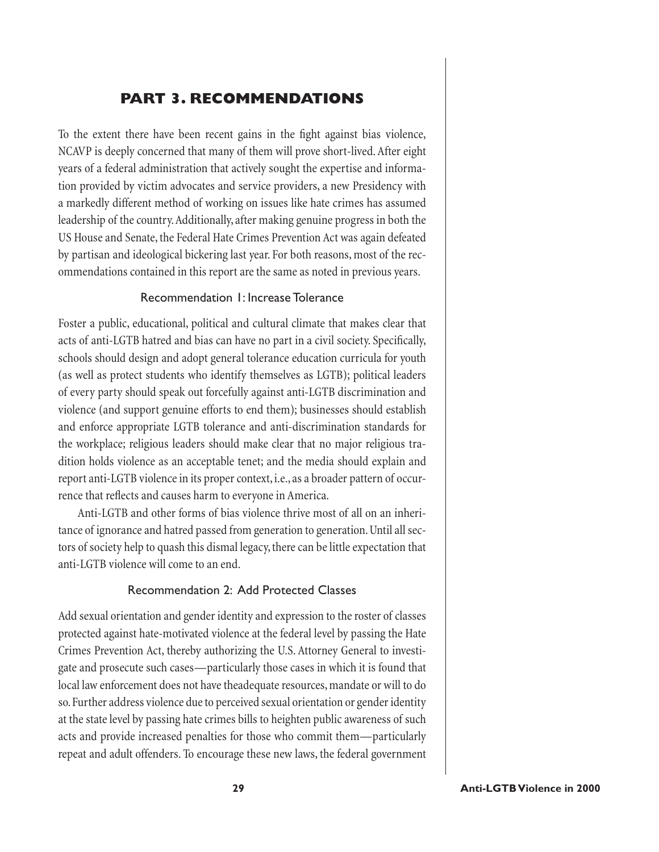# **PART 3. RECOMMENDATIONS**

To the extent there have been recent gains in the fight against bias violence, NCAVP is deeply concerned that many of them will prove short-lived. After eight years of a federal administration that actively sought the expertise and information provided by victim advocates and service providers, a new Presidency with a markedly different method of working on issues like hate crimes has assumed leadership of the country. Additionally, after making genuine progress in both the US House and Senate, the Federal Hate Crimes Prevention Act was again defeated by partisan and ideological bickering last year. For both reasons, most of the recommendations contained in this report are the same as noted in previous years.

## Recommendation 1: Increase Tolerance

Foster a public, educational, political and cultural climate that makes clear that acts of anti-LGTB hatred and bias can have no part in a civil society. Specifically, schools should design and adopt general tolerance education curricula for youth (as well as protect students who identify themselves as LGTB); political leaders of every party should speak out forcefully against anti-LGTB discrimination and violence (and support genuine efforts to end them); businesses should establish and enforce appropriate LGTB tolerance and anti-discrimination standards for the workplace; religious leaders should make clear that no major religious tradition holds violence as an acceptable tenet; and the media should explain and report anti-LGTB violence in its proper context, i.e., as a broader pattern of occurrence that reflects and causes harm to everyone in America.

Anti-LGTB and other forms of bias violence thrive most of all on an inheritance of ignorance and hatred passed from generation to generation. Until all sectors of society help to quash this dismal legacy, there can be little expectation that anti-LGTB violence will come to an end.

### Recommendation 2: Add Protected Classes

Add sexual orientation and gender identity and expression to the roster of classes protected against hate-motivated violence at the federal level by passing the Hate Crimes Prevention Act, thereby authorizing the U.S. Attorney General to investigate and prosecute such cases—particularly those cases in which it is found that local law enforcement does not have theadequate resources, mandate or will to do so. Further address violence due to perceived sexual orientation or gender identity at the state level by passing hate crimes bills to heighten public awareness of such acts and provide increased penalties for those who commit them—particularly repeat and adult offenders. To encourage these new laws, the federal government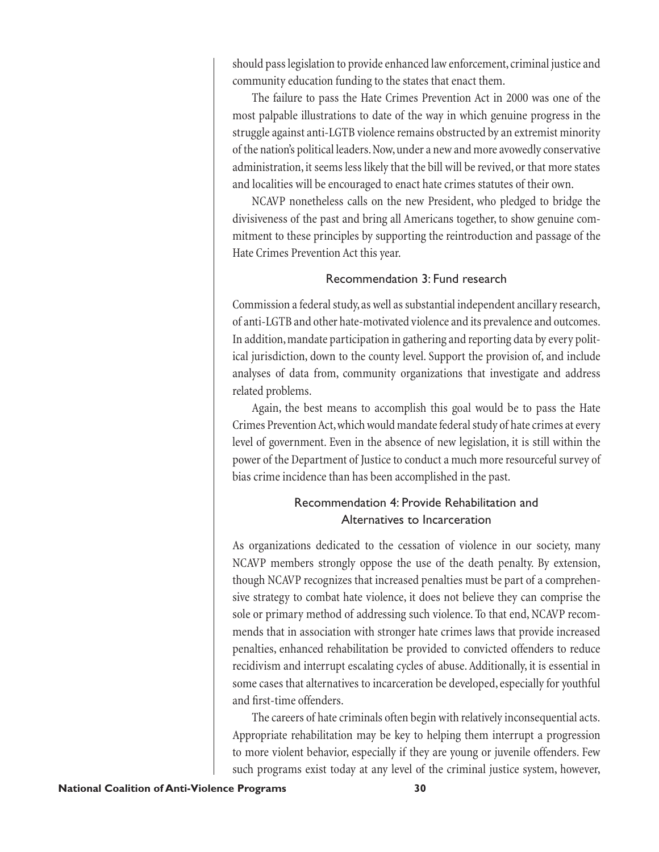should pass legislation to provide enhanced law enforcement, criminal justice and community education funding to the states that enact them.

The failure to pass the Hate Crimes Prevention Act in 2000 was one of the most palpable illustrations to date of the way in which genuine progress in the struggle against anti-LGTB violence remains obstructed by an extremist minority of the nation's political leaders. Now, under a new and more avowedly conservative administration, it seems less likely that the bill will be revived, or that more states and localities will be encouraged to enact hate crimes statutes of their own.

NCAVP nonetheless calls on the new President, who pledged to bridge the divisiveness of the past and bring all Americans together, to show genuine commitment to these principles by supporting the reintroduction and passage of the Hate Crimes Prevention Act this year.

## Recommendation 3: Fund research

Commission a federal study, as well as substantial independent ancillary research, of anti-LGTB and other hate-motivated violence and its prevalence and outcomes. In addition, mandate participation in gathering and reporting data by every political jurisdiction, down to the county level. Support the provision of, and include analyses of data from, community organizations that investigate and address related problems.

Again, the best means to accomplish this goal would be to pass the Hate Crimes Prevention Act, which would mandate federal study of hate crimes at every level of government. Even in the absence of new legislation, it is still within the power of the Department of Justice to conduct a much more resourceful survey of bias crime incidence than has been accomplished in the past.

# Recommendation 4: Provide Rehabilitation and Alternatives to Incarceration

As organizations dedicated to the cessation of violence in our society, many NCAVP members strongly oppose the use of the death penalty. By extension, though NCAVP recognizes that increased penalties must be part of a comprehensive strategy to combat hate violence, it does not believe they can comprise the sole or primary method of addressing such violence. To that end, NCAVP recommends that in association with stronger hate crimes laws that provide increased penalties, enhanced rehabilitation be provided to convicted offenders to reduce recidivism and interrupt escalating cycles of abuse. Additionally, it is essential in some cases that alternatives to incarceration be developed, especially for youthful and first-time offenders.

The careers of hate criminals often begin with relatively inconsequential acts. Appropriate rehabilitation may be key to helping them interrupt a progression to more violent behavior, especially if they are young or juvenile offenders. Few such programs exist today at any level of the criminal justice system, however,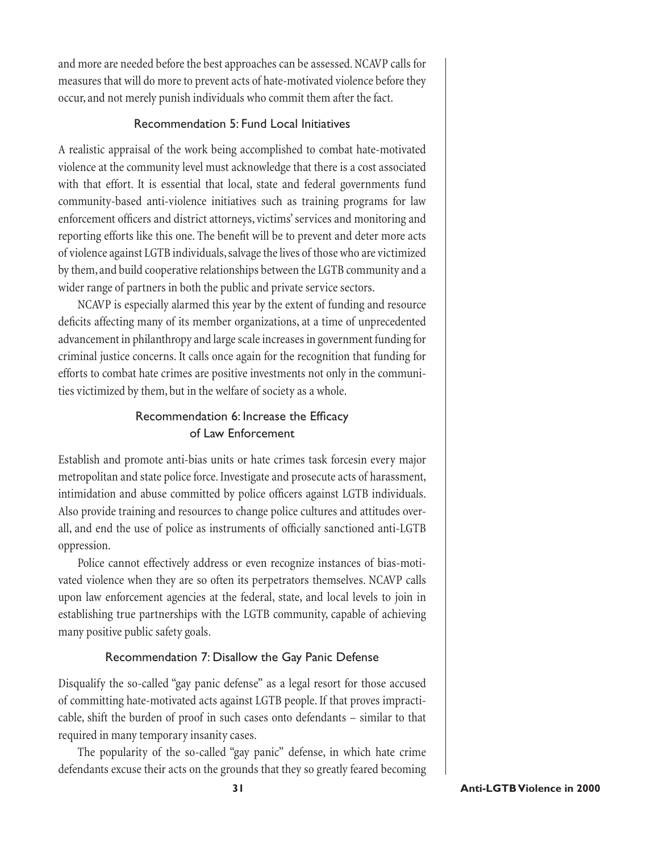and more are needed before the best approaches can be assessed. NCAVP calls for measures that will do more to prevent acts of hate-motivated violence before they occur, and not merely punish individuals who commit them after the fact.

## Recommendation 5: Fund Local Initiatives

A realistic appraisal of the work being accomplished to combat hate-motivated violence at the community level must acknowledge that there is a cost associated with that effort. It is essential that local, state and federal governments fund community-based anti-violence initiatives such as training programs for law enforcement officers and district attorneys, victims' services and monitoring and reporting efforts like this one. The benefit will be to prevent and deter more acts of violence against LGTB individuals, salvage the lives of those who are victimized by them, and build cooperative relationships between the LGTB community and a wider range of partners in both the public and private service sectors.

NCAVP is especially alarmed this year by the extent of funding and resource deficits affecting many of its member organizations, at a time of unprecedented advancement in philanthropy and large scale increases in government funding for criminal justice concerns. It calls once again for the recognition that funding for efforts to combat hate crimes are positive investments not only in the communities victimized by them, but in the welfare of society as a whole.

# Recommendation 6: Increase the Efficacy of Law Enforcement

Establish and promote anti-bias units or hate crimes task forcesin every major metropolitan and state police force. Investigate and prosecute acts of harassment, intimidation and abuse committed by police officers against LGTB individuals. Also provide training and resources to change police cultures and attitudes overall, and end the use of police as instruments of officially sanctioned anti-LGTB oppression.

Police cannot effectively address or even recognize instances of bias-motivated violence when they are so often its perpetrators themselves. NCAVP calls upon law enforcement agencies at the federal, state, and local levels to join in establishing true partnerships with the LGTB community, capable of achieving many positive public safety goals.

## Recommendation 7: Disallow the Gay Panic Defense

Disqualify the so-called "gay panic defense" as a legal resort for those accused of committing hate-motivated acts against LGTB people. If that proves impracticable, shift the burden of proof in such cases onto defendants – similar to that required in many temporary insanity cases.

The popularity of the so-called "gay panic" defense, in which hate crime defendants excuse their acts on the grounds that they so greatly feared becoming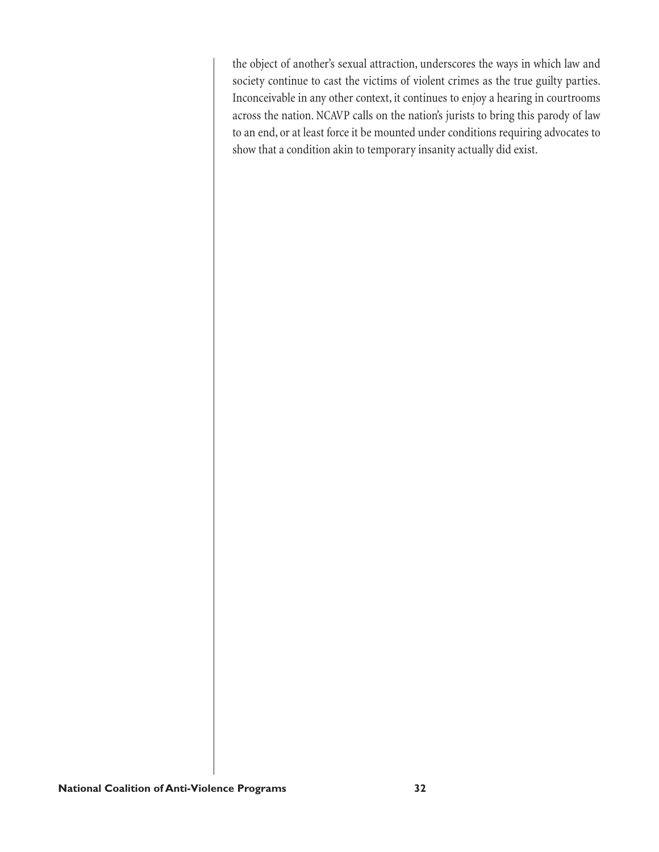the object of another's sexual attraction, underscores the ways in which law and society continue to cast the victims of violent crimes as the true guilty parties. Inconceivable in any other context, it continues to enjoy a hearing in courtrooms across the nation. NCAVP calls on the nation's jurists to bring this parody of law to an end, or at least force it be mounted under conditions requiring advocates to show that a condition akin to temporary insanity actually did exist.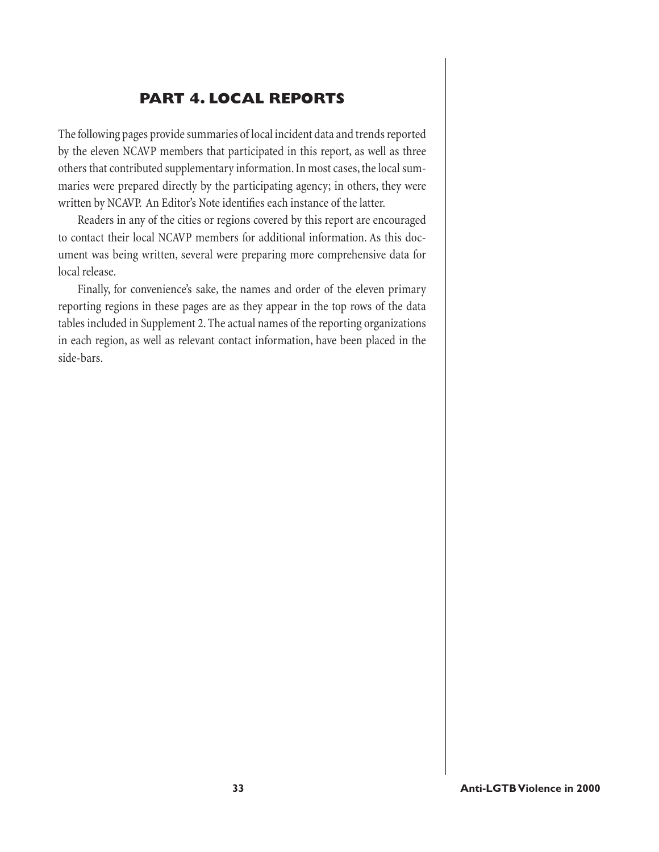# **PART 4. LOCAL REPORTS**

The following pages provide summaries of local incident data and trends reported by the eleven NCAVP members that participated in this report, as well as three others that contributed supplementary information. In most cases, the local summaries were prepared directly by the participating agency; in others, they were written by NCAVP. An Editor's Note identifies each instance of the latter.

Readers in any of the cities or regions covered by this report are encouraged to contact their local NCAVP members for additional information. As this document was being written, several were preparing more comprehensive data for local release.

Finally, for convenience's sake, the names and order of the eleven primary reporting regions in these pages are as they appear in the top rows of the data tables included in Supplement 2. The actual names of the reporting organizations in each region, as well as relevant contact information, have been placed in the side-bars.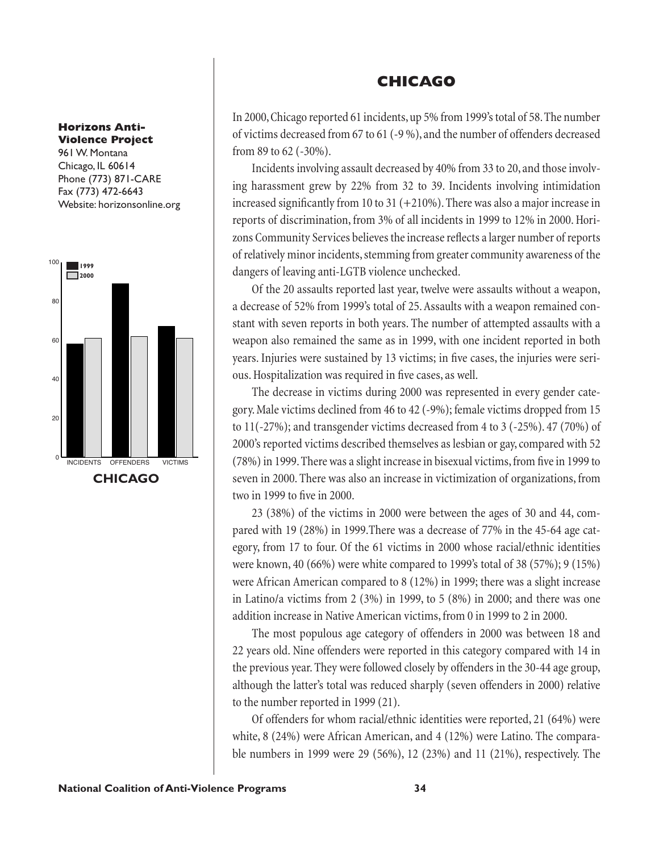#### **Horizons Anti-Violence Project**

961 W. Montana Chicago, IL 60614 Phone (773) 871-CARE Fax (773) 472-6643 Website: horizonsonline.org



## **CHICAGO**

In 2000, Chicago reported 61 incidents, up 5% from 1999's total of 58. The number of victims decreased from 67 to 61 (-9 %), and the number of offenders decreased from 89 to 62 (-30%).

Incidents involving assault decreased by 40% from 33 to 20, and those involving harassment grew by 22% from 32 to 39. Incidents involving intimidation increased significantly from 10 to 31  $(+210%)$ . There was also a major increase in reports of discrimination, from 3% of all incidents in 1999 to 12% in 2000. Horizons Community Services believes the increase reflects a larger number of reports of relatively minor incidents, stemming from greater community awareness of the dangers of leaving anti-LGTB violence unchecked.

Of the 20 assaults reported last year, twelve were assaults without a weapon, a decrease of 52% from 1999's total of 25. Assaults with a weapon remained constant with seven reports in both years. The number of attempted assaults with a weapon also remained the same as in 1999, with one incident reported in both years. Injuries were sustained by 13 victims; in five cases, the injuries were serious. Hospitalization was required in five cases, as well.

The decrease in victims during 2000 was represented in every gender category. Male victims declined from 46 to 42 (-9%); female victims dropped from 15 to 11(-27%); and transgender victims decreased from 4 to 3 (-25%). 47 (70%) of 2000's reported victims described themselves as lesbian or gay, compared with 52 (78%) in 1999. There was a slight increase in bisexual victims, from five in 1999 to seven in 2000. There was also an increase in victimization of organizations, from two in 1999 to five in 2000.

23 (38%) of the victims in 2000 were between the ages of 30 and 44, compared with 19 (28%) in 1999.There was a decrease of 77% in the 45-64 age category, from 17 to four. Of the 61 victims in 2000 whose racial/ethnic identities were known, 40 (66%) were white compared to 1999's total of 38 (57%); 9 (15%) were African American compared to 8 (12%) in 1999; there was a slight increase in Latino/a victims from 2 (3%) in 1999, to 5 (8%) in 2000; and there was one addition increase in Native American victims, from 0 in 1999 to 2 in 2000.

The most populous age category of offenders in 2000 was between 18 and 22 years old. Nine offenders were reported in this category compared with 14 in the previous year. They were followed closely by offenders in the 30-44 age group, although the latter's total was reduced sharply (seven offenders in 2000) relative to the number reported in 1999 (21).

Of offenders for whom racial/ethnic identities were reported, 21 (64%) were white, 8 (24%) were African American, and 4 (12%) were Latino. The comparable numbers in 1999 were 29 (56%), 12 (23%) and 11 (21%), respectively. The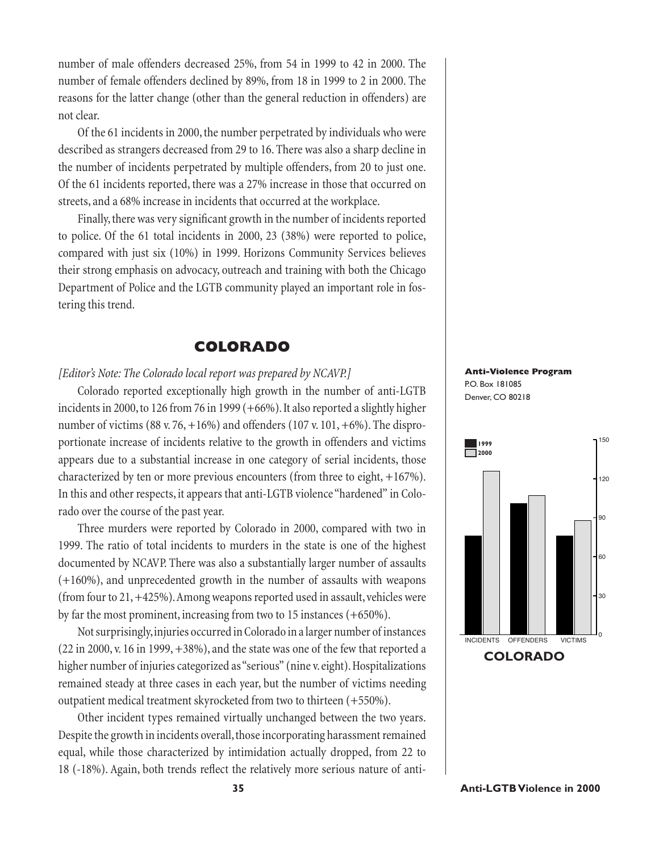number of male offenders decreased 25%, from 54 in 1999 to 42 in 2000. The number of female offenders declined by 89%, from 18 in 1999 to 2 in 2000. The reasons for the latter change (other than the general reduction in offenders) are not clear.

Of the 61 incidents in 2000, the number perpetrated by individuals who were described as strangers decreased from 29 to 16. There was also a sharp decline in the number of incidents perpetrated by multiple offenders, from 20 to just one. Of the 61 incidents reported, there was a 27% increase in those that occurred on streets, and a 68% increase in incidents that occurred at the workplace.

Finally, there was very significant growth in the number of incidents reported to police. Of the 61 total incidents in 2000, 23 (38%) were reported to police, compared with just six (10%) in 1999. Horizons Community Services believes their strong emphasis on advocacy, outreach and training with both the Chicago Department of Police and the LGTB community played an important role in fostering this trend.

### **COLORADO**

### *[Editor's Note: The Colorado local report was prepared by NCAVP.]*

Colorado reported exceptionally high growth in the number of anti-LGTB incidents in 2000, to 126 from 76 in 1999 (+66%). It also reported a slightly higher number of victims (88 v. 76,  $+16\%$ ) and offenders (107 v. 101,  $+6\%$ ). The disproportionate increase of incidents relative to the growth in offenders and victims appears due to a substantial increase in one category of serial incidents, those characterized by ten or more previous encounters (from three to eight, +167%). In this and other respects, it appears that anti-LGTB violence "hardened" in Colorado over the course of the past year.

Three murders were reported by Colorado in 2000, compared with two in 1999. The ratio of total incidents to murders in the state is one of the highest documented by NCAVP. There was also a substantially larger number of assaults (+160%), and unprecedented growth in the number of assaults with weapons (from four to 21, +425%). Among weapons reported used in assault, vehicles were by far the most prominent, increasing from two to 15 instances (+650%).

Not surprisingly, injuries occurred in Colorado in a larger number of instances  $(22 \text{ in } 2000, v. 16 \text{ in } 1999, +38\%)$ , and the state was one of the few that reported a higher number of injuries categorized as "serious" (nine v. eight). Hospitalizations remained steady at three cases in each year, but the number of victims needing outpatient medical treatment skyrocketed from two to thirteen (+550%).

Other incident types remained virtually unchanged between the two years. Despite the growth in incidents overall, those incorporating harassment remained equal, while those characterized by intimidation actually dropped, from 22 to 18 (-18%). Again, both trends reflect the relatively more serious nature of anti-



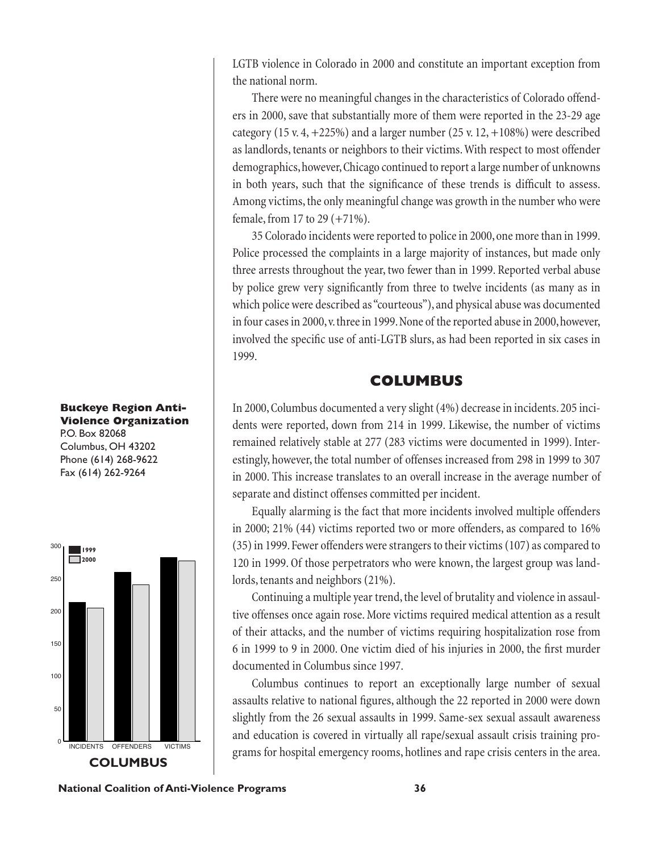LGTB violence in Colorado in 2000 and constitute an important exception from the national norm.

There were no meaningful changes in the characteristics of Colorado offenders in 2000, save that substantially more of them were reported in the 23-29 age category (15 v. 4,  $+225\%$ ) and a larger number (25 v. 12,  $+108\%$ ) were described as landlords, tenants or neighbors to their victims. With respect to most offender demographics, however, Chicago continued to report a large number of unknowns in both years, such that the significance of these trends is difficult to assess. Among victims, the only meaningful change was growth in the number who were female, from 17 to 29 (+71%).

35 Colorado incidents were reported to police in 2000, one more than in 1999. Police processed the complaints in a large majority of instances, but made only three arrests throughout the year, two fewer than in 1999. Reported verbal abuse by police grew very significantly from three to twelve incidents (as many as in which police were described as "courteous"), and physical abuse was documented in four cases in 2000, v. three in 1999. None of the reported abuse in 2000, however, involved the specific use of anti-LGTB slurs, as had been reported in six cases in 1999.

### **COLUMBUS**

In 2000, Columbus documented a very slight (4%) decrease in incidents. 205 incidents were reported, down from 214 in 1999. Likewise, the number of victims remained relatively stable at 277 (283 victims were documented in 1999). Interestingly, however, the total number of offenses increased from 298 in 1999 to 307 in 2000. This increase translates to an overall increase in the average number of separate and distinct offenses committed per incident.

Equally alarming is the fact that more incidents involved multiple offenders in 2000; 21% (44) victims reported two or more offenders, as compared to 16% (35) in 1999. Fewer offenders were strangers to their victims (107) as compared to 120 in 1999. Of those perpetrators who were known, the largest group was landlords, tenants and neighbors (21%).

Continuing a multiple year trend, the level of brutality and violence in assaultive offenses once again rose. More victims required medical attention as a result of their attacks, and the number of victims requiring hospitalization rose from 6 in 1999 to 9 in 2000. One victim died of his injuries in 2000, the first murder documented in Columbus since 1997.

Columbus continues to report an exceptionally large number of sexual assaults relative to national figures, although the 22 reported in 2000 were down slightly from the 26 sexual assaults in 1999. Same-sex sexual assault awareness and education is covered in virtually all rape/sexual assault crisis training pro-INCIDENTS OFFENDERS VICTIMS grams for hospital emergency rooms, hotlines and rape crisis centers in the area.

#### **Buckeye Region Anti-Violence Organization** P.O. Box 82068

Columbus, OH 43202 Phone (614) 268-9622 Fax (614) 262-9264



**National Coalition of Anti-Violence Programs 36**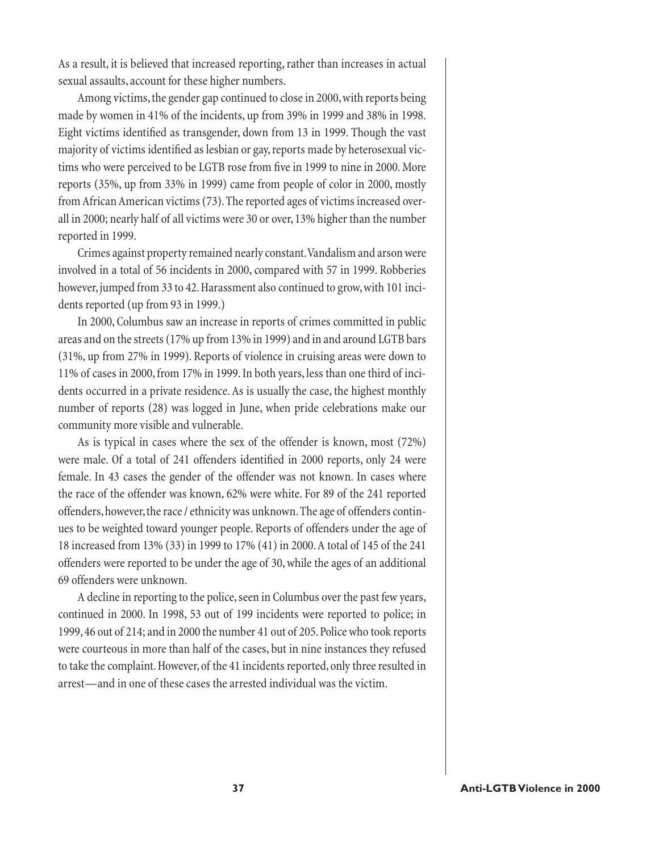As a result, it is believed that increased reporting, rather than increases in actual sexual assaults, account for these higher numbers.

Among victims, the gender gap continued to close in 2000, with reports being made by women in 41% of the incidents, up from 39% in 1999 and 38% in 1998. Eight victims identified as transgender, down from 13 in 1999. Though the vast majority of victims identified as lesbian or gay, reports made by heterosexual victims who were perceived to be LGTB rose from five in 1999 to nine in 2000. More reports (35%, up from 33% in 1999) came from people of color in 2000, mostly from African American victims (73). The reported ages of victims increased overall in 2000; nearly half of all victims were 30 or over, 13% higher than the number reported in 1999.

Crimes against property remained nearly constant. Vandalism and arson were involved in a total of 56 incidents in 2000, compared with 57 in 1999. Robberies however, jumped from 33 to 42. Harassment also continued to grow, with 101 incidents reported (up from 93 in 1999.)

In 2000, Columbus saw an increase in reports of crimes committed in public areas and on the streets (17% up from 13% in 1999) and in and around LGTB bars (31%, up from 27% in 1999). Reports of violence in cruising areas were down to 11% of cases in 2000, from 17% in 1999. In both years, less than one third of incidents occurred in a private residence. As is usually the case, the highest monthly number of reports (28) was logged in June, when pride celebrations make our community more visible and vulnerable.

As is typical in cases where the sex of the offender is known, most (72%) were male. Of a total of 241 offenders identified in 2000 reports, only 24 were female. In 43 cases the gender of the offender was not known. In cases where the race of the offender was known, 62% were white. For 89 of the 241 reported offenders, however, the race / ethnicity was unknown. The age of offenders continues to be weighted toward younger people. Reports of offenders under the age of 18 increased from 13% (33) in 1999 to 17% (41) in 2000. A total of 145 of the 241 offenders were reported to be under the age of 30, while the ages of an additional 69 offenders were unknown.

A decline in reporting to the police, seen in Columbus over the past few years, continued in 2000. In 1998, 53 out of 199 incidents were reported to police; in 1999, 46 out of 214; and in 2000 the number 41 out of 205. Police who took reports were courteous in more than half of the cases, but in nine instances they refused to take the complaint. However, of the 41 incidents reported, only three resulted in arrest—and in one of these cases the arrested individual was the victim.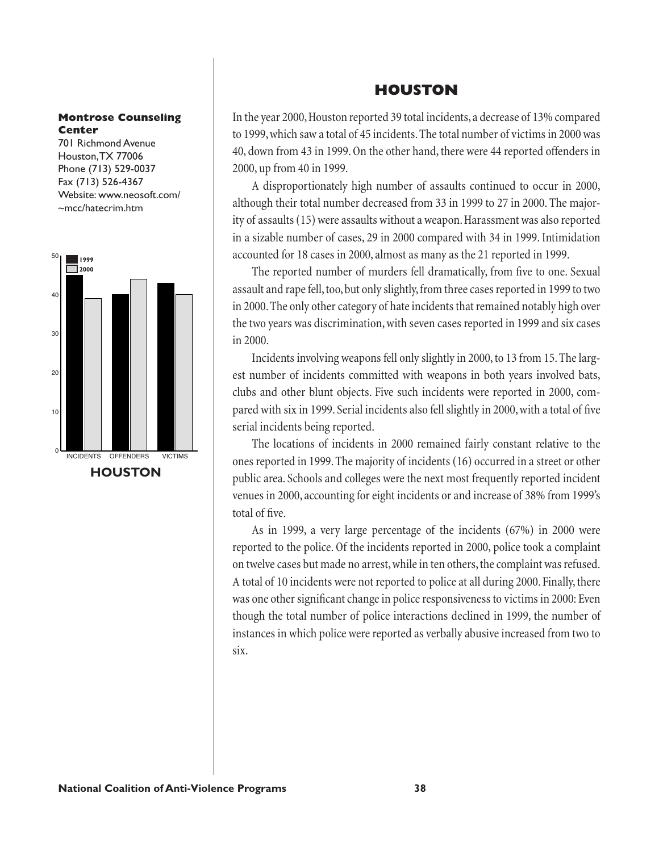#### **Montrose Counseling Center**

701 Richmond Avenue Houston, TX 77006 Phone (713) 529-0037 Fax (713) 526-4367 Website: www.neosoft.com/ ~mcc/hatecrim.htm



## **HOUSTON**

In the year 2000, Houston reported 39 total incidents, a decrease of 13% compared to 1999, which saw a total of 45 incidents. The total number of victims in 2000 was 40, down from 43 in 1999. On the other hand, there were 44 reported offenders in 2000, up from 40 in 1999.

A disproportionately high number of assaults continued to occur in 2000, although their total number decreased from 33 in 1999 to 27 in 2000. The majority of assaults (15) were assaults without a weapon. Harassment was also reported in a sizable number of cases, 29 in 2000 compared with 34 in 1999. Intimidation accounted for 18 cases in 2000, almost as many as the 21 reported in 1999.

The reported number of murders fell dramatically, from five to one. Sexual assault and rape fell, too, but only slightly, from three cases reported in 1999 to two in 2000. The only other category of hate incidents that remained notably high over the two years was discrimination, with seven cases reported in 1999 and six cases in 2000.

Incidents involving weapons fell only slightly in 2000, to 13 from 15. The largest number of incidents committed with weapons in both years involved bats, clubs and other blunt objects. Five such incidents were reported in 2000, compared with six in 1999. Serial incidents also fell slightly in 2000, with a total of five serial incidents being reported.

The locations of incidents in 2000 remained fairly constant relative to the ones reported in 1999. The majority of incidents (16) occurred in a street or other public area. Schools and colleges were the next most frequently reported incident venues in 2000, accounting for eight incidents or and increase of 38% from 1999's total of five.

As in 1999, a very large percentage of the incidents (67%) in 2000 were reported to the police. Of the incidents reported in 2000, police took a complaint on twelve cases but made no arrest, while in ten others, the complaint was refused. A total of 10 incidents were not reported to police at all during 2000. Finally, there was one other significant change in police responsiveness to victims in 2000: Even though the total number of police interactions declined in 1999, the number of instances in which police were reported as verbally abusive increased from two to six.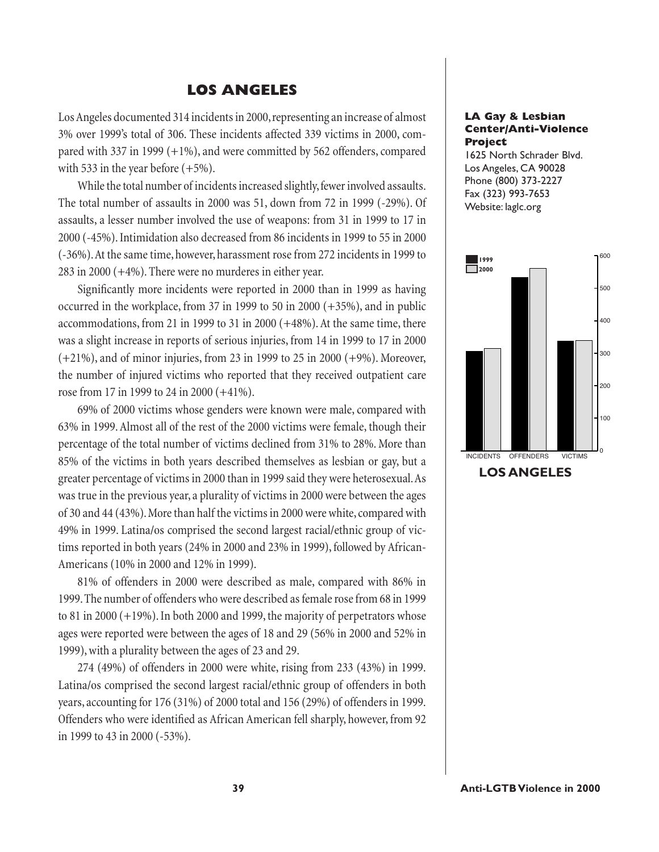### **LOS ANGELES**

Los Angeles documented 314 incidents in 2000, representing an increase of almost 3% over 1999's total of 306. These incidents affected 339 victims in 2000, compared with 337 in 1999 (+1%), and were committed by 562 offenders, compared with 533 in the year before  $(+5%)$ .

While the total number of incidents increased slightly, fewer involved assaults. The total number of assaults in 2000 was 51, down from 72 in 1999 (-29%). Of assaults, a lesser number involved the use of weapons: from 31 in 1999 to 17 in 2000 (-45%). Intimidation also decreased from 86 incidents in 1999 to 55 in 2000 (-36%). At the same time, however, harassment rose from 272 incidents in 1999 to 283 in 2000 (+4%). There were no murderes in either year.

Significantly more incidents were reported in 2000 than in 1999 as having occurred in the workplace, from 37 in 1999 to 50 in 2000 (+35%), and in public accommodations, from 21 in 1999 to 31 in 2000 (+48%). At the same time, there was a slight increase in reports of serious injuries, from 14 in 1999 to 17 in 2000 (+21%), and of minor injuries, from 23 in 1999 to 25 in 2000 (+9%). Moreover, the number of injured victims who reported that they received outpatient care rose from 17 in 1999 to 24 in 2000 (+41%).

69% of 2000 victims whose genders were known were male, compared with 63% in 1999. Almost all of the rest of the 2000 victims were female, though their percentage of the total number of victims declined from 31% to 28%. More than 85% of the victims in both years described themselves as lesbian or gay, but a greater percentage of victims in 2000 than in 1999 said they were heterosexual. As was true in the previous year, a plurality of victims in 2000 were between the ages of 30 and 44 (43%). More than half the victims in 2000 were white, compared with 49% in 1999. Latina/os comprised the second largest racial/ethnic group of victims reported in both years (24% in 2000 and 23% in 1999), followed by African-Americans (10% in 2000 and 12% in 1999).

81% of offenders in 2000 were described as male, compared with 86% in 1999. The number of offenders who were described as female rose from 68 in 1999 to 81 in 2000 (+19%). In both 2000 and 1999, the majority of perpetrators whose ages were reported were between the ages of 18 and 29 (56% in 2000 and 52% in 1999), with a plurality between the ages of 23 and 29.

274 (49%) of offenders in 2000 were white, rising from 233 (43%) in 1999. Latina/os comprised the second largest racial/ethnic group of offenders in both years, accounting for 176 (31%) of 2000 total and 156 (29%) of offenders in 1999. Offenders who were identified as African American fell sharply, however, from 92 in 1999 to 43 in 2000 (-53%).

#### **LA Gay & Lesbian Center/Anti-Violence Project**

1625 North Schrader Blvd. Los Angeles, CA 90028 Phone (800) 373-2227 Fax (323) 993-7653 Website: laglc.org



**LOS ANGELES**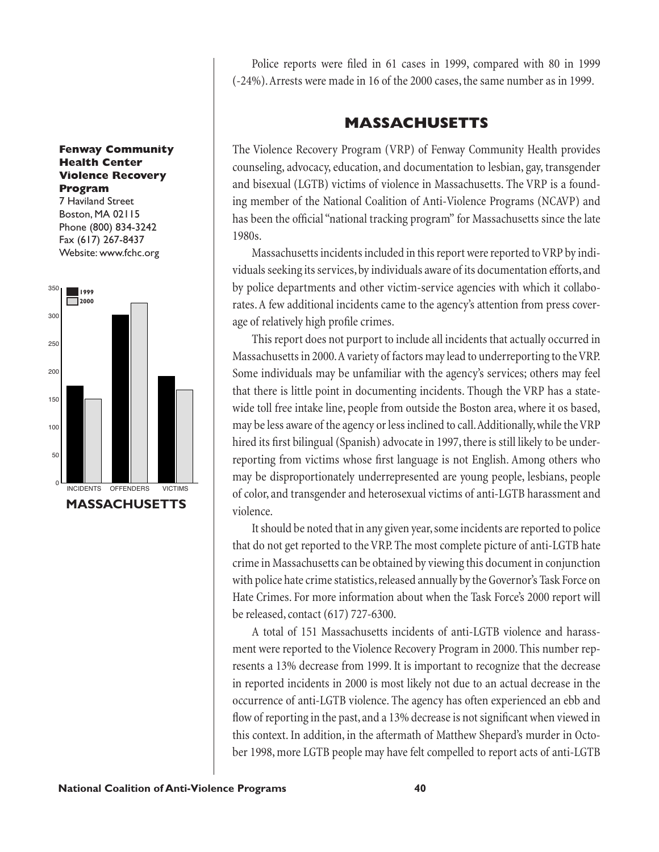#### **Fenway Community Health Center Violence Recovery Program**

7 Haviland Street Boston, MA 02115 Phone (800) 834-3242 Fax (617) 267-8437 Website: www.fchc.org



Police reports were filed in 61 cases in 1999, compared with 80 in 1999 (-24%). Arrests were made in 16 of the 2000 cases, the same number as in 1999.

## **MASSACHUSETTS**

The Violence Recovery Program (VRP) of Fenway Community Health provides counseling, advocacy, education, and documentation to lesbian, gay, transgender and bisexual (LGTB) victims of violence in Massachusetts. The VRP is a founding member of the National Coalition of Anti-Violence Programs (NCAVP) and has been the official "national tracking program" for Massachusetts since the late 1980s.

Massachusetts incidents included in this report were reported to VRP by individuals seeking its services, by individuals aware of its documentation efforts, and by police departments and other victim-service agencies with which it collaborates. A few additional incidents came to the agency's attention from press coverage of relatively high profile crimes.

This report does not purport to include all incidents that actually occurred in Massachusetts in 2000. A variety of factors may lead to underreporting to the VRP. Some individuals may be unfamiliar with the agency's services; others may feel that there is little point in documenting incidents. Though the VRP has a statewide toll free intake line, people from outside the Boston area, where it os based, may be less aware of the agency or less inclined to call. Additionally, while the VRP hired its first bilingual (Spanish) advocate in 1997, there is still likely to be underreporting from victims whose first language is not English. Among others who may be disproportionately underrepresented are young people, lesbians, people of color, and transgender and heterosexual victims of anti-LGTB harassment and violence.

It should be noted that in any given year, some incidents are reported to police that do not get reported to the VRP. The most complete picture of anti-LGTB hate crime in Massachusetts can be obtained by viewing this document in conjunction with police hate crime statistics, released annually by the Governor's Task Force on Hate Crimes. For more information about when the Task Force's 2000 report will be released, contact (617) 727-6300.

A total of 151 Massachusetts incidents of anti-LGTB violence and harassment were reported to the Violence Recovery Program in 2000. This number represents a 13% decrease from 1999. It is important to recognize that the decrease in reported incidents in 2000 is most likely not due to an actual decrease in the occurrence of anti-LGTB violence. The agency has often experienced an ebb and flow of reporting in the past, and a 13% decrease is not significant when viewed in this context. In addition, in the aftermath of Matthew Shepard's murder in October 1998, more LGTB people may have felt compelled to report acts of anti-LGTB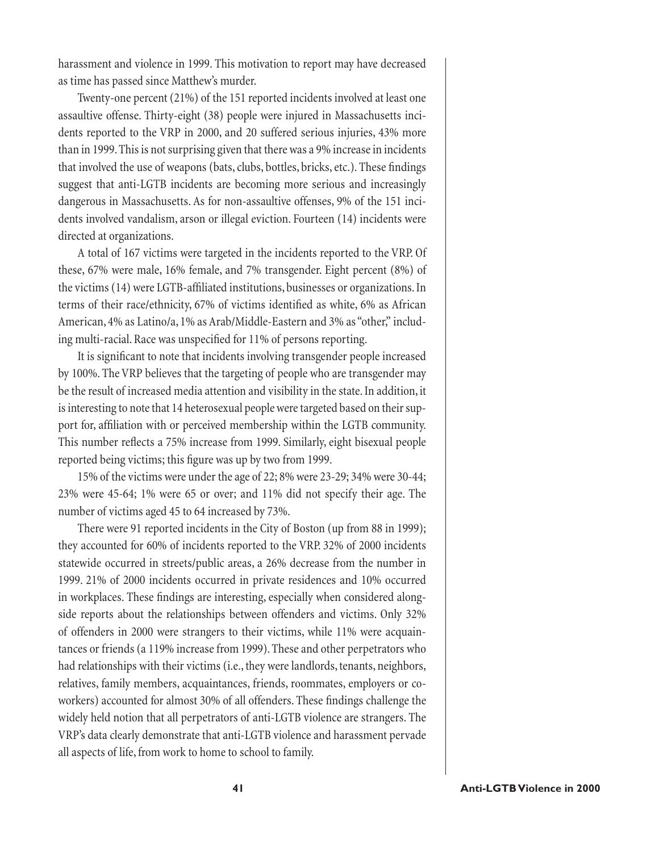harassment and violence in 1999. This motivation to report may have decreased as time has passed since Matthew's murder.

Twenty-one percent (21%) of the 151 reported incidents involved at least one assaultive offense. Thirty-eight (38) people were injured in Massachusetts incidents reported to the VRP in 2000, and 20 suffered serious injuries, 43% more than in 1999. This is not surprising given that there was a 9% increase in incidents that involved the use of weapons (bats, clubs, bottles, bricks, etc.). These findings suggest that anti-LGTB incidents are becoming more serious and increasingly dangerous in Massachusetts. As for non-assaultive offenses, 9% of the 151 incidents involved vandalism, arson or illegal eviction. Fourteen (14) incidents were directed at organizations.

A total of 167 victims were targeted in the incidents reported to the VRP. Of these, 67% were male, 16% female, and 7% transgender. Eight percent (8%) of the victims (14) were LGTB-affiliated institutions, businesses or organizations. In terms of their race/ethnicity, 67% of victims identified as white, 6% as African American, 4% as Latino/a, 1% as Arab/Middle-Eastern and 3% as "other," including multi-racial. Race was unspecified for 11% of persons reporting.

It is significant to note that incidents involving transgender people increased by 100%. The VRP believes that the targeting of people who are transgender may be the result of increased media attention and visibility in the state. In addition, it is interesting to note that 14 heterosexual people were targeted based on their support for, affiliation with or perceived membership within the LGTB community. This number reflects a 75% increase from 1999. Similarly, eight bisexual people reported being victims; this figure was up by two from 1999.

15% of the victims were under the age of 22; 8% were 23-29; 34% were 30-44; 23% were 45-64; 1% were 65 or over; and 11% did not specify their age. The number of victims aged 45 to 64 increased by 73%.

There were 91 reported incidents in the City of Boston (up from 88 in 1999); they accounted for 60% of incidents reported to the VRP. 32% of 2000 incidents statewide occurred in streets/public areas, a 26% decrease from the number in 1999. 21% of 2000 incidents occurred in private residences and 10% occurred in workplaces. These findings are interesting, especially when considered alongside reports about the relationships between offenders and victims. Only 32% of offenders in 2000 were strangers to their victims, while 11% were acquaintances or friends (a 119% increase from 1999). These and other perpetrators who had relationships with their victims (i.e., they were landlords, tenants, neighbors, relatives, family members, acquaintances, friends, roommates, employers or coworkers) accounted for almost 30% of all offenders. These findings challenge the widely held notion that all perpetrators of anti-LGTB violence are strangers. The VRP's data clearly demonstrate that anti-LGTB violence and harassment pervade all aspects of life, from work to home to school to family.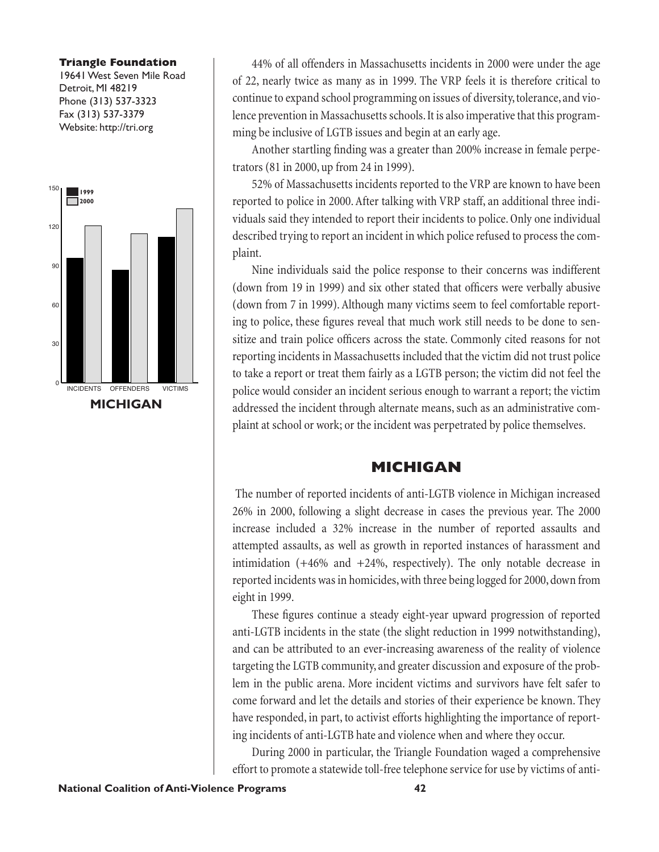#### **Triangle Foundation**

19641 West Seven Mile Road Detroit, MI 48219 Phone (313) 537-3323 Fax (313) 537-3379 Website: http://tri.org



44% of all offenders in Massachusetts incidents in 2000 were under the age of 22, nearly twice as many as in 1999. The VRP feels it is therefore critical to continue to expand school programming on issues of diversity, tolerance, and violence prevention in Massachusetts schools. It is also imperative that this programming be inclusive of LGTB issues and begin at an early age.

Another startling finding was a greater than 200% increase in female perpetrators (81 in 2000, up from 24 in 1999).

52% of Massachusetts incidents reported to the VRP are known to have been reported to police in 2000. After talking with VRP staff, an additional three individuals said they intended to report their incidents to police. Only one individual described trying to report an incident in which police refused to process the complaint.

Nine individuals said the police response to their concerns was indifferent (down from 19 in 1999) and six other stated that officers were verbally abusive (down from 7 in 1999). Although many victims seem to feel comfortable reporting to police, these figures reveal that much work still needs to be done to sensitize and train police officers across the state. Commonly cited reasons for not reporting incidents in Massachusetts included that the victim did not trust police to take a report or treat them fairly as a LGTB person; the victim did not feel the police would consider an incident serious enough to warrant a report; the victim addressed the incident through alternate means, such as an administrative complaint at school or work; or the incident was perpetrated by police themselves.

### **MICHIGAN**

 The number of reported incidents of anti-LGTB violence in Michigan increased 26% in 2000, following a slight decrease in cases the previous year. The 2000 increase included a 32% increase in the number of reported assaults and attempted assaults, as well as growth in reported instances of harassment and intimidation (+46% and +24%, respectively). The only notable decrease in reported incidents was in homicides, with three being logged for 2000, down from eight in 1999.

These figures continue a steady eight-year upward progression of reported anti-LGTB incidents in the state (the slight reduction in 1999 notwithstanding), and can be attributed to an ever-increasing awareness of the reality of violence targeting the LGTB community, and greater discussion and exposure of the problem in the public arena. More incident victims and survivors have felt safer to come forward and let the details and stories of their experience be known. They have responded, in part, to activist efforts highlighting the importance of reporting incidents of anti-LGTB hate and violence when and where they occur.

During 2000 in particular, the Triangle Foundation waged a comprehensive effort to promote a statewide toll-free telephone service for use by victims of anti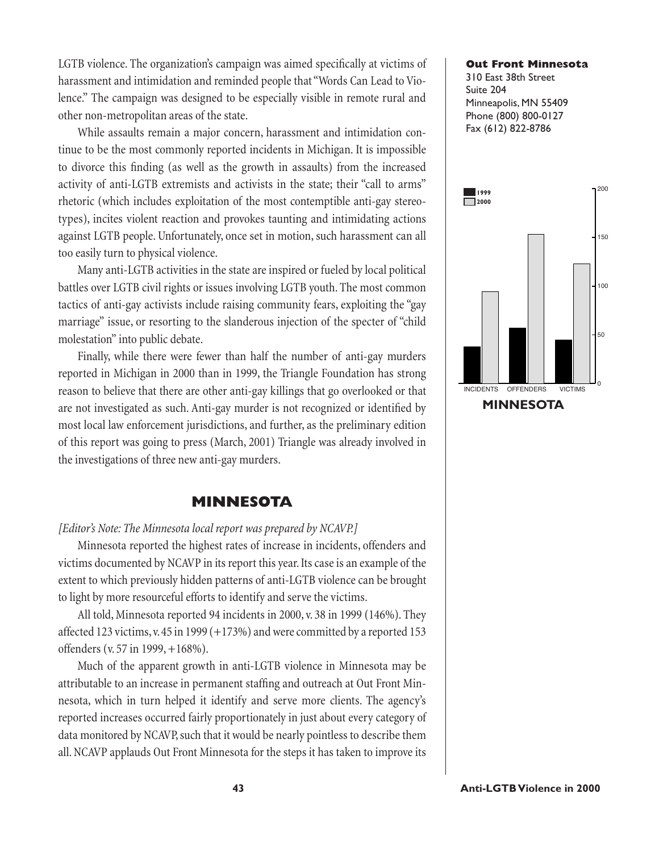LGTB violence. The organization's campaign was aimed specifically at victims of harassment and intimidation and reminded people that "Words Can Lead to Violence." The campaign was designed to be especially visible in remote rural and other non-metropolitan areas of the state.

While assaults remain a major concern, harassment and intimidation continue to be the most commonly reported incidents in Michigan. It is impossible to divorce this finding (as well as the growth in assaults) from the increased activity of anti-LGTB extremists and activists in the state; their "call to arms" rhetoric (which includes exploitation of the most contemptible anti-gay stereotypes), incites violent reaction and provokes taunting and intimidating actions against LGTB people. Unfortunately, once set in motion, such harassment can all too easily turn to physical violence.

Many anti-LGTB activities in the state are inspired or fueled by local political battles over LGTB civil rights or issues involving LGTB youth. The most common tactics of anti-gay activists include raising community fears, exploiting the "gay marriage" issue, or resorting to the slanderous injection of the specter of "child molestation" into public debate.

Finally, while there were fewer than half the number of anti-gay murders reported in Michigan in 2000 than in 1999, the Triangle Foundation has strong reason to believe that there are other anti-gay killings that go overlooked or that are not investigated as such. Anti-gay murder is not recognized or identified by most local law enforcement jurisdictions, and further, as the preliminary edition of this report was going to press (March, 2001) Triangle was already involved in the investigations of three new anti-gay murders.

## **MINNESOTA**

#### *[Editor's Note: The Minnesota local report was prepared by NCAVP.]*

Minnesota reported the highest rates of increase in incidents, offenders and victims documented by NCAVP in its report this year. Its case is an example of the extent to which previously hidden patterns of anti-LGTB violence can be brought to light by more resourceful efforts to identify and serve the victims.

All told, Minnesota reported 94 incidents in 2000, v. 38 in 1999 (146%). They affected 123 victims, v. 45 in 1999 (+173%) and were committed by a reported 153 offenders (v. 57 in 1999, +168%).

Much of the apparent growth in anti-LGTB violence in Minnesota may be attributable to an increase in permanent staffing and outreach at Out Front Minnesota, which in turn helped it identify and serve more clients. The agency's reported increases occurred fairly proportionately in just about every category of data monitored by NCAVP, such that it would be nearly pointless to describe them all. NCAVP applauds Out Front Minnesota for the steps it has taken to improve its

#### **Out Front Minnesota**

310 East 38th Street Suite 204 Minneapolis, MN 55409 Phone (800) 800-0127 Fax (612) 822-8786

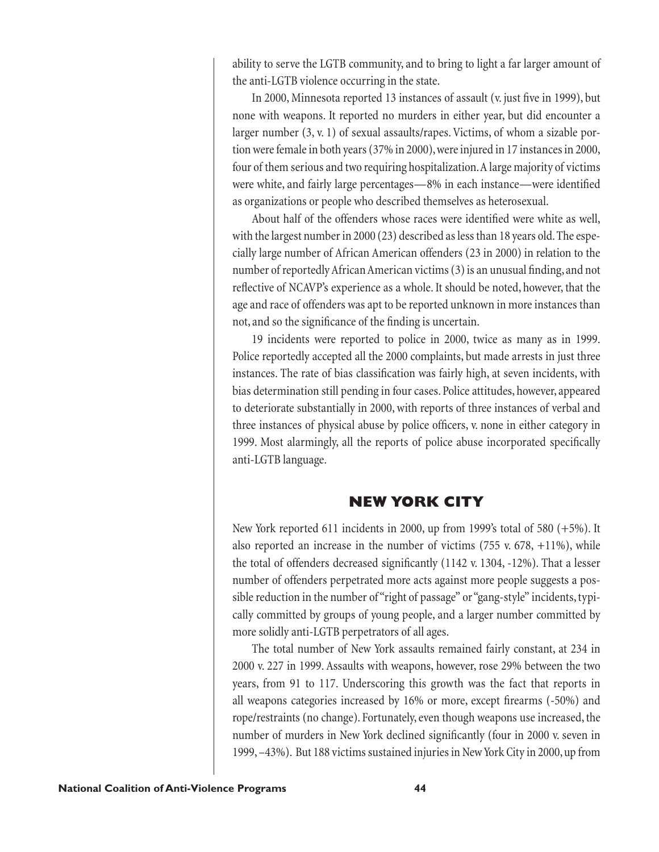ability to serve the LGTB community, and to bring to light a far larger amount of the anti-LGTB violence occurring in the state.

In 2000, Minnesota reported 13 instances of assault (v. just five in 1999), but none with weapons. It reported no murders in either year, but did encounter a larger number (3, v. 1) of sexual assaults/rapes. Victims, of whom a sizable portion were female in both years (37% in 2000), were injured in 17 instances in 2000, four of them serious and two requiring hospitalization. A large majority of victims were white, and fairly large percentages—8% in each instance—were identified as organizations or people who described themselves as heterosexual.

About half of the offenders whose races were identified were white as well, with the largest number in 2000 (23) described as less than 18 years old. The especially large number of African American offenders (23 in 2000) in relation to the number of reportedly African American victims (3) is an unusual finding, and not reflective of NCAVP's experience as a whole. It should be noted, however, that the age and race of offenders was apt to be reported unknown in more instances than not, and so the significance of the finding is uncertain.

19 incidents were reported to police in 2000, twice as many as in 1999. Police reportedly accepted all the 2000 complaints, but made arrests in just three instances. The rate of bias classification was fairly high, at seven incidents, with bias determination still pending in four cases. Police attitudes, however, appeared to deteriorate substantially in 2000, with reports of three instances of verbal and three instances of physical abuse by police officers, v. none in either category in 1999. Most alarmingly, all the reports of police abuse incorporated specifically anti-LGTB language.

## **NEW YORK CITY**

New York reported 611 incidents in 2000, up from 1999's total of 580 (+5%). It also reported an increase in the number of victims  $(755 \text{ v. } 678, +11\%)$ , while the total of offenders decreased significantly  $(1142 \text{ v. } 1304, -12\%)$ . That a lesser number of offenders perpetrated more acts against more people suggests a possible reduction in the number of "right of passage" or "gang-style" incidents, typically committed by groups of young people, and a larger number committed by more solidly anti-LGTB perpetrators of all ages.

The total number of New York assaults remained fairly constant, at 234 in 2000 v. 227 in 1999. Assaults with weapons, however, rose 29% between the two years, from 91 to 117. Underscoring this growth was the fact that reports in all weapons categories increased by  $16\%$  or more, except firearms  $(-50\%)$  and rope/restraints (no change). Fortunately, even though weapons use increased, the number of murders in New York declined significantly (four in 2000 v. seven in 1999, –43%). But 188 victims sustained injuries in New York City in 2000, up from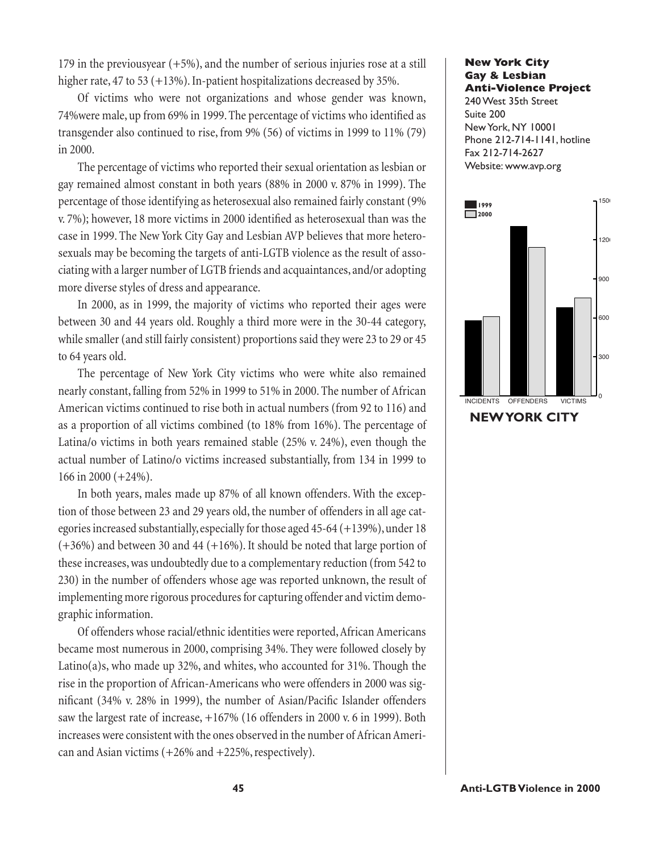179 in the previousyear (+5%), and the number of serious injuries rose at a still higher rate, 47 to 53 (+13%). In-patient hospitalizations decreased by 35%.

Of victims who were not organizations and whose gender was known, 74% were male, up from 69% in 1999. The percentage of victims who identified as transgender also continued to rise, from 9% (56) of victims in 1999 to 11% (79) in 2000.

The percentage of victims who reported their sexual orientation as lesbian or gay remained almost constant in both years (88% in 2000 v. 87% in 1999). The percentage of those identifying as heterosexual also remained fairly constant (9% v. 7%); however, 18 more victims in 2000 identified as heterosexual than was the case in 1999. The New York City Gay and Lesbian AVP believes that more heterosexuals may be becoming the targets of anti-LGTB violence as the result of associating with a larger number of LGTB friends and acquaintances, and/or adopting more diverse styles of dress and appearance.

In 2000, as in 1999, the majority of victims who reported their ages were between 30 and 44 years old. Roughly a third more were in the 30-44 category, while smaller (and still fairly consistent) proportions said they were 23 to 29 or 45 to 64 years old.

The percentage of New York City victims who were white also remained nearly constant, falling from 52% in 1999 to 51% in 2000. The number of African American victims continued to rise both in actual numbers (from 92 to 116) and as a proportion of all victims combined (to 18% from 16%). The percentage of Latina/o victims in both years remained stable (25% v. 24%), even though the actual number of Latino/o victims increased substantially, from 134 in 1999 to 166 in 2000 (+24%).

In both years, males made up 87% of all known offenders. With the exception of those between 23 and 29 years old, the number of offenders in all age categories increased substantially, especially for those aged 45-64 (+139%), under 18  $(+36%)$  and between 30 and 44  $(+16%)$ . It should be noted that large portion of these increases, was undoubtedly due to a complementary reduction (from 542 to 230) in the number of offenders whose age was reported unknown, the result of implementing more rigorous procedures for capturing offender and victim demographic information.

Of offenders whose racial/ethnic identities were reported, African Americans became most numerous in 2000, comprising 34%. They were followed closely by Latino(a)s, who made up 32%, and whites, who accounted for 31%. Though the rise in the proportion of African-Americans who were offenders in 2000 was significant (34% v. 28% in 1999), the number of Asian/Pacific Islander offenders saw the largest rate of increase, +167% (16 offenders in 2000 v. 6 in 1999). Both increases were consistent with the ones observed in the number of African American and Asian victims  $(+26\% \text{ and } +225\% \text{, respectively}).$ 

#### **New York City Gay & Lesbian Anti-Violence Project**

240 West 35th Street Suite 200 New York, NY 10001 Phone 212-714-1141, hotline Fax 212-714-2627 Website: www.avp.org

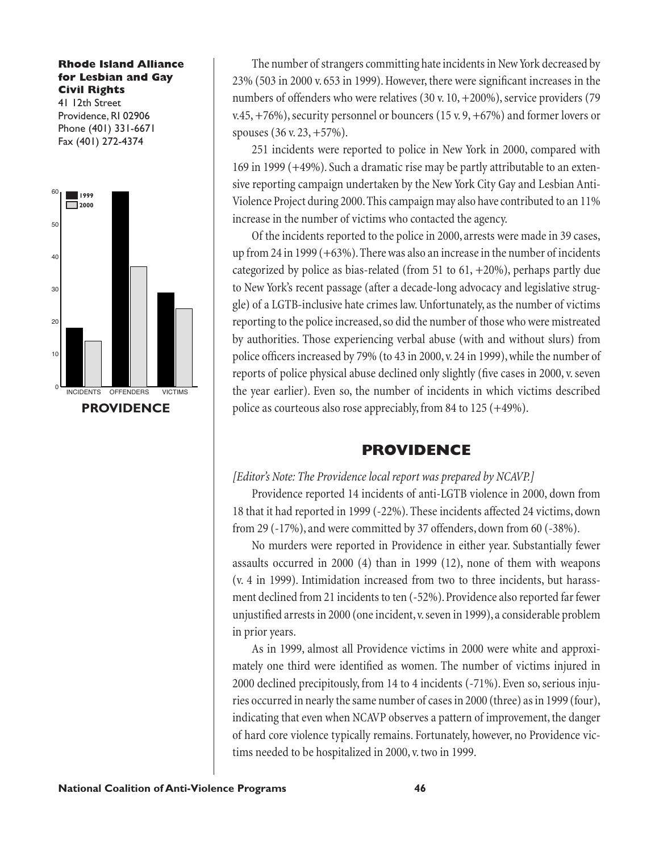#### **Rhode Island Alliance for Lesbian and Gay Civil Rights**

41 12th Street Providence, RI 02906 Phone (401) 331-6671 Fax (401) 272-4374



The number of strangers committing hate incidents in New York decreased by  $23\%$  (503 in 2000 v. 653 in 1999). However, there were significant increases in the numbers of offenders who were relatives (30 v. 10, +200%), service providers (79 v.45, +76%), security personnel or bouncers (15 v. 9, +67%) and former lovers or spouses (36 v. 23, +57%).

251 incidents were reported to police in New York in 2000, compared with 169 in 1999 (+49%). Such a dramatic rise may be partly attributable to an extensive reporting campaign undertaken by the New York City Gay and Lesbian Anti-Violence Project during 2000. This campaign may also have contributed to an 11% increase in the number of victims who contacted the agency.

Of the incidents reported to the police in 2000, arrests were made in 39 cases, up from 24 in 1999 (+63%). There was also an increase in the number of incidents categorized by police as bias-related (from 51 to  $61, +20\%$ ), perhaps partly due to New York's recent passage (after a decade-long advocacy and legislative struggle) of a LGTB-inclusive hate crimes law. Unfortunately, as the number of victims reporting to the police increased, so did the number of those who were mistreated by authorities. Those experiencing verbal abuse (with and without slurs) from police officers increased by 79% (to 43 in 2000, v. 24 in 1999), while the number of reports of police physical abuse declined only slightly (five cases in 2000, v. seven the year earlier). Even so, the number of incidents in which victims described police as courteous also rose appreciably, from 84 to 125 (+49%).

### **PROVIDENCE**

### *[Editor's Note: The Providence local report was prepared by NCAVP.]*

Providence reported 14 incidents of anti-LGTB violence in 2000, down from 18 that it had reported in 1999 (-22%). These incidents affected 24 victims, down from 29 (-17%), and were committed by 37 offenders, down from 60 (-38%).

No murders were reported in Providence in either year. Substantially fewer assaults occurred in 2000 (4) than in 1999 (12), none of them with weapons (v. 4 in 1999). Intimidation increased from two to three incidents, but harassment declined from 21 incidents to ten (-52%). Providence also reported far fewer unjustified arrests in 2000 (one incident, v. seven in 1999), a considerable problem in prior years.

As in 1999, almost all Providence victims in 2000 were white and approximately one third were identified as women. The number of victims injured in 2000 declined precipitously, from 14 to 4 incidents (-71%). Even so, serious injuries occurred in nearly the same number of cases in 2000 (three) as in 1999 (four), indicating that even when NCAVP observes a pattern of improvement, the danger of hard core violence typically remains. Fortunately, however, no Providence victims needed to be hospitalized in 2000, v. two in 1999.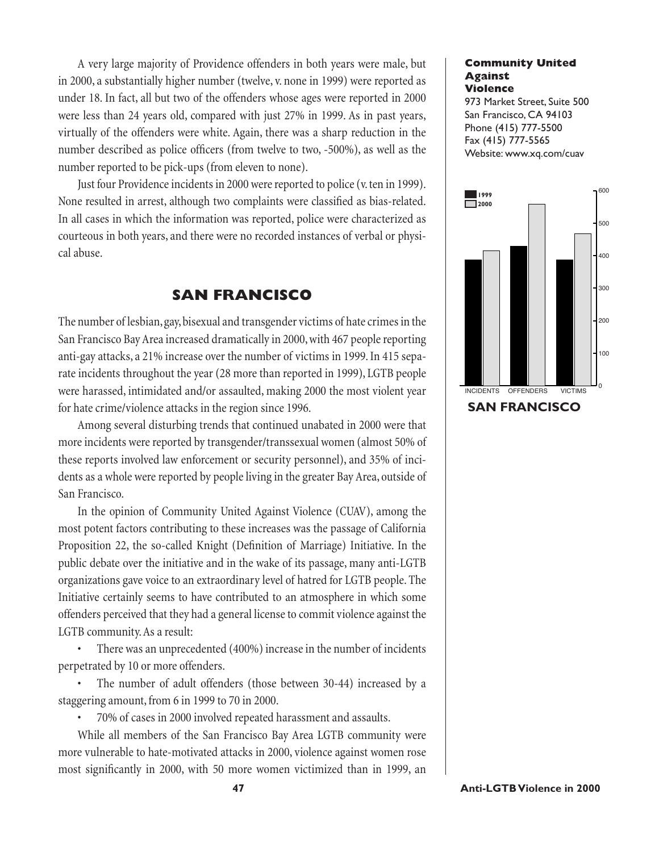A very large majority of Providence offenders in both years were male, but in 2000, a substantially higher number (twelve, v. none in 1999) were reported as under 18. In fact, all but two of the offenders whose ages were reported in 2000 were less than 24 years old, compared with just 27% in 1999. As in past years, virtually of the offenders were white. Again, there was a sharp reduction in the number described as police officers (from twelve to two, -500%), as well as the number reported to be pick-ups (from eleven to none).

Just four Providence incidents in 2000 were reported to police (v. ten in 1999). None resulted in arrest, although two complaints were classified as bias-related. In all cases in which the information was reported, police were characterized as courteous in both years, and there were no recorded instances of verbal or physical abuse.

### **SAN FRANCISCO**

The number of lesbian, gay, bisexual and transgender victims of hate crimes in the San Francisco Bay Area increased dramatically in 2000, with 467 people reporting anti-gay attacks, a 21% increase over the number of victims in 1999. In 415 separate incidents throughout the year (28 more than reported in 1999), LGTB people were harassed, intimidated and/or assaulted, making 2000 the most violent year for hate crime/violence attacks in the region since 1996.

Among several disturbing trends that continued unabated in 2000 were that more incidents were reported by transgender/transsexual women (almost 50% of these reports involved law enforcement or security personnel), and 35% of incidents as a whole were reported by people living in the greater Bay Area, outside of San Francisco.

In the opinion of Community United Against Violence (CUAV), among the most potent factors contributing to these increases was the passage of California Proposition 22, the so-called Knight (Definition of Marriage) Initiative. In the public debate over the initiative and in the wake of its passage, many anti-LGTB organizations gave voice to an extraordinary level of hatred for LGTB people. The Initiative certainly seems to have contributed to an atmosphere in which some offenders perceived that they had a general license to commit violence against the LGTB community. As a result:

• There was an unprecedented (400%) increase in the number of incidents perpetrated by 10 or more offenders.

The number of adult offenders (those between 30-44) increased by a staggering amount, from 6 in 1999 to 70 in 2000.

• 70% of cases in 2000 involved repeated harassment and assaults.

While all members of the San Francisco Bay Area LGTB community were more vulnerable to hate-motivated attacks in 2000, violence against women rose most significantly in 2000, with 50 more women victimized than in 1999, an

#### **Community United Against Violence**

973 Market Street, Suite 500 San Francisco, CA 94103 Phone (415) 777-5500 Fax (415) 777-5565 Website: www.xq.com/cuav

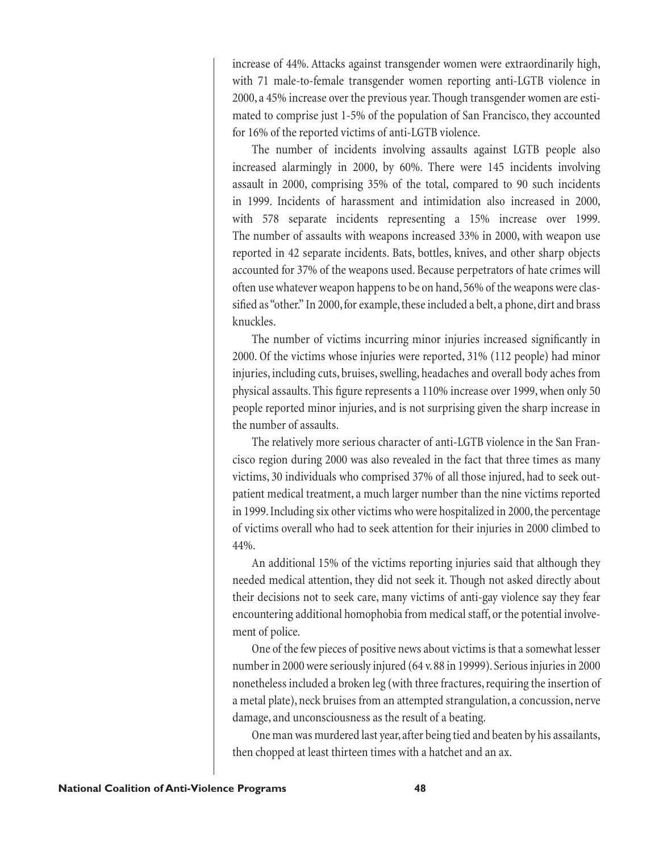increase of 44%. Attacks against transgender women were extraordinarily high, with 71 male-to-female transgender women reporting anti-LGTB violence in 2000, a 45% increase over the previous year. Though transgender women are estimated to comprise just 1-5% of the population of San Francisco, they accounted for 16% of the reported victims of anti-LGTB violence.

The number of incidents involving assaults against LGTB people also increased alarmingly in 2000, by 60%. There were 145 incidents involving assault in 2000, comprising 35% of the total, compared to 90 such incidents in 1999. Incidents of harassment and intimidation also increased in 2000, with 578 separate incidents representing a 15% increase over 1999. The number of assaults with weapons increased 33% in 2000, with weapon use reported in 42 separate incidents. Bats, bottles, knives, and other sharp objects accounted for 37% of the weapons used. Because perpetrators of hate crimes will often use whatever weapon happens to be on hand, 56% of the weapons were classified as "other." In 2000, for example, these included a belt, a phone, dirt and brass knuckles.

The number of victims incurring minor injuries increased significantly in 2000. Of the victims whose injuries were reported, 31% (112 people) had minor injuries, including cuts, bruises, swelling, headaches and overall body aches from physical assaults. This figure represents a 110% increase over 1999, when only 50 people reported minor injuries, and is not surprising given the sharp increase in the number of assaults.

The relatively more serious character of anti-LGTB violence in the San Francisco region during 2000 was also revealed in the fact that three times as many victims, 30 individuals who comprised 37% of all those injured, had to seek outpatient medical treatment, a much larger number than the nine victims reported in 1999. Including six other victims who were hospitalized in 2000, the percentage of victims overall who had to seek attention for their injuries in 2000 climbed to 44%.

An additional 15% of the victims reporting injuries said that although they needed medical attention, they did not seek it. Though not asked directly about their decisions not to seek care, many victims of anti-gay violence say they fear encountering additional homophobia from medical staff, or the potential involvement of police.

One of the few pieces of positive news about victims is that a somewhat lesser number in 2000 were seriously injured (64 v. 88 in 19999). Serious injuries in 2000 nonetheless included a broken leg (with three fractures, requiring the insertion of a metal plate), neck bruises from an attempted strangulation, a concussion, nerve damage, and unconsciousness as the result of a beating.

One man was murdered last year, after being tied and beaten by his assailants, then chopped at least thirteen times with a hatchet and an ax.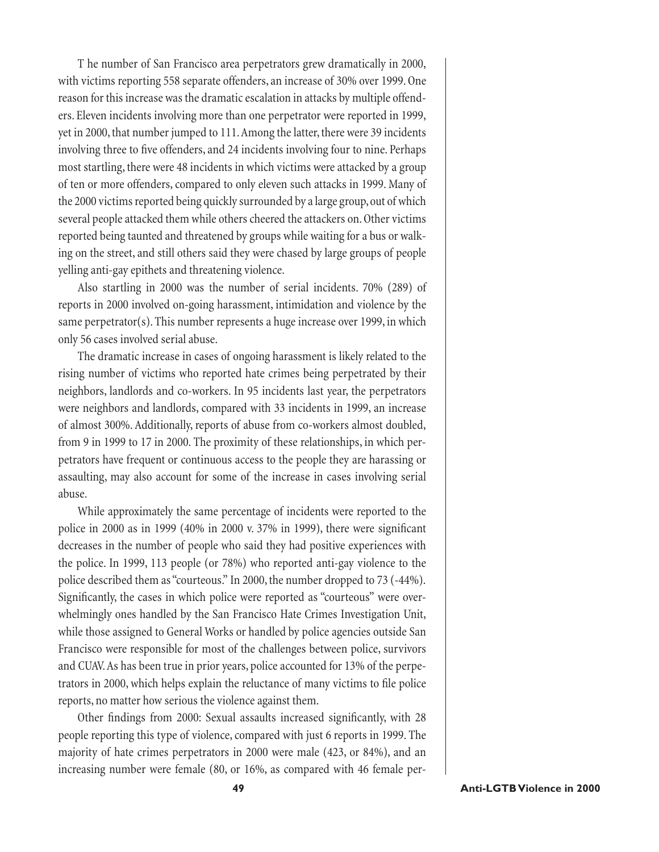T he number of San Francisco area perpetrators grew dramatically in 2000, with victims reporting 558 separate offenders, an increase of 30% over 1999. One reason for this increase was the dramatic escalation in attacks by multiple offenders. Eleven incidents involving more than one perpetrator were reported in 1999, yet in 2000, that number jumped to 111. Among the latter, there were 39 incidents involving three to five offenders, and 24 incidents involving four to nine. Perhaps most startling, there were 48 incidents in which victims were attacked by a group of ten or more offenders, compared to only eleven such attacks in 1999. Many of the 2000 victims reported being quickly surrounded by a large group, out of which several people attacked them while others cheered the attackers on. Other victims reported being taunted and threatened by groups while waiting for a bus or walking on the street, and still others said they were chased by large groups of people yelling anti-gay epithets and threatening violence.

Also startling in 2000 was the number of serial incidents. 70% (289) of reports in 2000 involved on-going harassment, intimidation and violence by the same perpetrator(s). This number represents a huge increase over 1999, in which only 56 cases involved serial abuse.

The dramatic increase in cases of ongoing harassment is likely related to the rising number of victims who reported hate crimes being perpetrated by their neighbors, landlords and co-workers. In 95 incidents last year, the perpetrators were neighbors and landlords, compared with 33 incidents in 1999, an increase of almost 300%. Additionally, reports of abuse from co-workers almost doubled, from 9 in 1999 to 17 in 2000. The proximity of these relationships, in which perpetrators have frequent or continuous access to the people they are harassing or assaulting, may also account for some of the increase in cases involving serial abuse.

While approximately the same percentage of incidents were reported to the police in 2000 as in 1999 (40% in 2000 v. 37% in 1999), there were significant decreases in the number of people who said they had positive experiences with the police. In 1999, 113 people (or 78%) who reported anti-gay violence to the police described them as "courteous." In 2000, the number dropped to 73 (-44%). Significantly, the cases in which police were reported as "courteous" were overwhelmingly ones handled by the San Francisco Hate Crimes Investigation Unit, while those assigned to General Works or handled by police agencies outside San Francisco were responsible for most of the challenges between police, survivors and CUAV. As has been true in prior years, police accounted for 13% of the perpetrators in 2000, which helps explain the reluctance of many victims to file police reports, no matter how serious the violence against them.

Other findings from 2000: Sexual assaults increased significantly, with 28 people reporting this type of violence, compared with just 6 reports in 1999. The majority of hate crimes perpetrators in 2000 were male (423, or 84%), and an increasing number were female (80, or 16%, as compared with 46 female per-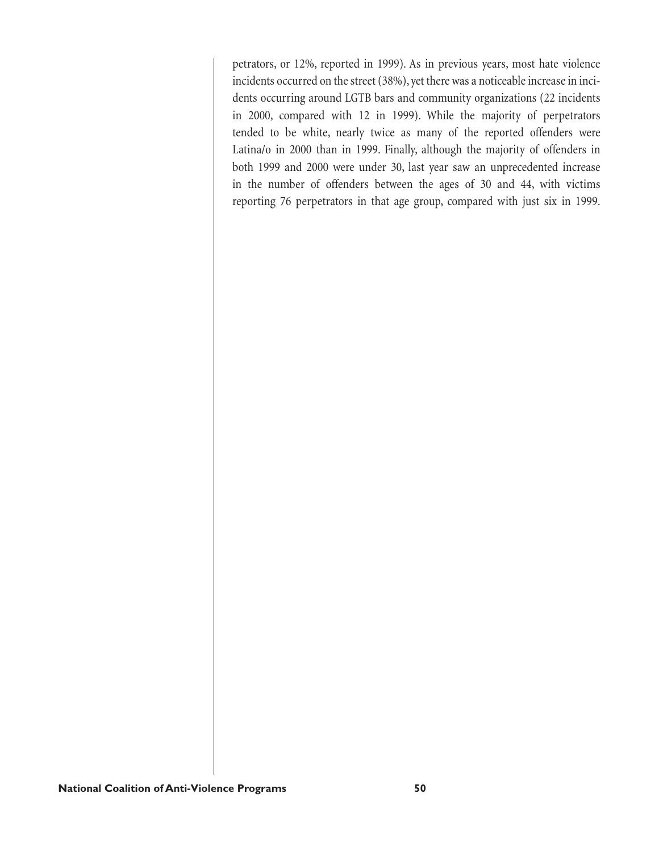petrators, or 12%, reported in 1999). As in previous years, most hate violence incidents occurred on the street (38%), yet there was a noticeable increase in incidents occurring around LGTB bars and community organizations (22 incidents in 2000, compared with 12 in 1999). While the majority of perpetrators tended to be white, nearly twice as many of the reported offenders were Latina/o in 2000 than in 1999. Finally, although the majority of offenders in both 1999 and 2000 were under 30, last year saw an unprecedented increase in the number of offenders between the ages of 30 and 44, with victims reporting 76 perpetrators in that age group, compared with just six in 1999.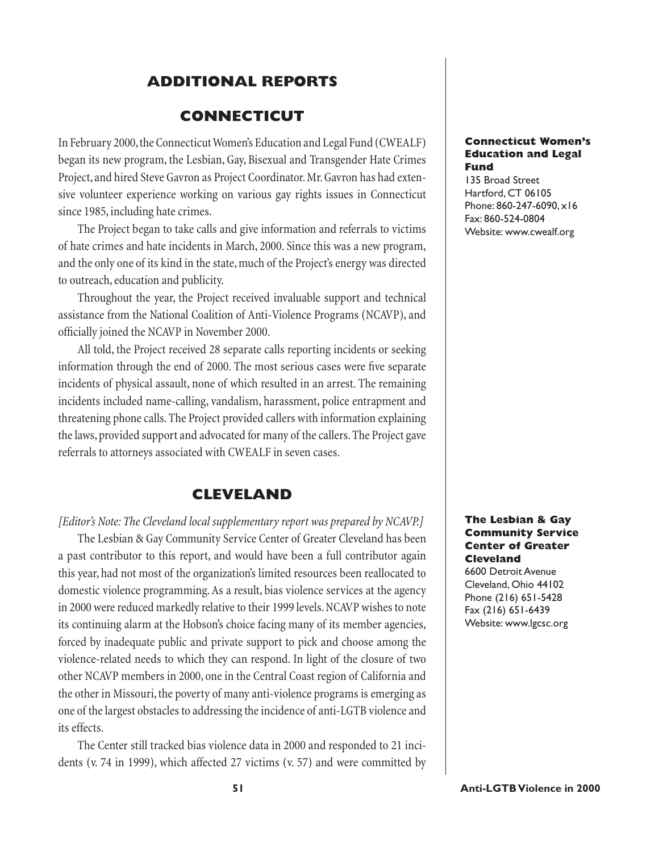### **ADDITIONAL REPORTS**

### **CONNECTICUT**

In February 2000, the Connecticut Women's Education and Legal Fund (CWEALF) began its new program, the Lesbian, Gay, Bisexual and Transgender Hate Crimes Project, and hired Steve Gavron as Project Coordinator. Mr. Gavron has had extensive volunteer experience working on various gay rights issues in Connecticut since 1985, including hate crimes.

The Project began to take calls and give information and referrals to victims of hate crimes and hate incidents in March, 2000. Since this was a new program, and the only one of its kind in the state, much of the Project's energy was directed to outreach, education and publicity.

Throughout the year, the Project received invaluable support and technical assistance from the National Coalition of Anti-Violence Programs (NCAVP), and officially joined the NCAVP in November 2000.

All told, the Project received 28 separate calls reporting incidents or seeking information through the end of 2000. The most serious cases were five separate incidents of physical assault, none of which resulted in an arrest. The remaining incidents included name-calling, vandalism, harassment, police entrapment and threatening phone calls. The Project provided callers with information explaining the laws, provided support and advocated for many of the callers. The Project gave referrals to attorneys associated with CWEALF in seven cases.

### **CLEVELAND**

#### *[Editor's Note: The Cleveland local supplementary report was prepared by NCAVP.]*

The Lesbian & Gay Community Service Center of Greater Cleveland has been a past contributor to this report, and would have been a full contributor again this year, had not most of the organization's limited resources been reallocated to domestic violence programming. As a result, bias violence services at the agency in 2000 were reduced markedly relative to their 1999 levels. NCAVP wishes to note its continuing alarm at the Hobson's choice facing many of its member agencies, forced by inadequate public and private support to pick and choose among the violence-related needs to which they can respond. In light of the closure of two other NCAVP members in 2000, one in the Central Coast region of California and the other in Missouri, the poverty of many anti-violence programs is emerging as one of the largest obstacles to addressing the incidence of anti-LGTB violence and its effects.

The Center still tracked bias violence data in 2000 and responded to 21 incidents (v. 74 in 1999), which affected 27 victims (v. 57) and were committed by

#### **Connecticut Women's Education and Legal Fund**

135 Broad Street Hartford, CT 06105 Phone: 860-247-6090, x16 Fax: 860-524-0804 Website: www.cwealf.org

#### **The Lesbian & Gay Community Service Center of Greater Cleveland**

6600 Detroit Avenue Cleveland, Ohio 44102 Phone (216) 651-5428 Fax (216) 651-6439 Website: www.lgcsc.org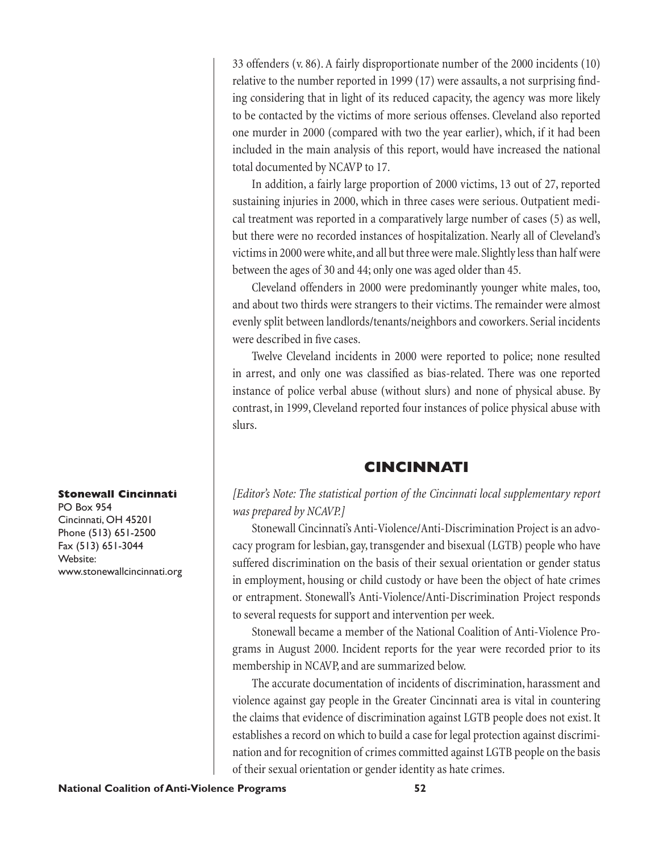33 offenders (v. 86). A fairly disproportionate number of the 2000 incidents (10) relative to the number reported in 1999 (17) were assaults, a not surprising finding considering that in light of its reduced capacity, the agency was more likely to be contacted by the victims of more serious offenses. Cleveland also reported one murder in 2000 (compared with two the year earlier), which, if it had been included in the main analysis of this report, would have increased the national total documented by NCAVP to 17.

In addition, a fairly large proportion of 2000 victims, 13 out of 27, reported sustaining injuries in 2000, which in three cases were serious. Outpatient medical treatment was reported in a comparatively large number of cases (5) as well, but there were no recorded instances of hospitalization. Nearly all of Cleveland's victims in 2000 were white, and all but three were male. Slightly less than half were between the ages of 30 and 44; only one was aged older than 45.

Cleveland offenders in 2000 were predominantly younger white males, too, and about two thirds were strangers to their victims. The remainder were almost evenly split between landlords/tenants/neighbors and coworkers. Serial incidents were described in five cases.

Twelve Cleveland incidents in 2000 were reported to police; none resulted in arrest, and only one was classified as bias-related. There was one reported instance of police verbal abuse (without slurs) and none of physical abuse. By contrast, in 1999, Cleveland reported four instances of police physical abuse with slurs.

### **CINCINNATI**

*[Editor's Note: The statistical portion of the Cincinnati local supplementary report was prepared by NCAVP.]*

Stonewall Cincinnati's Anti-Violence/Anti-Discrimination Project is an advocacy program for lesbian, gay, transgender and bisexual (LGTB) people who have suffered discrimination on the basis of their sexual orientation or gender status in employment, housing or child custody or have been the object of hate crimes or entrapment. Stonewall's Anti-Violence/Anti-Discrimination Project responds to several requests for support and intervention per week.

Stonewall became a member of the National Coalition of Anti-Violence Programs in August 2000. Incident reports for the year were recorded prior to its membership in NCAVP, and are summarized below.

The accurate documentation of incidents of discrimination, harassment and violence against gay people in the Greater Cincinnati area is vital in countering the claims that evidence of discrimination against LGTB people does not exist. It establishes a record on which to build a case for legal protection against discrimination and for recognition of crimes committed against LGTB people on the basis of their sexual orientation or gender identity as hate crimes.

#### **Stonewall Cincinnati**

PO Box 954 Cincinnati, OH 45201 Phone (513) 651-2500 Fax (513) 651-3044 Website: www.stonewallcincinnati.org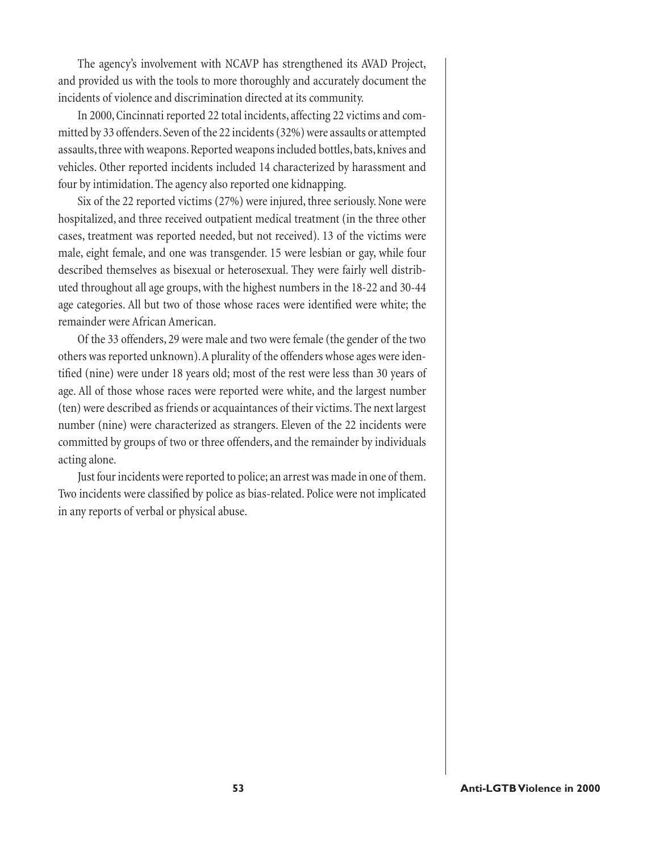The agency's involvement with NCAVP has strengthened its AVAD Project, and provided us with the tools to more thoroughly and accurately document the incidents of violence and discrimination directed at its community.

In 2000, Cincinnati reported 22 total incidents, affecting 22 victims and committed by 33 offenders. Seven of the 22 incidents (32%) were assaults or attempted assaults, three with weapons. Reported weapons included bottles, bats, knives and vehicles. Other reported incidents included 14 characterized by harassment and four by intimidation. The agency also reported one kidnapping.

Six of the 22 reported victims (27%) were injured, three seriously. None were hospitalized, and three received outpatient medical treatment (in the three other cases, treatment was reported needed, but not received). 13 of the victims were male, eight female, and one was transgender. 15 were lesbian or gay, while four described themselves as bisexual or heterosexual. They were fairly well distributed throughout all age groups, with the highest numbers in the 18-22 and 30-44 age categories. All but two of those whose races were identified were white; the remainder were African American.

Of the 33 offenders, 29 were male and two were female (the gender of the two others was reported unknown). A plurality of the offenders whose ages were identified (nine) were under 18 years old; most of the rest were less than 30 years of age. All of those whose races were reported were white, and the largest number (ten) were described as friends or acquaintances of their victims. The next largest number (nine) were characterized as strangers. Eleven of the 22 incidents were committed by groups of two or three offenders, and the remainder by individuals acting alone.

Just four incidents were reported to police; an arrest was made in one of them. Two incidents were classified by police as bias-related. Police were not implicated in any reports of verbal or physical abuse.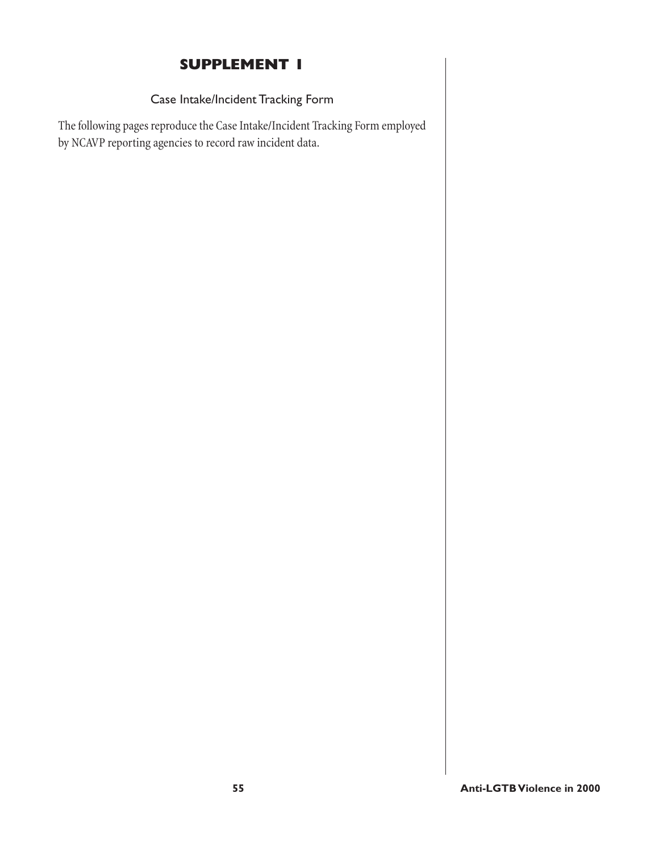# **SUPPLEMENT 1**

### Case Intake/Incident Tracking Form

The following pages reproduce the Case Intake/Incident Tracking Form employed by NCAVP reporting agencies to record raw incident data.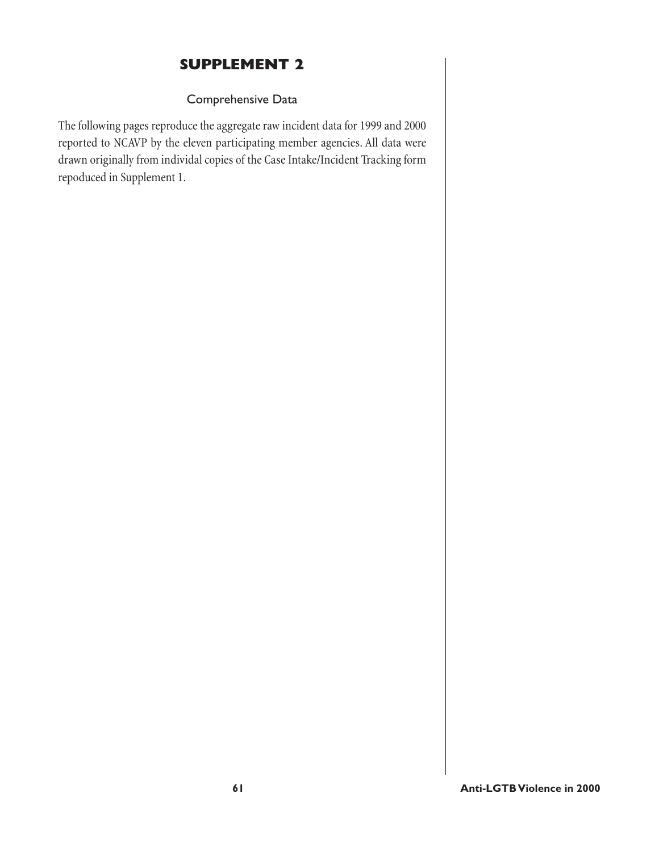# **SUPPLEMENT 2**

### Comprehensive Data

The following pages reproduce the aggregate raw incident data for 1999 and 2000 reported to NCAVP by the eleven participating member agencies. All data were drawn originally from individal copies of the Case Intake/Incident Tracking form repoduced in Supplement 1.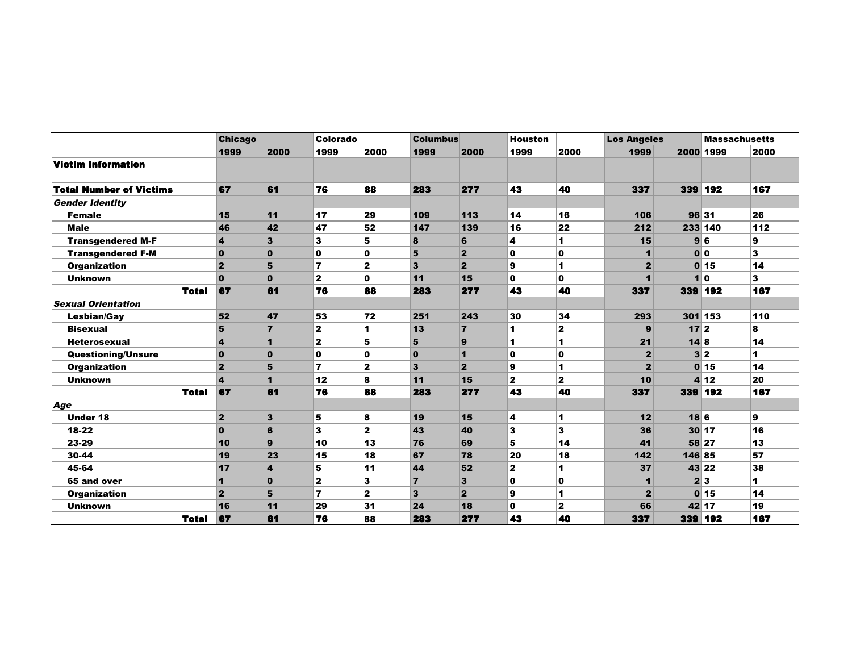|                                | <b>Chicago</b>          |                         | Colorado    |                | <b>Columbus</b> |                | Houston |                | <b>Los Angeles</b>   |         |                | <b>Massachusetts</b> |
|--------------------------------|-------------------------|-------------------------|-------------|----------------|-----------------|----------------|---------|----------------|----------------------|---------|----------------|----------------------|
|                                | 1999                    | 2000                    | 1999        | 2000           | 1999            | 2000           | 1999    | 2000           | 1999                 |         | 2000 1999      | 2000                 |
| <b>Victim Information</b>      |                         |                         |             |                |                 |                |         |                |                      |         |                |                      |
|                                |                         |                         |             |                |                 |                |         |                |                      |         |                |                      |
| <b>Total Number of Victims</b> | 67                      | 61                      | 76          | 88             | 283             | 277            | 43      | 40             | 337                  |         | 339 192        | 167                  |
| <b>Gender Identity</b>         |                         |                         |             |                |                 |                |         |                |                      |         |                |                      |
| <b>Female</b>                  | 15                      | 11                      | 17          | 29             | 109             | 113            | 14      | 16             | 106                  |         | 96 31          | 26                   |
| <b>Male</b>                    | 46                      | 42                      | 47          | 52             | 147             | 139            | 16      | 22             | 212                  |         | 233 140        | $112$                |
| <b>Transgendered M-F</b>       | $\boldsymbol{A}$        | 3                       | 3           | 5              | 8               | 6              | 4       | 1              | 15                   |         | 96             | 9                    |
| <b>Transgendered F-M</b>       | $\bf{0}$                | $\bf{0}$                | $\mathbf 0$ | O              | 5               | $\overline{2}$ | 0       | $\mathbf 0$    |                      |         | 0 <sup>o</sup> | 3                    |
| <b>Organization</b>            | $\mathbf{2}$            | 5                       | 7           | 2              | 3               | $\overline{2}$ | 9       | 1              | $\mathbf{2}$         |         | 0 15           | 14                   |
| <b>Unknown</b>                 | $\mathbf{0}$            | $\mathbf 0$             | 2           | O              | 11              | 15             | 0       | $\mathbf{0}$   |                      |         | 10             | 3                    |
| <b>Total</b>                   | 67                      | 61                      | 76          | 88             | 283             | 277            | 43      | 40             | 337                  | 339 192 |                | 167                  |
| <b>Sexual Orientation</b>      |                         |                         |             |                |                 |                |         |                |                      |         |                |                      |
| <b>Lesbian/Gay</b>             | 52                      | 47                      | 53          | 72             | 251             | 243            | 30      | 34             | 293                  |         | 301 153        | 110                  |
| <b>Bisexual</b>                | 5                       | $\overline{7}$          | 2           | 1              | 13              | $\overline{7}$ | 1       | $\overline{2}$ | 9                    | 172     |                | 8                    |
| <b>Heterosexual</b>            | $\overline{\mathbf{A}}$ | 1                       | 2           | 5              | 5               | 9              | 1       | 1              | 21                   | 14 8    |                | 14                   |
| <b>Questioning/Unsure</b>      | $\Omega$                | $\mathbf{0}$            | 0           | O              | $\mathbf 0$     | $\overline{1}$ | O       | $\mathbf 0$    | $\overline{2}$       |         | 3 2            | 1                    |
| Organization                   | $\overline{2}$          | 5                       | 7           | $\overline{2}$ | $\mathbf{3}$    | $\mathbf{2}$   | 9       | 1              | $\overline{2}$       |         | 0 15           | 14                   |
| <b>Unknown</b>                 | $\Delta$                | 1                       | 12          | 8              | 11              | 15             | 2       | $\mathbf{z}$   | 10                   |         | 4 12           | 20                   |
| <b>Total</b>                   | 67                      | 61                      | 76          | 88             | 283             | 277            | 43      | 40             | 337                  | 339 192 |                | 167                  |
| Age                            |                         |                         |             |                |                 |                |         |                |                      |         |                |                      |
| <b>Under 18</b>                | $\overline{2}$          | 3                       | 5           | 8              | 19              | 15             | 4       | 1              | 12                   | 186     |                | 9                    |
| 18-22                          | $\Omega$                | 6                       | 3           | $\overline{2}$ | 43              | 40             | 3       | 3              | 36                   |         | 30 17          | 16                   |
| 23-29                          | 10                      | 9                       | 10          | 13             | 76              | 69             | 5       | 14             | 41                   |         | 58 27          | 13                   |
| 30-44                          | 19                      | 23                      | 15          | 18             | 67              | 78             | 20      | 18             | 142                  | 146 85  |                | 57                   |
| 45-64                          | 17                      | $\overline{\mathbf{4}}$ | 5           | 11             | 44              | 52             | 2       | 1              | 37                   |         | 43 22          | 38                   |
| 65 and over                    |                         | $\bf{0}$                | 2           | 3              | $\overline{7}$  | 3              | 0       | $\mathbf 0$    | $\blacktriangleleft$ |         | 2 3            | 1                    |
| <b>Organization</b>            | $\overline{2}$          | 5                       | 7           | $\overline{2}$ | $\mathbf{3}$    | $\mathbf{2}$   | 9       | 1              | $\overline{2}$       |         | 0 15           | 14                   |
| <b>Unknown</b>                 | 16                      | 11                      | 29          | 31             | 24              | 18             | 0       | $\mathbf{z}$   | 66                   |         | 42 17          | 19                   |
| <b>Total</b>                   | 67                      | 61                      | 76          | 88             | 283             | 277            | 43      | 40             | 337                  | 339 192 |                | 167                  |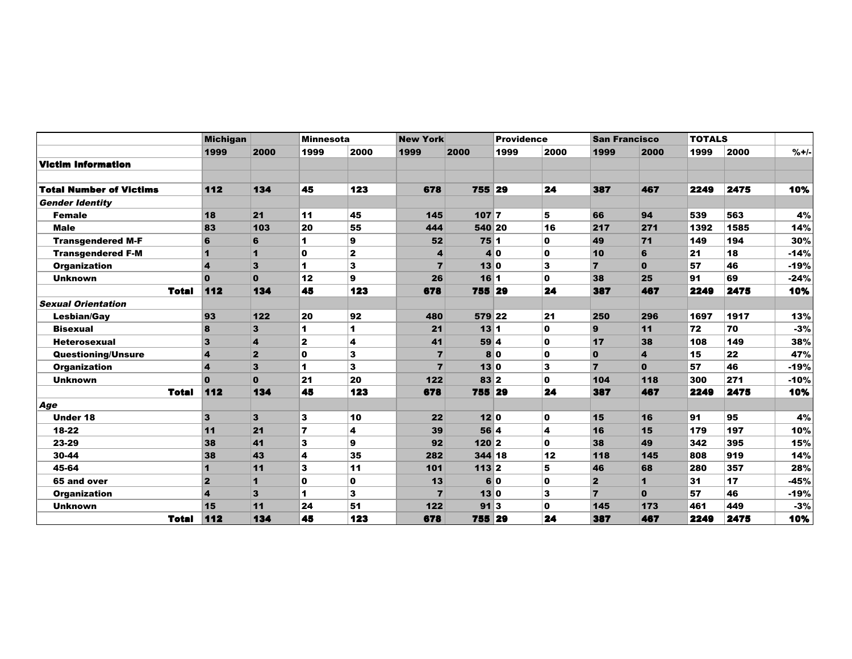|                           | <b>Michigan</b>         |                         | <b>Minnesota</b> |                         | <b>New York</b> |         | <b>Providence</b> |              | <b>San Francisco</b> |                         | <b>TOTALS</b> |      |        |
|---------------------------|-------------------------|-------------------------|------------------|-------------------------|-----------------|---------|-------------------|--------------|----------------------|-------------------------|---------------|------|--------|
|                           | 1999                    | 2000                    | 1999             | 2000                    | 1999            | 2000    | 1999              | 2000         | 1999                 | 2000                    | 1999          | 2000 | $%+/-$ |
| Victim Information        |                         |                         |                  |                         |                 |         |                   |              |                      |                         |               |      |        |
|                           |                         |                         |                  |                         |                 |         |                   |              |                      |                         |               |      |        |
| Total Number of Victims   | 112                     | 134                     | 45               | 123                     | 678             | 755 29  |                   | 24           | 387                  | 467                     | 2249          | 2475 | 10%    |
| <b>Gender Identity</b>    |                         |                         |                  |                         |                 |         |                   |              |                      |                         |               |      |        |
| <b>Female</b>             | 18                      | 21                      | 11               | 45                      | 145             | $107$ 7 |                   | 5            | 66                   | 94                      | 539           | 563  | 4%     |
| <b>Male</b>               | 83                      | 103                     | 20               | 55                      | 444             | 540 20  |                   | 16           | 217                  | 271                     | 1392          | 1585 | 14%    |
| <b>Transgendered M-F</b>  | 6                       | 6                       | 1                | $\boldsymbol{9}$        | 52              | 751     |                   | 0            | 49                   | 71                      | 149           | 194  | 30%    |
| <b>Transgendered F-M</b>  | 1                       | $\mathbf{1}$            | $\mathbf{0}$     | $\overline{\mathbf{2}}$ | 4               |         | 40                | $\mathbf 0$  | 10                   | 6                       | 21            | 18   | $-14%$ |
| <b>Organization</b>       | 4                       | $\overline{\mathbf{3}}$ | 1                | $\overline{\mathbf{3}}$ | $\overline{7}$  |         | 130               | 3            | $\overline{7}$       | $\mathbf 0$             | 57            | 46   | $-19%$ |
| <b>Unknown</b>            | $\mathbf{0}$            | $\mathbf{0}$            | 12               | $\mathbf{9}$            | 26              | 161     |                   | $\mathbf 0$  | 38                   | 25                      | 91            | 69   | $-24%$ |
| <b>Total</b>              | 112                     | 134                     | 45               | 123                     | 678             | 755 29  |                   | 24           | 387                  | 467                     | 2249          | 2475 | 10%    |
| <b>Sexual Orientation</b> |                         |                         |                  |                         |                 |         |                   |              |                      |                         |               |      |        |
| <b>Lesbian/Gay</b>        | 93                      | $122$                   | 20               | 92                      | 480             | 579 22  |                   | 21           | 250                  | 296                     | 1697          | 1917 | 13%    |
| <b>Bisexual</b>           | 8                       | $\overline{\mathbf{3}}$ | 1                | 1                       | 21              | $13$  1 |                   | $\mathbf{0}$ | 9                    | 11                      | 72            | 70   | $-3%$  |
| <b>Heterosexual</b>       | $\mathbf{3}$            | $\overline{\mathbf{4}}$ | $\mathbf{z}$     | $\overline{\mathbf{4}}$ | 41              |         | 59 4              | $\mathbf 0$  | 17                   | 38                      | 108           | 149  | 38%    |
| <b>Questioning/Unsure</b> | $\overline{\mathbf{4}}$ | $\overline{2}$          | 0                | ${\bf 3}$               | $\overline{7}$  |         | 80                | $\mathbf 0$  | $\bf{0}$             | $\overline{\mathbf{4}}$ | 15            | 22   | 47%    |
| <b>Organization</b>       | $\boldsymbol{4}$        | 3                       | 1                | 3                       | $\overline{7}$  |         | 130               | 3            | 7                    | $\mathbf{0}$            | 57            | 46   | $-19%$ |
| <b>Unknown</b>            | $\mathbf{0}$            | $\mathbf{0}$            | 21               | 20                      | 122             | 83 2    |                   | $\mathbf{0}$ | 104                  | 118                     | 300           | 271  | $-10%$ |
| <b>Total</b>              | 112                     | 134                     | 45               | 123                     | 678             | 755 29  |                   | 24           | 387                  | 467                     | 2249          | 2475 | 10%    |
| Age                       |                         |                         |                  |                         |                 |         |                   |              |                      |                         |               |      |        |
| <b>Under 18</b>           | $\mathbf{3}$            | 3                       | 3                | 10                      | 22              | 120     |                   | 0            | 15                   | 16                      | 91            | 95   | 4%     |
| 18-22                     | 11                      | 21                      | $\overline{7}$   | 4                       | 39              |         | 56 4              | 4            | 16                   | 15                      | 179           | 197  | 10%    |
| 23-29                     | 38                      | 41                      | 3                | $\mathbf{9}$            | 92              | 120 2   |                   | $\mathbf{0}$ | 38                   | 49                      | 342           | 395  | 15%    |
| 30-44                     | 38                      | 43                      | 4                | 35                      | 282             | 344 18  |                   | 12           | 118                  | 145                     | 808           | 919  | 14%    |
| 45-64                     | $\mathbf 1$             | 11                      | 3                | 11                      | 101             | $113$ 2 |                   | 5            | 46                   | 68                      | 280           | 357  | 28%    |
| 65 and over               | $\overline{2}$          | $\blacksquare$          | 0                | $\pmb{0}$               | 13              |         | 6 0               | $\mathbf{0}$ | $\mathbf{2}$         | $\mathbf{1}$            | 31            | 17   | $-45%$ |
| <b>Organization</b>       | $\overline{\mathbf{4}}$ | 3                       | 1                | 3                       | $\overline{7}$  |         | 130               | 3            | $\overline{7}$       | $\mathbf 0$             | 57            | 46   | $-19%$ |
| <b>Unknown</b>            | 15                      | 11                      | 24               | 51                      | 122             | 913     |                   | 0            | 145                  | 173                     | 461           | 449  | $-3%$  |
| <b>Total</b>              | 112                     | 134                     | 45               | 123                     | 678             | 755 29  |                   | 24           | 387                  | 467                     | 2249          | 2475 | 10%    |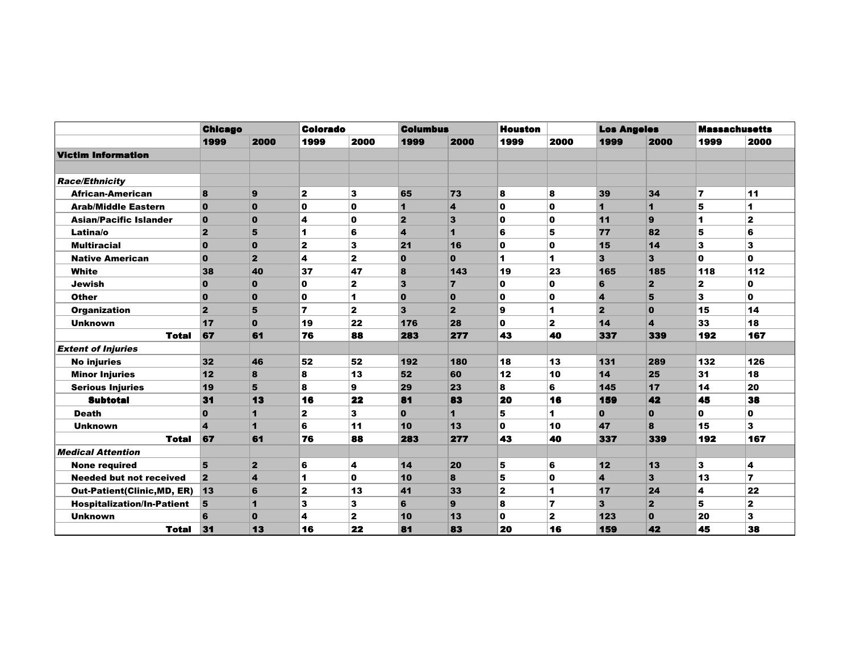|                                   | <b>Chicago</b>          |                         | <b>Colorado</b>         |              | <b>Columbus</b>         |                         | <b>Houston</b> |                      | <b>Los Angeles</b>      |                         |                         | <b>Massachusetts</b> |
|-----------------------------------|-------------------------|-------------------------|-------------------------|--------------|-------------------------|-------------------------|----------------|----------------------|-------------------------|-------------------------|-------------------------|----------------------|
|                                   | 1999                    | 2000                    | 1999                    | 2000         | 1999                    | 2000                    | 1999           | 2000                 | 1999                    | 2000                    | 1999                    | 2000                 |
| <b>Victim Information</b>         |                         |                         |                         |              |                         |                         |                |                      |                         |                         |                         |                      |
|                                   |                         |                         |                         |              |                         |                         |                |                      |                         |                         |                         |                      |
| <b>Race/Ethnicity</b>             |                         |                         |                         |              |                         |                         |                |                      |                         |                         |                         |                      |
| <b>African-American</b>           | 8                       | 9                       | $\mathbf{2}$            | 3            | 65                      | 73                      | 8              | 8                    | 39                      | 34                      | $\overline{\mathbf{r}}$ | 11                   |
| <b>Arab/Middle Eastern</b>        | $\bf{0}$                | $\mathbf{0}$            | $\mathbf 0$             | $\mathbf 0$  | $\mathbf{1}$            | $\overline{\mathbf{4}}$ | $\mathbf{0}$   | $\mathbf{0}$         | $\blacksquare$          | $\mathbf{1}$            | 5                       | 1                    |
| <b>Asian/Pacific Islander</b>     | $\bf{0}$                | $\mathbf{0}$            | 4                       | $\mathbf 0$  | $\overline{2}$          | 3                       | $\mathbf 0$    | 0                    | 11                      | 9                       | 1                       | $\mathbf{z}$         |
| Latina/o                          | $\overline{2}$          | 5                       | $\blacktriangleleft$    | 6            | $\overline{\mathbf{4}}$ | $\mathbf{1}$            | 6              | 5                    | 77                      | 82                      | 5                       | 6                    |
| <b>Multiracial</b>                | $\bf{0}$                | $\mathbf{0}$            | $\mathbf{2}$            | 3            | 21                      | 16                      | 0              | $\mathbf 0$          | 15                      | 14                      | 3                       | 3                    |
| <b>Native American</b>            | $\bf{0}$                | $\overline{2}$          | $\overline{\mathbf{4}}$ | $\mathbf{2}$ | $\mathbf{0}$            | $\mathbf{0}$            | $\mathbf{1}$   | $\blacktriangleleft$ | $\overline{\mathbf{3}}$ | 3                       | $\mathbf{0}$            | $\mathbf{o}$         |
| White                             | 38                      | 40                      | 37                      | 47           | 8                       | 143                     | 19             | 23                   | 165                     | 185                     | 118                     | 112                  |
| <b>Jewish</b>                     | $\bf{0}$                | $\bf{0}$                | $\mathbf{0}$            | $\mathbf{2}$ | $\overline{\mathbf{3}}$ | $\overline{7}$          | $\mathbf{0}$   | $\mathbf 0$          | 6                       | $\overline{2}$          | $\mathbf{z}$            | 0                    |
| <b>Other</b>                      | $\bf{0}$                | $\bf{0}$                | $\mathbf 0$             | 1            | $\bf{0}$                | $\mathbf 0$             | 0              | 0                    | $\boldsymbol{4}$        | 5                       | 3                       | 0                    |
| <b>Organization</b>               | $\overline{2}$          | 5                       | $\overline{\mathbf{z}}$ | $\mathbf{2}$ | $\overline{\mathbf{3}}$ | $\overline{2}$          | 9              | $\mathbf{1}$         | $\overline{2}$          | $\bf{0}$                | 15                      | 14                   |
| <b>Unknown</b>                    | 17                      | $\mathbf{0}$            | 19                      | 22           | 176                     | 28                      | $\mathbf{0}$   | $\mathbf{z}$         | 14                      | $\overline{\mathbf{A}}$ | 33                      | 18                   |
| <b>Total</b>                      | 67                      | 61                      | 76                      | 88           | 283                     | 277                     | 43             | 40                   | 337                     | 339                     | 192                     | 167                  |
| <b>Extent of Injuries</b>         |                         |                         |                         |              |                         |                         |                |                      |                         |                         |                         |                      |
| <b>No injuries</b>                | 32                      | 46                      | 52                      | 52           | 192                     | 180                     | 18             | 13                   | 131                     | 289                     | 132                     | 126                  |
| <b>Minor Injuries</b>             | 12                      | 8                       | 8                       | 13           | 52                      | 60                      | 12             | 10                   | 14                      | 25                      | 31                      | 18                   |
| <b>Serious Injuries</b>           | 19                      | 5                       | 8                       | 9            | 29                      | 23                      | 8              | 6                    | 145                     | 17                      | 14                      | 20                   |
| <b>Subtotal</b>                   | 31                      | 13                      | 16                      | 22           | 81                      | 83                      | 20             | 16                   | 159                     | 42                      | 45                      | 38                   |
| <b>Death</b>                      | $\bf{0}$                | $\mathbf{1}$            | $\mathbf{2}$            | 3            | $\bf{0}$                | $\mathbf{1}$            | 5              | 1                    | $\mathbf{0}$            | $\mathbf{0}$            | 0                       | 0                    |
| <b>Unknown</b>                    | $\overline{\mathbf{A}}$ | $\overline{\mathbf{1}}$ | 6                       | 11           | 10                      | 13                      | $\mathbf 0$    | 10                   | 47                      | 8                       | 15                      | 3                    |
| <b>Total</b>                      | 67                      | 61                      | 76                      | 88           | 283                     | 277                     | 43             | 40                   | 337                     | 339                     | 192                     | 167                  |
| <b>Medical Attention</b>          |                         |                         |                         |              |                         |                         |                |                      |                         |                         |                         |                      |
| <b>None required</b>              | 5                       | $\mathbf{2}$            | 6                       | 4            | 14                      | 20                      | 5              | 6                    | $12$                    | 13                      | 3                       | 4                    |
| <b>Needed but not received</b>    | $\overline{2}$          | $\overline{\mathbf{4}}$ | $\blacktriangleleft$    | $\mathbf 0$  | 10                      | 8                       | 5              | $\mathbf 0$          | $\overline{\mathbf{A}}$ | 3                       | 13                      | 7                    |
| <b>Out-Patient(Clinic,MD, ER)</b> | 13                      | 6                       | $\mathbf{2}$            | 13           | 41                      | 33                      | $\mathbf{z}$   | $\mathbf{1}$         | 17                      | 24                      | 4                       | 22                   |
| <b>Hospitalization/In-Patient</b> | 5                       | $\mathbf{1}$            | 3                       | 3            | 6                       | 9                       | 8              | $\overline{7}$       | 3                       | $\overline{2}$          | 5                       | $\overline{2}$       |
| <b>Unknown</b>                    | 6                       | $\mathbf{0}$            | 4                       | $\mathbf{2}$ | 10                      | 13                      | $\mathbf{0}$   | $\mathbf{z}$         | 123                     | $\mathbf{0}$            | 20                      | 3                    |
| <b>Total</b>                      | 31                      | 13                      | 16                      | 22           | 81                      | 83                      | 20             | 16                   | 159                     | 42                      | 45                      | 38                   |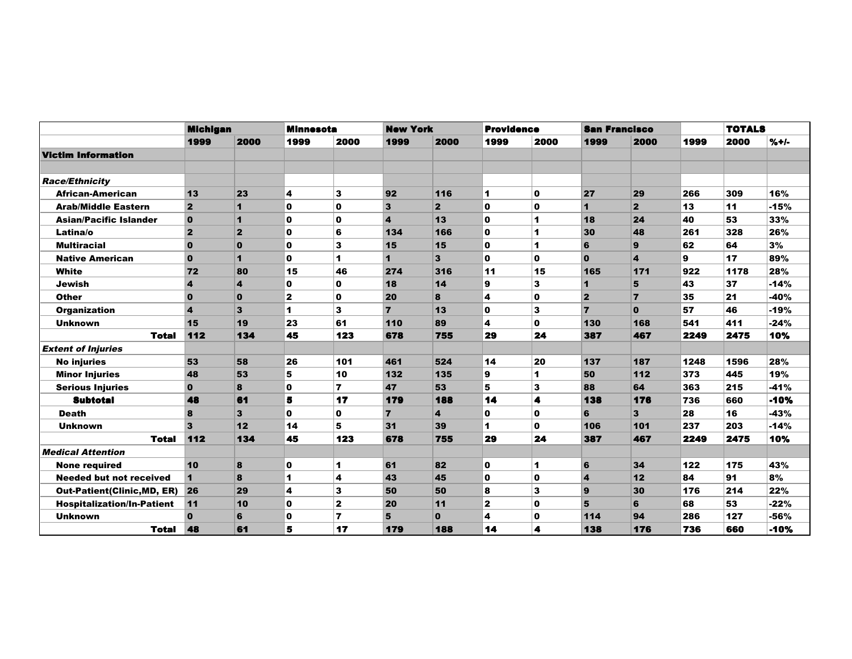|                                   | <b>Michigan</b>         |                         | <b>Minnesota</b>        |                | <b>New York</b> |                | <b>Providence</b>    |                         | <b>San Francisco</b> |                |      | <b>TOTALS</b> |         |
|-----------------------------------|-------------------------|-------------------------|-------------------------|----------------|-----------------|----------------|----------------------|-------------------------|----------------------|----------------|------|---------------|---------|
|                                   | 1999                    | 2000                    | 1999                    | 2000           | 1999            | 2000           | 1999                 | 2000                    | 1999                 | 2000           | 1999 | 2000          | $% + -$ |
| <b>Victim Information</b>         |                         |                         |                         |                |                 |                |                      |                         |                      |                |      |               |         |
|                                   |                         |                         |                         |                |                 |                |                      |                         |                      |                |      |               |         |
| <b>Race/Ethnicity</b>             |                         |                         |                         |                |                 |                |                      |                         |                      |                |      |               |         |
| <b>African-American</b>           | 13                      | 23                      | $\overline{\mathbf{4}}$ | 3              | 92              | 116            | 1                    | $\mathbf 0$             | 27                   | 29             | 266  | 309           | 16%     |
| <b>Arab/Middle Eastern</b>        | $\overline{2}$          | $\blacktriangleleft$    | $\mathbf{0}$            | $\mathbf{0}$   | 3               | $\overline{2}$ | 0                    | $\mathbf{0}$            | 1                    | $\overline{2}$ | 13   | 11            | $-15%$  |
| <b>Asian/Pacific Islander</b>     | $\overline{0}$          | $\blacktriangleleft$    | 0                       | O              | 4               | 13             | $\mathbf 0$          | $\blacktriangleleft$    | 18                   | 24             | 40   | 53            | 33%     |
| Latina/o                          | $\vert$ 2               | $\mathbf{2}$            | 0                       | 6              | 134             | 166            | $\mathbf 0$          | $\mathbf{1}$            | 30                   | 48             | 261  | 328           | 26%     |
| <b>Multiracial</b>                | $\overline{0}$          | $\mathbf 0$             | $\mathbf 0$             | 3              | 15              | 15             | $\mathbf 0$          | 1                       | 6                    | 9              | 62   | 64            | 3%      |
| <b>Native American</b>            | $\overline{0}$          | $\blacktriangleleft$    | $\mathbf{0}$            | 1              | $\mathbf{1}$    | 3              | $\mathbf{0}$         | $\mathbf 0$             | $\mathbf{0}$         | 4              | 9    | 17            | 89%     |
| White                             | 72                      | 80                      | 15                      | 46             | 274             | 316            | 11                   | 15                      | 165                  | 171            | 922  | 1178          | 28%     |
| <b>Jewish</b>                     | $\boldsymbol{4}$        | $\overline{\mathbf{4}}$ | $\mathbf 0$             | 0              | 18              | 14             | 9                    | 3                       | 1                    | 5              | 43   | 37            | $-14%$  |
| <b>Other</b>                      | $\mathbf 0$             | $\mathbf 0$             | $\mathbf{2}$            | O              | 20              | 8              | 4                    | $\mathbf 0$             | $\mathbf{2}$         | $\overline{7}$ | 35   | 21            | $-40%$  |
| <b>Organization</b>               | $\overline{\mathbf{A}}$ | $\overline{\mathbf{3}}$ | 1                       | 3              | $\overline{7}$  | 13             | $\mathbf{o}$         | $\overline{\mathbf{3}}$ | $\overline{7}$       | $\mathbf{0}$   | 57   | 46            | $-19%$  |
| <b>Unknown</b>                    | 15                      | 19                      | 23                      | 61             | 110             | 89             | 4                    | $\mathbf 0$             | 130                  | 168            | 541  | 411           | $-24%$  |
| <b>Total</b>                      | 112                     | 134                     | 45                      | 123            | 678             | 755            | 29                   | 24                      | 387                  | 467            | 2249 | 2475          | 10%     |
| <b>Extent of Injuries</b>         |                         |                         |                         |                |                 |                |                      |                         |                      |                |      |               |         |
| <b>No injuries</b>                | 53                      | 58                      | 26                      | 101            | 461             | 524            | 14                   | 20                      | 137                  | 187            | 1248 | 1596          | 28%     |
| <b>Minor Injuries</b>             | 48                      | 53                      | 5                       | 10             | 132             | 135            | 9                    | 1                       | 50                   | 112            | 373  | 445           | 19%     |
| <b>Serious Injuries</b>           | $\bf{0}$                | 8                       | $\bf{0}$                | $\overline{7}$ | 47              | 53             | 5                    | 3                       | 88                   | 64             | 363  | 215           | $-41%$  |
| <b>Subtotal</b>                   | 48                      | 61                      | 5                       | 17             | 179             | 188            | 14                   | 4                       | 138                  | 176            | 736  | 660           | -10%    |
| <b>Death</b>                      | 8                       | $\mathbf{3}$            | 0                       | 0              | $\overline{7}$  | 4              | 0                    | $\mathbf{0}$            | 6                    | 3              | 28   | 16            | $-43%$  |
| <b>Unknown</b>                    | $\overline{\mathbf{3}}$ | 12                      | 14                      | 5              | 31              | 39             | $\blacktriangleleft$ | $\mathbf 0$             | 106                  | 101            | 237  | 203           | $-14%$  |
| <b>Total</b>                      | 112                     | 134                     | 45                      | 123            | 678             | 755            | 29                   | 24                      | 387                  | 467            | 2249 | 2475          | 10%     |
| Medical Attention                 |                         |                         |                         |                |                 |                |                      |                         |                      |                |      |               |         |
| <b>None required</b>              | 10                      | 8                       | $\mathbf 0$             | 1              | 61              | 82             | $\mathbf 0$          | $\mathbf{1}$            | 6                    | 34             | 122  | 175           | 43%     |
| <b>Needed but not received</b>    |                         | 8                       | 1                       | 4              | 43              | 45             | 0                    | $\mathbf 0$             | $\boldsymbol{4}$     | 12             | 84   | 91            | 8%      |
| Out-Patient(Clinic,MD, ER) 26     |                         | 29                      | 4                       | 3              | 50              | 50             | 8                    | 3                       | 9                    | 30             | 176  | 214           | 22%     |
| <b>Hospitalization/In-Patient</b> | 11                      | 10                      | $\mathbf 0$             | $\overline{2}$ | 20              | 11             | $\mathbf{z}$         | $\mathbf 0$             | 5                    | 6              | 68   | 53            | $-22%$  |
| <b>Unknown</b>                    | $\Omega$                | 6                       | $\mathbf 0$             | $\overline{7}$ | 5               | $\mathbf{0}$   | 4                    | $\mathbf 0$             | 114                  | 94             | 286  | 127           | -56%    |
| Total                             | 48                      | 61                      | 5                       | 17             | 179             | 188            | 14                   | 4                       | 138                  | 176            | 736  | 660           | -10%    |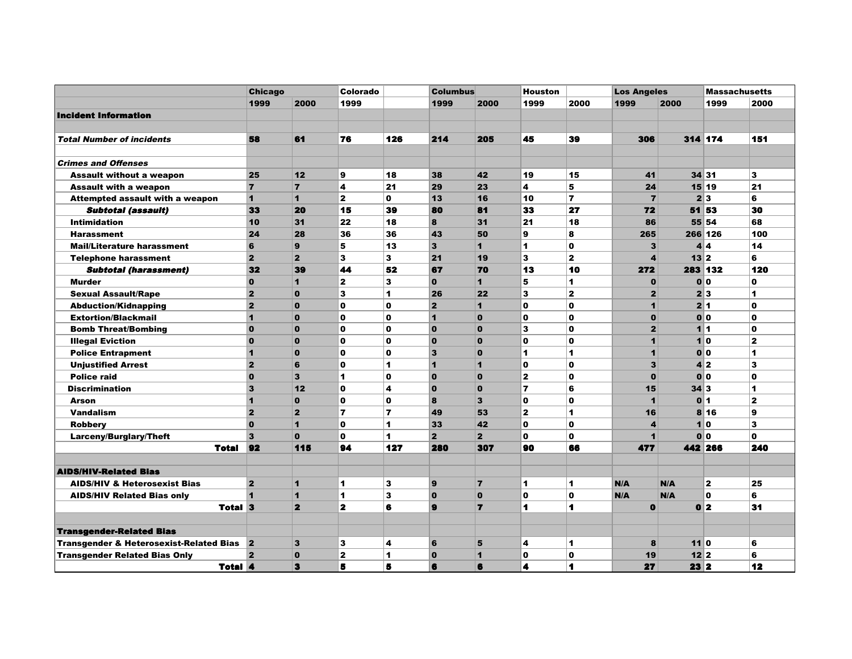|                                                    |                         | <b>Chicago</b> |                | Colorado                |                         | <b>Columbus</b>         |                         | <b>Houston</b>          |                         | <b>Los Angeles</b>      |                  | <b>Massachusetts</b> |                      |
|----------------------------------------------------|-------------------------|----------------|----------------|-------------------------|-------------------------|-------------------------|-------------------------|-------------------------|-------------------------|-------------------------|------------------|----------------------|----------------------|
|                                                    |                         | 1999           | 2000           | 1999                    |                         | 1999                    | 2000                    | 1999                    | 2000                    | 1999                    | 2000             | 1999                 | 2000                 |
| <b>Incident Information</b>                        |                         |                |                |                         |                         |                         |                         |                         |                         |                         |                  |                      |                      |
|                                                    |                         |                |                |                         |                         |                         |                         |                         |                         |                         |                  |                      |                      |
| <b>Total Number of incidents</b>                   | 58                      |                | 61             | 76                      | 126                     | 214                     | 205                     | 45                      | 39                      | 306                     |                  | 314 174              | 151                  |
| <b>Crimes and Offenses</b>                         |                         |                |                |                         |                         |                         |                         |                         |                         |                         |                  |                      |                      |
| <b>Assault without a weapon</b>                    | 25                      |                | 12             | 9                       | 18                      | 38                      | 42                      | 19                      | 15                      | 41                      |                  | 34 31                | $\mathbf{3}$         |
| <b>Assault with a weapon</b>                       | $\overline{7}$          |                | $\overline{7}$ | 4                       | 21                      | 29                      | 23                      | $\overline{\mathbf{4}}$ | 5                       | 24                      |                  | 15 19                | 21                   |
| Attempted assault with a weapon                    | $\overline{1}$          |                | $\mathbf{1}$   | $\mathbf{z}$            | $\mathbf{0}$            | 13                      | 16                      | 10                      | 7                       | $\overline{7}$          |                  | 2 3                  | 6                    |
| <b>Subtotal (assault)</b>                          | 33                      |                | 20             | 15                      | 39                      | 80                      | 81                      | 33                      | 27                      | 72                      |                  | 51 53                | 30                   |
| <b>Intimidation</b>                                | 10                      |                | 31             | 22                      | 18                      | 8                       | 31                      | 21                      | 18                      | 86                      |                  | 55 54                | 68                   |
| <b>Harassment</b>                                  | 24                      |                | 28             | 36                      | 36                      | 43                      | 50                      | 9                       | 8                       | 265                     |                  | 266 126              | 100                  |
| <b>Mail/Literature harassment</b>                  | $6\phantom{1}$          |                | $\mathbf{9}$   | 5                       | 13                      | $\overline{\mathbf{3}}$ | $\blacksquare$          | $\blacktriangleleft$    | $\mathbf{o}$            | 3                       |                  | 4 4                  | 14                   |
| <b>Telephone harassment</b>                        | $\overline{2}$          |                | $\overline{2}$ | 3                       | 3                       | 21                      | 19                      | $\mathbf{3}$            | $\overline{\mathbf{2}}$ | 4                       | $13$ 2           |                      | 6                    |
| <b>Subtotal (harassment)</b>                       | 32                      |                | 39             | 44                      | 52                      | 67                      | 70                      | 13                      | 10                      | 272                     |                  | 283 132              | 120                  |
| <b>Murder</b>                                      | $\mathbf{o}$            |                | $\mathbf{1}$   | $\mathbf{z}$            | 3                       | $\bf{0}$                | $\blacksquare$          | 5                       | 1                       | $\bf{0}$                |                  | 0 0                  | $\mathbf{0}$         |
| <b>Sexual Assault/Rape</b>                         | $\overline{\mathbf{2}}$ |                | $\mathbf{0}$   | 3                       | 1                       | 26                      | 22                      | $\overline{\mathbf{3}}$ | $\overline{\mathbf{2}}$ | $\overline{2}$          |                  | 2 3                  | $\blacktriangleleft$ |
| <b>Abduction/Kidnapping</b>                        | $\overline{2}$          |                | $\bf{0}$       | O                       | $\mathbf{0}$            | $\overline{2}$          | 1                       | $\mathbf o$             | $\mathbf o$             | $\mathbf{1}$            |                  | 2 1                  | $\mathbf{0}$         |
| <b>Extortion/Blackmail</b>                         | $\overline{1}$          |                | $\mathbf{0}$   | $\mathbf{0}$            | $\Omega$                | $\blacktriangleleft$    | $\mathbf{o}$            | $\mathbf{0}$            | $\mathbf o$             | $\mathbf{0}$            |                  | 0 0                  | $\mathbf{0}$         |
| <b>Bomb Threat/Bombing</b>                         | $\mathbf 0$             |                | $\mathbf 0$    | 0                       | $\mathbf{0}$            | $\bf{0}$                | $\mathbf{0}$            | 3                       | O                       | $\overline{2}$          |                  | 11                   | $\mathbf 0$          |
| <b>Illegal Eviction</b>                            | $\mathbf{0}$            |                | $\bf{0}$       | $\mathbf o$             | $\mathbf o$             | $\bf{0}$                | $\bf{0}$                | $\mathbf{0}$            | O                       | $\mathbf{1}$            |                  | 10                   | $\mathbf{2}$         |
| <b>Police Entrapment</b>                           | $\overline{1}$          |                | $\mathbf{0}$   | $\mathbf{o}$            | $\Omega$                | $\overline{\mathbf{3}}$ | $\mathbf{o}$            | $\mathbf{1}$            | 1                       | $\blacktriangleleft$    |                  | 0 0                  | 1                    |
| <b>Unjustified Arrest</b>                          | $\overline{\mathbf{2}}$ |                | 6              | $\mathbf 0$             | 1                       | $\overline{1}$          | $\overline{\mathbf{1}}$ | $\mathbf{o}$            | $\mathbf{0}$            | 3                       |                  | 4 2                  | $\mathbf{3}$         |
| <b>Police raid</b>                                 | $\mathbf{0}$            |                | 3              | 1                       | $\mathbf{0}$            | $\mathbf{0}$            | $\mathbf{o}$            | $\mathbf{z}$            | $\mathbf{o}$            | $\mathbf{0}$            |                  | 0 0                  | $\mathbf{0}$         |
| <b>Discrimination</b>                              | $\overline{\mathbf{3}}$ |                | 12             | $\mathbf{0}$            | 4                       | $\bf{0}$                | $\mathbf{0}$            | $\overline{\mathbf{z}}$ | 6                       | 15                      | $34\overline{3}$ |                      | $\blacktriangleleft$ |
| <b>Arson</b>                                       | $\overline{1}$          |                | $\mathbf{0}$   | $\mathbf o$             | $\mathbf{0}$            | 8                       | 3                       | $\mathbf{o}$            | O                       | $\overline{\mathbf{1}}$ |                  | 0 <sup> </sup> 1     | $\mathbf{2}$         |
| <b>Vandalism</b>                                   | $\overline{2}$          |                | $\overline{2}$ | 7                       | $\overline{\mathbf{z}}$ | 49                      | 53                      | $\mathbf{2}$            | 1                       | 16                      |                  | 8 16                 | 9                    |
| <b>Robbery</b>                                     | $\mathbf{0}$            |                | $\mathbf{1}$   | $\mathbf{0}$            | 1                       | 33                      | 42                      | $\mathbf{0}$            | $\mathbf{0}$            | 4                       |                  | 10                   | $\mathbf{3}$         |
| Larceny/Burglary/Theft                             | $\overline{\mathbf{3}}$ |                | $\mathbf{0}$   | $\mathbf{o}$            | 1                       | $\overline{2}$          | $\overline{2}$          | $\mathbf{0}$            | O                       | 1                       |                  | 0 0                  | $\mathbf{0}$         |
|                                                    | 92<br>Total             |                | 115            | 94                      | 127                     | 280                     | 307                     | 90                      | 66                      | 477                     |                  | 442 266              | 240                  |
| <b>AIDS/HIV-Related Bias</b>                       |                         |                |                |                         |                         |                         |                         |                         |                         |                         |                  |                      |                      |
| <b>AIDS/HIV &amp; Heterosexist Bias</b>            | $\overline{2}$          |                | $\mathbf{1}$   | 1                       | 3                       | 9                       | $\overline{7}$          | $\mathbf{1}$            | 1                       | N/A                     | N/A              | $\mathbf{2}$         | 25                   |
| <b>AIDS/HIV Related Bias only</b>                  |                         |                | 1              | 1                       | 3                       | $\mathbf{o}$            | $\mathbf{0}$            | $\mathbf 0$             | $\mathbf{o}$            | N/A                     | N/A              | $\mathbf{0}$         | 6                    |
|                                                    | Total 3                 |                | $\mathbf{2}$   | $\overline{\mathbf{z}}$ | 6                       | $\mathbf{9}$            | $\overline{ }$          | 1                       | 1                       | $\bullet$               |                  | 0 <sup>2</sup>       | 31                   |
| <b>Transgender-Related Bias</b>                    |                         |                |                |                         |                         |                         |                         |                         |                         |                         |                  |                      |                      |
| <b>Transgender &amp; Heterosexist-Related Bias</b> | $\vert$ 2               |                | $\mathbf{3}$   | 3                       | 4                       | 6                       | 5                       | 4                       | 1                       | 8                       | 110              |                      | 6                    |
| <b>Transgender Related Bias Only</b>               | $\overline{2}$          |                | $\mathbf{0}$   | $\overline{\mathbf{2}}$ | 1                       | $\bf{0}$                | $\blacksquare$          | $\mathbf 0$             | O                       | 19                      | 12 <sup>2</sup>  |                      | 6                    |
|                                                    | <b>Total 4</b>          |                | 3              | 5                       | 5                       | 6                       | 6                       | 4                       | 4                       | 27                      | $23$ 2           |                      | 12                   |
|                                                    |                         |                |                |                         |                         |                         |                         |                         |                         |                         |                  |                      |                      |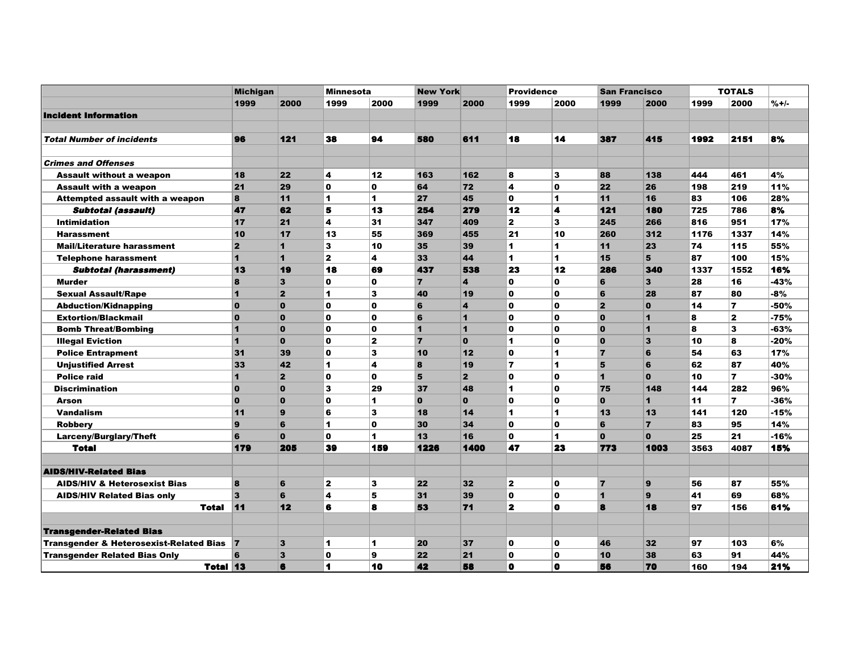|                                                    | <b>Michigan</b>         |                         | <b>Minnesota</b> |              | <b>New York</b> |                         | <b>Providence</b> |                      | <b>San Francisco</b>    |                         |      | <b>TOTALS</b>  |        |
|----------------------------------------------------|-------------------------|-------------------------|------------------|--------------|-----------------|-------------------------|-------------------|----------------------|-------------------------|-------------------------|------|----------------|--------|
|                                                    | 1999                    | 2000                    | 1999             | 2000         | 1999            | 2000                    | 1999              | 2000                 | 1999                    | 2000                    | 1999 | 2000           | $%+/-$ |
| <b>Incident Information</b>                        |                         |                         |                  |              |                 |                         |                   |                      |                         |                         |      |                |        |
|                                                    |                         |                         |                  |              |                 |                         |                   |                      |                         |                         |      |                |        |
| <b>Total Number of incidents</b>                   | 96                      | 121                     | 38               | 94           | 580             | 611                     | 18                | 14                   | 387                     | 415                     | 1992 | 2151           | 8%     |
| <b>Crimes and Offenses</b>                         |                         |                         |                  |              |                 |                         |                   |                      |                         |                         |      |                |        |
| <b>Assault without a weapon</b>                    | 18                      | 22                      | 4                | 12           | 163             | 162                     | 8                 | 3                    | 88                      | 138                     | 444  | 461            | 4%     |
| <b>Assault with a weapon</b>                       | 21                      | 29                      | $\mathbf{0}$     | $\mathbf 0$  | 64              | 72                      | 4                 | $\mathbf 0$          | 22                      | 26                      | 198  | 219            | 11%    |
| <b>Attempted assault with a weapon</b>             | 8                       | 11                      | 1                | 1            | 27              | 45                      | $\mathbf{0}$      | 1                    | 11                      | 16                      | 83   | 106            | 28%    |
| <b>Subtotal (assault)</b>                          | 47                      | 62                      | 5                | 13           | 254             | 279                     | 12                | 4                    | 121                     | 180                     | 725  | 786            | 8%     |
| <b>Intimidation</b>                                | 17                      | 21                      | 4                | 31           | 347             | 409                     | $\mathbf{2}$      | 3                    | 245                     | 266                     | 816  | 951            | 17%    |
| <b>Harassment</b>                                  | 10                      | 17                      | 13               | 55           | 369             | 455                     | 21                | 10                   | 260                     | 312                     | 1176 | 1337           | 14%    |
| <b>Mail/Literature harassment</b>                  | $\overline{2}$          | $\overline{\mathbf{1}}$ | 3                | 10           | 35              | 39                      | $\mathbf{1}$      | 1                    | 11                      | 23                      | 74   | 115            | 55%    |
| <b>Telephone harassment</b>                        | $\blacksquare$          | $\blacksquare$          | $\mathbf{2}$     | 4            | 33              | 44                      | 1                 | 1                    | 15                      | 5                       | 87   | 100            | 15%    |
| <b>Subtotal (harassment)</b>                       | 13                      | 19                      | 18               | 69           | 437             | 538                     | 23                | 12                   | 286                     | 340                     | 1337 | 1552           | 16%    |
| <b>Murder</b>                                      | 8                       | $\overline{\mathbf{3}}$ | O                | $\mathbf o$  | 7               | $\overline{\mathbf{4}}$ | $\Omega$          | $\mathbf o$          | 6                       | $\overline{\mathbf{3}}$ | 28   | 16             | -43%   |
| <b>Sexual Assault/Rape</b>                         | 1                       | $\overline{2}$          | 1                | 3            | 40              | 19                      | $\mathbf 0$       | $\mathbf 0$          | $6\phantom{1}6$         | 28                      | 87   | 80             | -8%    |
| <b>Abduction/Kidnapping</b>                        | $\mathbf{o}$            | $\mathbf{0}$            | O                | $\mathbf 0$  | 6               | 4                       | $\mathbf 0$       | $\mathbf 0$          | $\overline{2}$          | $\mathbf{0}$            | 14   | $\overline{ }$ | -50%   |
| <b>Extortion/Blackmail</b>                         | $\mathbf{0}$            | $\mathbf{0}$            | O                | $\mathbf{o}$ | 6               | $\blacktriangleleft$    | $\Omega$          | $\mathbf 0$          | $\Omega$                | $\overline{\mathbf{1}}$ | 8    | $\mathbf{z}$   | $-75%$ |
| <b>Bomb Threat/Bombing</b>                         | 1                       | $\mathbf{0}$            | O                | $\mathbf 0$  | $\mathbf{1}$    | $\overline{1}$          | $\mathbf 0$       | $\mathbf 0$          | $\mathbf{o}$            | 1                       | 8    | 3              | -63%   |
| <b>Illegal Eviction</b>                            | $\overline{\mathbf{1}}$ | $\mathbf{0}$            | O                | $\mathbf{z}$ | $\overline{7}$  | $\bf{0}$                | 1                 | $\mathbf 0$          | $\mathbf{o}$            | 3                       | 10   | 8              | -20%   |
| <b>Police Entrapment</b>                           | 31                      | 39                      | $\mathbf{0}$     | $\mathbf{3}$ | 10              | 12                      | $\mathbf{0}$      | $\blacktriangleleft$ | $\overline{7}$          | 6                       | 54   | 63             | 17%    |
| <b>Unjustified Arrest</b>                          | 33                      | 42                      | $\mathbf{1}$     | 4            | 8               | 19                      | $\overline{7}$    | 1                    | 5                       | 6                       | 62   | 87             | 40%    |
| <b>Police raid</b>                                 | $\blacktriangleleft$    | $\overline{2}$          | O                | $\mathbf{0}$ | 5               | $\overline{2}$          | $\mathbf o$       | $\mathbf 0$          | $\blacksquare$          | $\mathbf{0}$            | 10   | $\overline{ }$ | $-30%$ |
| <b>Discrimination</b>                              | $\mathbf{0}$            | $\mathbf{0}$            | 3                | 29           | 37              | 48                      | 1                 | $\mathbf 0$          | 75                      | 148                     | 144  | 282            | 96%    |
| Arson                                              | $\Omega$                | $\mathbf{0}$            | $\mathbf o$      | 1            | $\mathbf{0}$    | $\mathbf{0}$            | $\mathbf 0$       | $\mathbf 0$          | $\mathbf{0}$            | $\mathbf{1}$            | 11   | $\overline{ }$ | $-36%$ |
| <b>Vandalism</b>                                   | 11                      | $\mathbf{9}$            | 6                | 3            | 18              | 14                      | 1                 | $\blacktriangleleft$ | 13                      | 13                      | 141  | 120            | -15%   |
| <b>Robbery</b>                                     | 9                       | 6                       | 1                | $\mathbf{0}$ | 30              | 34                      | $\mathbf{0}$      | $\mathbf 0$          | 6                       | $\overline{7}$          | 83   | 95             | 14%    |
| Larceny/Burglary/Theft                             | 6                       | $\mathbf{0}$            | $\mathbf{0}$     | 1            | 13              | 16                      | $\mathbf{o}$      | 1                    | $\mathbf{o}$            | $\mathbf{0}$            | 25   | 21             | $-16%$ |
| <b>Total</b>                                       | 179                     | 205                     | 39               | 159          | 1226            | 1400                    | 47                | 23                   | 773                     | 1003                    | 3563 | 4087           | 15%    |
|                                                    |                         |                         |                  |              |                 |                         |                   |                      |                         |                         |      |                |        |
| <b>AIDS/HIV-Related Bias</b>                       |                         |                         |                  |              |                 |                         |                   |                      |                         |                         |      |                |        |
| <b>AIDS/HIV &amp; Heterosexist Bias</b>            | 8                       | 6                       | $\mathbf{2}$     | 3            | 22              | 32                      | $\mathbf{2}$      | $\mathbf 0$          | $\overline{7}$          | $\mathbf{9}$            | 56   | 87             | 55%    |
| <b>AIDS/HIV Related Bias only</b>                  | 3                       | 6                       | 4                | 5            | 31              | 39                      | $\mathbf 0$       | $\mathbf 0$          | $\overline{\mathbf{1}}$ | $\mathbf{9}$            | 41   | 69             | 68%    |
| <b>Total</b>                                       | 11                      | 12                      | 6                | 8            | 53              | 71                      | $\mathbf{z}$      | $\mathbf 0$          | 8                       | 18                      | 97   | 156            | 61%    |
| <b>Transgender-Related Bias</b>                    |                         |                         |                  |              |                 |                         |                   |                      |                         |                         |      |                |        |
| <b>Transgender &amp; Heterosexist-Related Bias</b> | $\mathbf{r}$            | $\mathbf{3}$            | 1                | $\mathbf{1}$ | 20              | 37                      | $\mathbf 0$       | $\mathbf o$          | 46                      | 32                      | 97   | 103            | 6%     |
| <b>Transgender Related Bias Only</b>               | ĥ                       | $\overline{\mathbf{3}}$ | $\mathbf{0}$     | 9            | 22              | 21                      | $\mathbf 0$       | $\mathbf 0$          | 10                      | 38                      | 63   | 91             | 44%    |
| Total 13                                           |                         | 6                       | 4                | 10           | 42              | 58                      | $\bullet$         | $\mathbf 0$          | 56                      | 70                      | 160  | 194            | 21%    |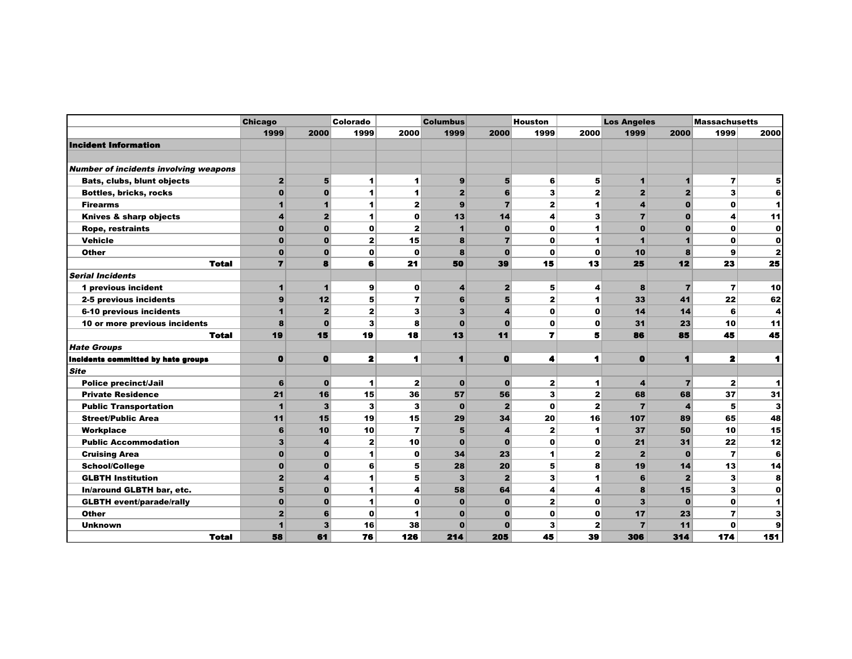|                                              | <b>Chicago</b> |                         | Colorado     |                | <b>Columbus</b> |                | <b>Houston</b>       |                | <b>Los Angeles</b>      |                | <b>Massachusetts</b>    |                |
|----------------------------------------------|----------------|-------------------------|--------------|----------------|-----------------|----------------|----------------------|----------------|-------------------------|----------------|-------------------------|----------------|
|                                              | 1999           | 2000                    | 1999         | 2000           | 1999            | 2000           | 1999                 | 2000           | 1999                    | 2000           | 1999                    | 2000           |
| <b>Incident Information</b>                  |                |                         |              |                |                 |                |                      |                |                         |                |                         |                |
|                                              |                |                         |              |                |                 |                |                      |                |                         |                |                         |                |
| <b>Number of incidents involving weapons</b> |                |                         |              |                |                 |                |                      |                |                         |                |                         |                |
| <b>Bats, clubs, blunt objects</b>            | $\overline{2}$ | 5 <sub>5</sub>          | 1            | 1              | 9               | 5 <sup>1</sup> | 6                    | 5              | 1                       | $\mathbf{1}$   | $\overline{\mathbf{r}}$ | 5              |
| <b>Bottles, bricks, rocks</b>                | $\mathbf{0}$   | $\mathbf{0}$            | 1            | 1              | $\overline{2}$  | 6              | 3                    | $\overline{2}$ | $\overline{\mathbf{2}}$ | $\overline{2}$ | $\overline{\mathbf{3}}$ | 6              |
| <b>Firearms</b>                              | $\mathbf{1}$   | $\blacktriangleleft$    | 1            | $\overline{2}$ | 9               | $\overline{7}$ | $\overline{2}$       | 1              | 4                       | $\mathbf{0}$   | $\mathbf o$             | 1              |
| Knives & sharp objects                       | 4              | $\overline{2}$          | 1            | 0              | 13              | 14             | 4                    | 3              | $\overline{7}$          | $\bf{0}$       | 4                       | 11             |
| <b>Rope, restraints</b>                      | $\mathbf{0}$   | $\mathbf 0$             | 0            | $\overline{2}$ | и               | $\bf{0}$       | $\mathbf o$          | 1              | $\mathbf{0}$            | $\bf{0}$       | 0                       | 0              |
| <b>Vehicle</b>                               | $\mathbf{0}$   | $\Omega$                | 2            | 15             | 8               | $\overline{7}$ | $\Omega$             | 1              | 1                       | 1              | $\bf{0}$                | $\mathbf o$    |
| <b>Other</b>                                 | $\mathbf{0}$   | $\mathbf 0$             | $\mathbf 0$  | $\mathbf{o}$   | 8               | $\bf{0}$       | $\mathbf 0$          | $\mathbf 0$    | 10                      | 8              | 9                       | $\overline{2}$ |
| <b>Total</b>                                 | $\overline{ }$ | 8                       | 6            | 21             | 50              | 39             | 15                   | 13             | 25                      | 12             | 23                      | 25             |
| <b>Serial Incidents</b>                      |                |                         |              |                |                 |                |                      |                |                         |                |                         |                |
| 1 previous incident                          | 1              | $\blacktriangleleft$    | 9            | $\mathbf{o}$   | 4               | $\mathbf{2}$   | 5                    | 4              | 8                       | $\overline{7}$ | $\overline{\mathbf{r}}$ | 10             |
| 2-5 previous incidents                       | 9              | 12                      | 5            | 7              | 6               | 5              | $\mathbf{z}$         | 1              | 33                      | 41             | 22                      | 62             |
| 6-10 previous incidents                      | 1              | 2                       | 2            | 3              | 3               | 4              | $\mathbf{o}$         | 0              | 14                      | 14             | 6                       | 4              |
| 10 or more previous incidents                | 8              | $\mathbf{o}$            | 3            | 8              | $\mathbf 0$     | $\mathbf 0$    | $\mathbf 0$          | $\mathbf o$    | 31                      | 23             | 10                      | 11             |
| <b>Total</b>                                 | 19             | 15                      | 19           | 18             | 13              | 11             | 7                    | 5              | 86                      | 85             | 45                      | 45             |
| <b>Hate Groups</b>                           |                |                         |              |                |                 |                |                      |                |                         |                |                         |                |
| Incidents committed by hate groups           | $\mathbf 0$    | $\bullet$               | 2            | 1              | $\blacksquare$  | $\bf{0}$       | 4                    | 1              | $\bf{0}$                | $\blacksquare$ | $\mathbf{z}$            | 1              |
| <b>Site</b>                                  |                |                         |              |                |                 |                |                      |                |                         |                |                         |                |
| <b>Police precinct/Jail</b>                  | 6              | $\mathbf 0$             | 1            | $\overline{2}$ | $\mathbf 0$     | $\bf{0}$       | $\mathbf{2}$         | 1              | 4                       | $\overline{7}$ | $\mathbf{z}$            | 1              |
| <b>Private Residence</b>                     | 21             | 16                      | 15           | 36             | 57              | 56             | 3                    | 2              | 68                      | 68             | 37                      | 31             |
| <b>Public Transportation</b>                 | $\mathbf{1}$   | 3 <sup>1</sup>          | 3            | 3              | $\bf{0}$        | $\overline{2}$ | $\mathbf 0$          | $\mathbf{2}$   | $\overline{7}$          | $\overline{4}$ | 5                       | З              |
| <b>Street/Public Area</b>                    | 11             | 15                      | 19           | 15             | 29              | 34             | 20                   | 16             | 107                     | 89             | 65                      | 48             |
| Workplace                                    | 6              | 10                      | 10           | $\overline{7}$ | 5               | 4              | $\mathbf{2}$         | 1              | 37                      | 50             | 10                      | 15             |
| <b>Public Accommodation</b>                  | 3              | $\boldsymbol{4}$        | $\mathbf{z}$ | 10             | $\bf{0}$        | $\bf{0}$       | $\mathbf{o}$         | 0              | 21                      | 31             | 22                      | 12             |
| <b>Cruising Area</b>                         | $\mathbf{0}$   | $\mathbf 0$             | 1            | $\mathbf{o}$   | 34              | 23             | $\blacktriangleleft$ | $\mathbf{2}$   | $\overline{2}$          | $\mathbf 0$    | $\overline{\mathbf{z}}$ | 6              |
| <b>School/College</b>                        | $\mathbf 0$    | $\mathbf{0}$            | 6            | 5              | 28              | 20             | 5                    | 8              | 19                      | 14             | 13                      | 14             |
| <b>GLBTH Institution</b>                     | $\overline{2}$ | $\overline{\mathbf{4}}$ | 1            | 5              | 3               | $\overline{2}$ | 3                    | 1              | 6                       | $\overline{2}$ | 3                       | 8              |
| In/around GLBTH bar, etc.                    | 5              | $\mathbf{0}$            | 1            | 4              | 58              | 64             | 4                    | 4              | 8                       | 15             | 3                       | $\mathbf o$    |
| <b>GLBTH</b> event/parade/rally              | $\mathbf{0}$   | $\mathbf{0}$            | 1            | O              | $\mathbf{0}$    | $\bf{0}$       | $\overline{2}$       | $\mathbf o$    | 3                       | $\mathbf{0}$   | $\mathbf{o}$            | 1              |
| <b>Other</b>                                 | $\overline{2}$ | 6                       | $\mathbf{0}$ | 1              | $\Omega$        | $\bf{0}$       | $\mathbf o$          | $\mathbf o$    | 17                      | 23             | $\overline{\mathbf{z}}$ | 3              |
| <b>Unknown</b>                               |                | 3                       | 16           | 38             | $\mathbf 0$     | $\bf{0}$       | 3                    | 2              | $\overline{7}$          | 11             | 0                       | 9              |
| <b>Total</b>                                 | 58             | 61                      | 76           | 126            | 214             | 205            | 45                   | 39             | 306                     | 314            | 174                     | 151            |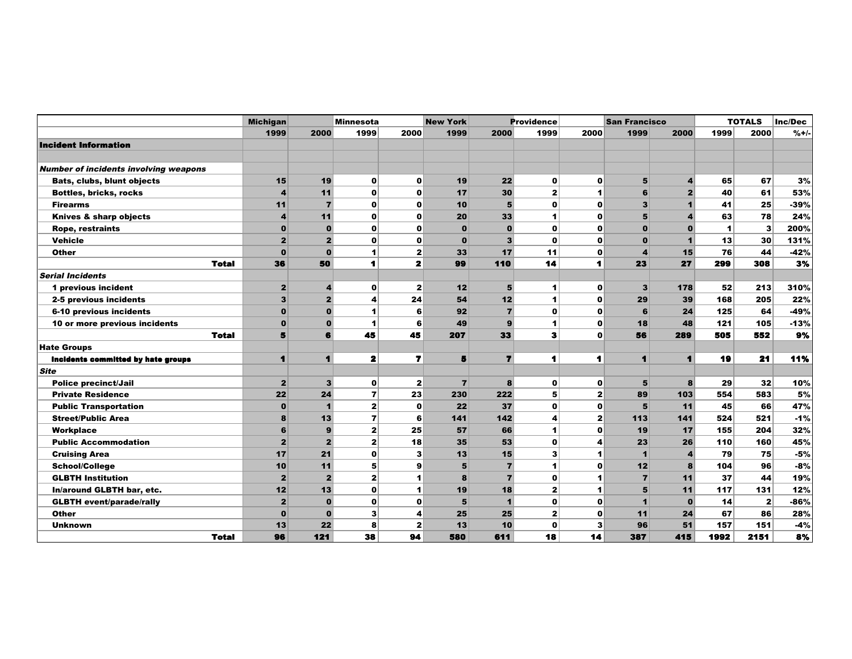|                                              | <b>Michigan</b>         |                | Minnesota      |                      | <b>New York</b> |                | <b>Providence</b> |                      | <b>San Francisco</b> |                |      | <b>TOTALS</b> | Inc/Dec |
|----------------------------------------------|-------------------------|----------------|----------------|----------------------|-----------------|----------------|-------------------|----------------------|----------------------|----------------|------|---------------|---------|
|                                              | 1999                    | 2000           | 1999           | 2000                 | 1999            | 2000           | 1999              | 2000                 | 1999                 | 2000           | 1999 | 2000          | $%+/-$  |
| <b>Incident Information</b>                  |                         |                |                |                      |                 |                |                   |                      |                      |                |      |               |         |
|                                              |                         |                |                |                      |                 |                |                   |                      |                      |                |      |               |         |
| <b>Number of incidents involving weapons</b> |                         |                |                |                      |                 |                |                   |                      |                      |                |      |               |         |
| <b>Bats, clubs, blunt objects</b>            | 15                      | 19             | $\mathbf{0}$   | $\mathbf 0$          | 19              | 22             | $\mathbf{0}$      | $\mathbf{o}$         | 5                    | 4              | 65   | 67            | 3%      |
| <b>Bottles, bricks, rocks</b>                | $\overline{\mathbf{A}}$ | 11             | $\mathbf{0}$   | $\mathbf 0$          | 17              | 30             | $\mathbf{z}$      | $\blacktriangleleft$ | 6                    | $\overline{2}$ | 40   | 61            | 53%     |
| <b>Firearms</b>                              | 11                      | $\overline{7}$ | $\mathbf{0}$   | $\mathbf 0$          | 10              | 5              | 0                 | $\mathbf{o}$         | 3                    | 1              | 41   | 25            | $-39%$  |
| Knives & sharp objects                       | $\overline{a}$          | 11             | $\mathbf{0}$   | $\mathbf 0$          | 20              | 33             | 1                 | $\mathbf{o}$         | 5                    | 4              | 63   | 78            | 24%     |
| <b>Rope, restraints</b>                      | $\mathbf 0$             | $\bf{0}$       | $\mathbf{0}$   | $\mathbf 0$          | $\bf{0}$        | $\bf{0}$       | $\mathbf o$       | $\mathbf{o}$         | $\mathbf{O}$         | $\bf{0}$       | 1    | $\mathbf{3}$  | 200%    |
| <b>Vehicle</b>                               | $\overline{2}$          | $\overline{2}$ | $\mathbf{0}$   | 0                    | $\bf{0}$        | $\mathbf{3}$   | O                 | $\mathbf{o}$         | $\mathbf{0}$         |                | 13   | 30            | 131%    |
| Other                                        | $\Omega$                | $\bf{0}$       | 1              | 2                    | 33              | 17             | 11                | $\mathbf{o}$         | 4                    | 15             | 76   | 44            | $-42%$  |
| <b>Total</b>                                 | 36                      | 50             | 1              | $\mathbf{z}$         | 99              | 110            | 14                | 1                    | 23                   | 27             | 299  | 308           | 3%      |
| <b>Serial Incidents</b>                      |                         |                |                |                      |                 |                |                   |                      |                      |                |      |               |         |
| 1 previous incident                          | $\mathbf{2}$            | 4              | $\mathbf{0}$   | $\mathbf{z}$         | 12              | 5              | 1                 | $\mathbf 0$          | 3                    | 178            | 52   | 213           | 310%    |
| 2-5 previous incidents                       | $\overline{\mathbf{3}}$ | $\overline{2}$ | 4              | 24                   | 54              | 12             | 1                 | $\mathbf{o}$         | 29                   | 39             | 168  | 205           | 22%     |
| 6-10 previous incidents                      | $\mathbf 0$             | $\bf{0}$       | $\blacksquare$ | 6                    | 92              | $\overline{7}$ | $\mathbf o$       | $\mathbf{o}$         | 6                    | 24             | 125  | 64            | $-49%$  |
| 10 or more previous incidents                | $\bf{0}$                | $\bf{0}$       | 1              | 6                    | 49              | 9              | 1                 | $\mathbf{o}$         | 18                   | 48             | 121  | 105           | $-13%$  |
| <b>Total</b>                                 | 5                       | 6              | 45             | 45                   | 207             | 33             | 3                 | $\mathbf{o}$         | 56                   | 289            | 505  | 552           | 9%      |
| <b>Hate Groups</b>                           |                         |                |                |                      |                 |                |                   |                      |                      |                |      |               |         |
| Incidents committed by hate groups           | 1                       | 1              | $\mathbf{z}$   | $\overline{ }$       | 5               | $\overline{ }$ | 1                 | 1                    | $\blacksquare$       | 1              | 19   | 21            | 11%     |
| <b>Site</b>                                  |                         |                |                |                      |                 |                |                   |                      |                      |                |      |               |         |
| <b>Police precinct/Jail</b>                  | $\overline{2}$          | 3              | $\mathbf{0}$   | $\mathbf{z}$         | $\overline{7}$  | 8              | $\mathbf{0}$      | $\mathbf 0$          | 5                    | 8              | 29   | 32            | 10%     |
| <b>Private Residence</b>                     | 22                      | 24             | $\overline{7}$ | 23                   | 230             | 222            | 5                 | $\mathbf{z}$         | 89                   | 103            | 554  | 583           | 5%      |
| <b>Public Transportation</b>                 | $\mathbf 0$             | $\mathbf{1}$   | $\mathbf{2}$   | $\mathbf 0$          | 22              | 37             | O                 | $\mathbf{o}$         | 5                    | 11             | 45   | 66            | 47%     |
| <b>Street/Public Area</b>                    | 8                       | 13             | $\overline{7}$ | 6                    | 141             | 142            | 4                 | $\mathbf{z}$         | 113                  | 141            | 524  | 521           | $-1%$   |
| Workplace                                    | 6                       | 9              | 2 <sup>1</sup> | 25                   | 57              | 66             | 1                 | $\mathbf{o}$         | 19                   | 17             | 155  | 204           | 32%     |
| <b>Public Accommodation</b>                  | $\overline{2}$          | $\overline{2}$ | $\mathbf{2}$   | 18                   | 35              | 53             | 0                 | 4                    | 23                   | 26             | 110  | 160           | 45%     |
| <b>Cruising Area</b>                         | 17                      | 21             | $\mathbf{0}$   | 3                    | 13              | 15             | 3                 | $\blacktriangleleft$ | $\blacktriangleleft$ | 4              | 79   | 75            | $-5%$   |
| <b>School/College</b>                        | 10                      | 11             | 5 <sup>1</sup> | 9                    | 5               | $\overline{7}$ | 1                 | $\mathbf{o}$         | 12                   | 8              | 104  | 96            | $-8%$   |
| <b>GLBTH Institution</b>                     | $\overline{2}$          | $\overline{2}$ | 2 <sup>1</sup> | $\blacktriangleleft$ | 8               | $\overline{7}$ | $\mathbf{0}$      | $\blacktriangleleft$ | $\overline{7}$       | 11             | 37   | 44            | 19%     |
| In/around GLBTH bar, etc.                    | 12                      | 13             | $\mathbf{0}$   | 1                    | 19              | 18             | 2                 | $\blacktriangleleft$ | 5                    | 11             | 117  | 131           | 12%     |
| <b>GLBTH event/parade/rally</b>              | $\overline{2}$          | $\bf{0}$       | $\mathbf{0}$   | 0                    | 5               | $\mathbf{1}$   | 0                 | $\Omega$             | 1                    | $\bf{0}$       | 14   | $\mathbf{2}$  | $-86%$  |
| <b>Other</b>                                 | $\mathbf 0$             | $\bf{0}$       | 3              | 4                    | 25              | 25             | $\mathbf{z}$      | $\mathbf{o}$         | 11                   | 24             | 67   | 86            | 28%     |
| Unknown                                      | 13                      | 22             | 8              | $\overline{2}$       | 13              | 10             | 0                 | 3                    | 96                   | 51             | 157  | 151           | $-4%$   |
| <b>Total</b>                                 | 96                      | 121            | 38             | 94                   | 580             | 611            | 18                | 14                   | 387                  | 415            | 1992 | 2151          | 8%      |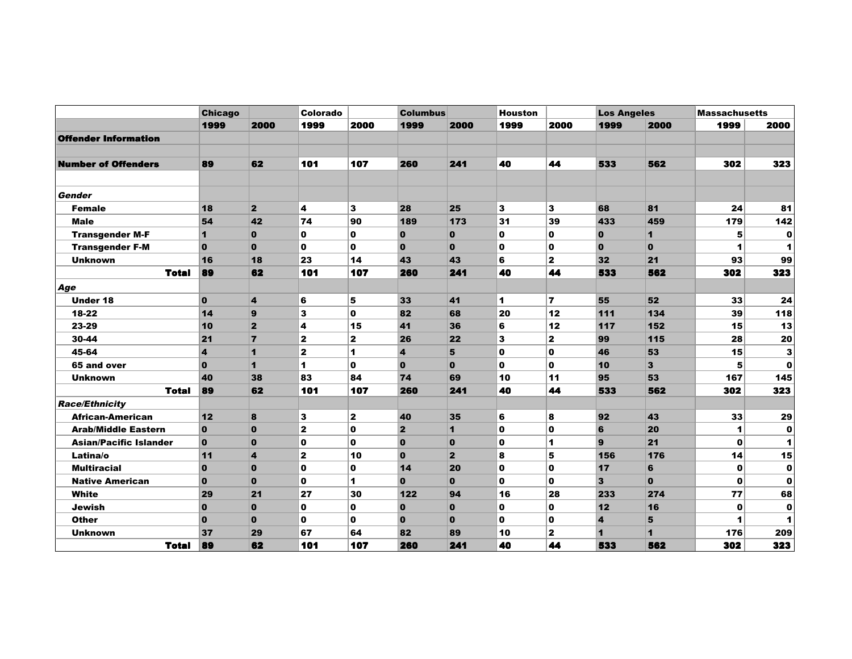|                               | <b>Chicago</b>          |                         | Colorado     |              | <b>Columbus</b>         |                         | <b>Houston</b> |                | <b>Los Angeles</b>      |              | <b>Massachusetts</b> |                      |
|-------------------------------|-------------------------|-------------------------|--------------|--------------|-------------------------|-------------------------|----------------|----------------|-------------------------|--------------|----------------------|----------------------|
|                               | 1999                    | 2000                    | 1999         | 2000         | 1999                    | 2000                    | 1999           | 2000           | 1999                    | 2000         | 1999                 | 2000                 |
| <b>Offender Information</b>   |                         |                         |              |              |                         |                         |                |                |                         |              |                      |                      |
|                               |                         |                         |              |              |                         |                         |                |                |                         |              |                      |                      |
| <b>Number of Offenders</b>    | 89                      | 62                      | 101          | 107          | 260                     | 241                     | 40             | 44             | 533                     | 562          | 302                  | 323                  |
|                               |                         |                         |              |              |                         |                         |                |                |                         |              |                      |                      |
| <b>Gender</b>                 |                         |                         |              |              |                         |                         |                |                |                         |              |                      |                      |
| <b>Female</b>                 | 18                      | $\overline{2}$          | 4            | 3            | 28                      | 25                      | 3              | 3              | 68                      | 81           | 24                   | 81                   |
| <b>Male</b>                   | 54                      | 42                      | 74           | 90           | 189                     | 173                     | 31             | 39             | 433                     | 459          | 179                  | 142                  |
| <b>Transgender M-F</b>        | 1                       | $\mathbf 0$             | $\mathbf 0$  | $\mathbf 0$  | $\mathbf 0$             | $\mathbf 0$             | O              | 0              | $\mathbf{0}$            | $\mathbf{1}$ | 5                    | $\mathbf 0$          |
| <b>Transgender F-M</b>        | $\mathbf 0$             | $\mathbf 0$             | $\mathbf 0$  | 0            | $\mathbf{0}$            | $\mathbf{0}$            | 0              | 0              | $\mathbf{0}$            | $\mathbf{0}$ | 1                    | 1                    |
| <b>Unknown</b>                | 16                      | 18                      | 23           | 14           | 43                      | 43                      | 6              | 2              | 32                      | 21           | 93                   | 99                   |
| <b>Total</b>                  | 89                      | 62                      | 101          | 107          | 260                     | 241                     | 40             | 44             | 533                     | 562          | 302                  | 323                  |
| Age                           |                         |                         |              |              |                         |                         |                |                |                         |              |                      |                      |
| <b>Under 18</b>               | $\mathbf{0}$            | 4                       | 6            | 5            | 33                      | 41                      | 1              | $\overline{ }$ | 55                      | 52           | 33                   | 24                   |
| 18-22                         | 14                      | 9                       | 3            | $\mathbf 0$  | 82                      | 68                      | 20             | 12             | 111                     | 134          | 39                   | 118                  |
| 23-29                         | 10                      | $\overline{\mathbf{2}}$ | 4            | 15           | 41                      | 36                      | 6              | 12             | 117                     | 152          | 15                   | 13                   |
| 30-44                         | 21                      | $\overline{7}$          | $\mathbf{z}$ | $\mathbf{z}$ | 26                      | 22                      | 3              | $\mathbf{z}$   | 99                      | 115          | 28                   | 20                   |
| 45-64                         | $\overline{\mathbf{A}}$ | 1                       | $\mathbf{z}$ | 1            | $\overline{4}$          | 5                       | O              | 0              | 46                      | 53           | 15                   | 3                    |
| 65 and over                   | $\bf{0}$                | 1                       | 1            | $\mathbf{0}$ | $\bf{0}$                | $\mathbf{0}$            | O              | O              | 10                      | 3            | 5                    | $\mathbf 0$          |
| <b>Unknown</b>                | 40                      | 38                      | 83           | 84           | 74                      | 69                      | 10             | 11             | 95                      | 53           | 167                  | 145                  |
| <b>Total</b>                  | 89                      | 62                      | 101          | 107          | 260                     | 241                     | 40             | 44             | 533                     | 562          | 302                  | 323                  |
| <b>Race/Ethnicity</b>         |                         |                         |              |              |                         |                         |                |                |                         |              |                      |                      |
| <b>African-American</b>       | 12                      | 8                       | 3            | $\mathbf{z}$ | 40                      | 35                      | 6              | 8              | 92                      | 43           | 33                   | 29                   |
| <b>Arab/Middle Eastern</b>    | $\mathbf{0}$            | $\mathbf 0$             | $\mathbf 2$  | 0            | $\overline{\mathbf{2}}$ | $\mathbf{1}$            | 0              | 0              | 6                       | 20           | 1                    | 0                    |
| <b>Asian/Pacific Islander</b> | $\bf{0}$                | $\bf{0}$                | 0            | $\mathbf 0$  | $\bf{0}$                | $\mathbf 0$             | 0              | 1              | $\mathbf{9}$            | 21           | 0                    | 1                    |
| Latina/o                      | 11                      | 4                       | $\mathbf 2$  | 10           | $\mathbf 0$             | $\overline{\mathbf{2}}$ | 8              | 5              | 156                     | 176          | 14                   | 15                   |
| <b>Multiracial</b>            | $\mathbf{0}$            | $\mathbf{0}$            | $\mathbf{0}$ | 0            | 14                      | 20                      | O              | 0              | 17                      | 6            | 0                    | $\mathbf 0$          |
| <b>Native American</b>        | $\mathbf{0}$            | $\mathbf 0$             | $\mathbf 0$  | 1            | $\mathbf{0}$            | $\mathbf{0}$            | O              | 0              | 3                       | $\mathbf{0}$ | 0                    | $\mathbf 0$          |
| White                         | 29                      | 21                      | 27           | 30           | 122                     | 94                      | 16             | 28             | 233                     | 274          | 77                   | 68                   |
| <b>Jewish</b>                 | $\mathbf{0}$            | $\mathbf{0}$            | 0            | 0            | $\mathbf{0}$            | $\mathbf{0}$            | 0              | 0              | 12                      | 16           | 0                    | $\mathbf 0$          |
| <b>Other</b>                  | $\mathbf{0}$            | $\mathbf 0$             | $\mathbf 0$  | $\mathbf{0}$ | $\bf{0}$                | $\mathbf 0$             | O              | 0              | $\overline{\mathbf{4}}$ | 5            | 1                    | $\blacktriangleleft$ |
| <b>Unknown</b>                | 37                      | 29                      | 67           | 64           | 82                      | 89                      | 10             | $\mathbf{z}$   | 1                       | $\mathbf{1}$ | 176                  | 209                  |
| <b>Total</b>                  | 89                      | 62                      | 101          | 107          | 260                     | 241                     | 40             | 44             | 533                     | 562          | 302                  | 323                  |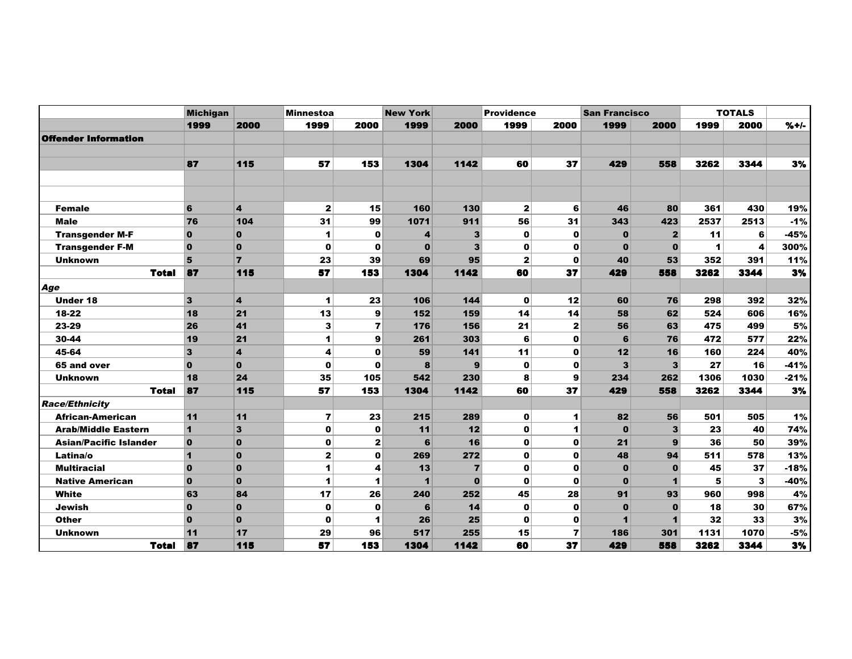|                               | <b>Michigan</b>         |                         | <b>Minnestoa</b> |                | <b>New York</b>         |                         | <b>Providence</b> |                | <b>San Francisco</b> |                         |      | <b>TOTALS</b> |         |
|-------------------------------|-------------------------|-------------------------|------------------|----------------|-------------------------|-------------------------|-------------------|----------------|----------------------|-------------------------|------|---------------|---------|
|                               | 1999                    | 2000                    | 1999             | 2000           | 1999                    | 2000                    | 1999              | 2000           | 1999                 | 2000                    | 1999 | 2000          | $% + -$ |
| <b>Offender Information</b>   |                         |                         |                  |                |                         |                         |                   |                |                      |                         |      |               |         |
|                               |                         |                         |                  |                |                         |                         |                   |                |                      |                         |      |               |         |
|                               | 87                      | 115                     | 57               | 153            | 1304                    | 1142                    | 60                | 37             | 429                  | 558                     | 3262 | 3344          | 3%      |
|                               |                         |                         |                  |                |                         |                         |                   |                |                      |                         |      |               |         |
|                               |                         |                         |                  |                |                         |                         |                   |                |                      |                         |      |               |         |
| <b>Female</b>                 | 6                       | $\overline{\mathbf{4}}$ | $\mathbf{z}$     | 15             | 160                     | 130                     | $\mathbf{2}$      | 6              | 46                   | 80                      | 361  | 430           | 19%     |
| <b>Male</b>                   | 76                      | 104                     | 31               | 99             | 1071                    | 911                     | 56                | 31             | 343                  | 423                     | 2537 | 2513          | $-1%$   |
| <b>Transgender M-F</b>        | $\overline{0}$          | $\mathbf 0$             | 1                | $\bf{0}$       | 4                       | 3                       | $\mathbf 0$       | $\mathbf 0$    | $\bf{0}$             | $\mathbf{2}$            | 11   | 6             | $-45%$  |
| <b>Transgender F-M</b>        | $\overline{0}$          | $\mathbf 0$             | $\mathbf{o}$     | $\bf{0}$       | $\bf{0}$                | $\overline{\mathbf{3}}$ | $\mathbf 0$       | $\mathbf 0$    | $\bf{0}$             | $\mathbf 0$             | 1    | 4             | 300%    |
| <b>Unknown</b>                | 5                       | $\overline{7}$          | 23               | 39             | 69                      | 95                      | $\mathbf{2}$      | $\mathbf 0$    | 40                   | 53                      | 352  | 391           | 11%     |
| Total                         | 87                      | 115                     | 57               | 153            | 1304                    | 1142                    | 60                | 37             | 429                  | 558                     | 3262 | 3344          | 3%      |
| Age                           |                         |                         |                  |                |                         |                         |                   |                |                      |                         |      |               |         |
| <b>Under 18</b>               | 3                       | $\overline{\mathbf{4}}$ | 1                | 23             | 106                     | 144                     | $\mathbf{0}$      | 12             | 60                   | 76                      | 298  | 392           | 32%     |
| 18-22                         | 18                      | 21                      | 13               | 9              | 152                     | 159                     | 14                | 14             | 58                   | 62                      | 524  | 606           | 16%     |
| 23-29                         | 26                      | 41                      | 3                | $\overline{ }$ | 176                     | 156                     | 21                | $\overline{2}$ | 56                   | 63                      | 475  | 499           | $5%$    |
| 30-44                         | 19                      | 21                      | 1                | 9              | 261                     | 303                     | 6                 | $\mathbf 0$    | 6                    | 76                      | 472  | 577           | 22%     |
| 45-64                         | $\mathbf{3}$            | $\overline{\mathbf{4}}$ | 4                | $\mathbf o$    | 59                      | 141                     | 11                | O              | 12                   | 16                      | 160  | 224           | 40%     |
| 65 and over                   | $\overline{0}$          | $\mathbf{0}$            | $\mathbf 0$      | $\bf{0}$       | 8                       | 9                       | $\mathbf 0$       | $\mathbf 0$    | 3                    | $\overline{\mathbf{3}}$ | 27   | 16            | $-41%$  |
| <b>Unknown</b>                | 18                      | 24                      | 35               | 105            | 542                     | 230                     | 8                 | 9              | 234                  | 262                     | 1306 | 1030          | $-21%$  |
| <b>Total</b>                  | 87                      | 115                     | 57               | 153            | 1304                    | 1142                    | 60                | 37             | 429                  | 558                     | 3262 | 3344          | 3%      |
| <b>Race/Ethnicity</b>         |                         |                         |                  |                |                         |                         |                   |                |                      |                         |      |               |         |
| <b>African-American</b>       | 11                      | 11                      | 7                | 23             | 215                     | 289                     | $\mathbf{0}$      | 1              | 82                   | 56                      | 501  | 505           | 1%      |
| <b>Arab/Middle Eastern</b>    | $\mathbf{1}$            | 3                       | $\mathbf 0$      | $\bf{0}$       | 11                      | 12                      | $\mathbf{0}$      | 1              | $\mathbf 0$          | $\overline{\mathbf{3}}$ | 23   | 40            | 74%     |
| <b>Asian/Pacific Islander</b> | $\overline{\mathbf{0}}$ | $\mathbf 0$             | $\mathbf 0$      | $\mathbf{z}$   | 6                       | 16                      | $\mathbf{0}$      | $\mathbf 0$    | 21                   | 9                       | 36   | 50            | 39%     |
| Latina/o                      | $\overline{1}$          | $\mathbf 0$             | $\mathbf{z}$     | 0              | 269                     | 272                     | $\mathbf 0$       | O              | 48                   | 94                      | 511  | 578           | 13%     |
| <b>Multiracial</b>            | $\overline{0}$          | $\mathbf 0$             | 1                | 4              | 13                      | $\overline{7}$          | $\mathbf{o}$      | O              | $\bf{0}$             | $\mathbf 0$             | 45   | 37            | $-18%$  |
| <b>Native American</b>        | $\bf{0}$                | $\mathbf{0}$            | 1                | 1              | $\overline{\mathbf{1}}$ | $\bf{0}$                | $\mathbf 0$       | O              | $\bf{0}$             | $\blacksquare$          | 5    | 3             | $-40%$  |
| White                         | 63                      | 84                      | 17               | 26             | 240                     | 252                     | 45                | 28             | 91                   | 93                      | 960  | 998           | 4%      |
| Jewish                        | $\mathbf 0$             | $\mathbf{0}$            | $\mathbf 0$      | $\mathbf o$    | 6                       | 14                      | $\mathbf 0$       | O              | $\mathbf 0$          | $\mathbf 0$             | 18   | 30            | 67%     |
| <b>Other</b>                  | $\overline{0}$          | $\mathbf{0}$            | $\mathbf 0$      | 1              | 26                      | 25                      | $\mathbf 0$       | $\mathbf 0$    | $\blacksquare$       | $\mathbf{1}$            | 32   | 33            | 3%      |
| <b>Unknown</b>                | 11                      | 17                      | 29               | 96             | 517                     | 255                     | 15                | 7              | 186                  | 301                     | 1131 | 1070          | $-5%$   |
| <b>Total</b>                  | 87                      | 115                     | 57               | 153            | 1304                    | 1142                    | 60                | 37             | 429                  | 558                     | 3262 | 3344          | 3%      |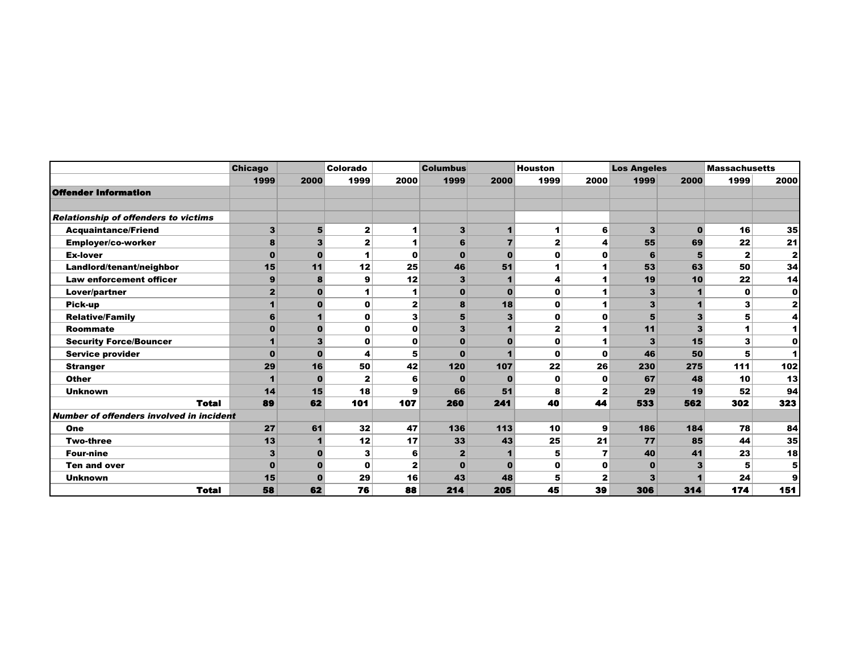|                                                 | <b>Chicago</b> |          | Colorado     |                      | <b>Columbus</b> |          | <b>Houston</b> |              | <b>Los Angeles</b> |              | <b>Massachusetts</b> |                      |
|-------------------------------------------------|----------------|----------|--------------|----------------------|-----------------|----------|----------------|--------------|--------------------|--------------|----------------------|----------------------|
|                                                 | 1999           | 2000     | 1999         | 2000                 | 1999            | 2000     | 1999           | 2000         | 1999               | 2000         | 1999                 | 2000                 |
| <b>Offender Information</b>                     |                |          |              |                      |                 |          |                |              |                    |              |                      |                      |
|                                                 |                |          |              |                      |                 |          |                |              |                    |              |                      |                      |
| <b>Relationship of offenders to victims</b>     |                |          |              |                      |                 |          |                |              |                    |              |                      |                      |
| <b>Acquaintance/Friend</b>                      | 3              | 5        | $\mathbf{2}$ | 1                    | 3               |          | 1              | 6            | 3                  | $\bf{0}$     | 16                   | 35                   |
| Employer/co-worker                              | 8              | 3        | $\mathbf{2}$ | $\blacktriangleleft$ | 6               |          | $\mathbf{z}$   | 4            | 55                 | 69           | 22                   | 21                   |
| <b>Ex-lover</b>                                 | $\Omega$       | $\bf{0}$ | 1            | O                    | $\bf{0}$        | $\Omega$ | O              | 0            | 6                  | 5            | $\mathbf{2}$         | $\mathbf{z}$         |
| Landlord/tenant/neighbor                        | 15             | 11       | 12           | 25                   | 46              | 51       | 1              |              | 53                 | 63           | 50                   | 34                   |
| <b>Law enforcement officer</b>                  | 9              | 8        | 9            | 12                   | 3               |          | 4              |              | 19                 | 10           | 22                   | 14                   |
| Lover/partner                                   | $\mathbf{2}$   | n        | 1            | 1                    | $\bf{0}$        | $\Omega$ | $\mathbf 0$    |              | 3                  |              | $\mathbf 0$          | 0                    |
| Pick-up                                         |                |          | $\mathbf o$  | $\mathbf{z}$         | 8               | 18       | $\mathbf o$    |              | 3                  |              | 3                    | $\mathbf{2}$         |
| <b>Relative/Family</b>                          | 6              |          | O            | 3                    | 5               |          | $\mathbf o$    | $\mathbf 0$  | 5                  | $\mathbf{3}$ | 5                    | 4                    |
| Roommate                                        | $\bf{0}$       |          | O            | $\mathbf 0$          | 3               |          | $\overline{2}$ |              | 11                 | 3            |                      | 1                    |
| <b>Security Force/Bouncer</b>                   |                | 3        | $\mathbf 0$  | $\mathbf 0$          | $\Omega$        |          | $\mathbf o$    |              | 3                  | 15           | 3                    | $\mathbf 0$          |
| <b>Service provider</b>                         | $\bf{0}$       |          | 4            | 5                    | $\Omega$        |          | $\mathbf o$    | $\mathbf 0$  | 46                 | 50           | 5                    | $\blacktriangleleft$ |
| <b>Stranger</b>                                 | 29             | 16       | 50           | 42                   | 120             | 107      | 22             | 26           | 230                | 275          | 111                  | 102                  |
| <b>Other</b>                                    |                | 0        | $\mathbf{2}$ | 6                    | $\Omega$        | n        | $\mathbf 0$    | $\mathbf 0$  | 67                 | 48           | 10                   | 13                   |
| <b>Unknown</b>                                  | 14             | 15       | 18           | 9                    | 66              | 51       | 8              | $\mathbf{2}$ | 29                 | 19           | 52                   | 94                   |
| <b>Total</b>                                    | 89             | 62       | 101          | 107                  | 260             | 241      | 40             | 44           | 533                | 562          | 302                  | 323                  |
| <b>Number of offenders involved in incident</b> |                |          |              |                      |                 |          |                |              |                    |              |                      |                      |
| <b>One</b>                                      | 27             | 61       | 32           | 47                   | 136             | 113      | 10             | 9            | 186                | 184          | 78                   | 84                   |
| <b>Two-three</b>                                | 13             |          | 12           | 17                   | 33              | 43       | 25             | 21           | 77                 | 85           | 44                   | 35                   |
| <b>Four-nine</b>                                | 3              | 0        | 3            | 6                    | $\mathbf{2}$    |          | 5              | 7            | 40                 | 41           | 23                   | 18                   |
| <b>Ten and over</b>                             | $\bf{0}$       | 0        | O            | $\mathbf{z}$         | $\bf{0}$        |          | $\mathbf 0$    | 0            | $\bf{0}$           | 3            |                      | 5                    |
| <b>Unknown</b>                                  | 15             | 0        | 29           | 16                   | 43              | 48       | 5              | $\mathbf{2}$ | 3                  |              | 24                   | 9                    |
| <b>Total</b>                                    | 58             | 62       | 76           | 88                   | 214             | 205      | 45             | 39           | 306                | 314          | 174                  | 151                  |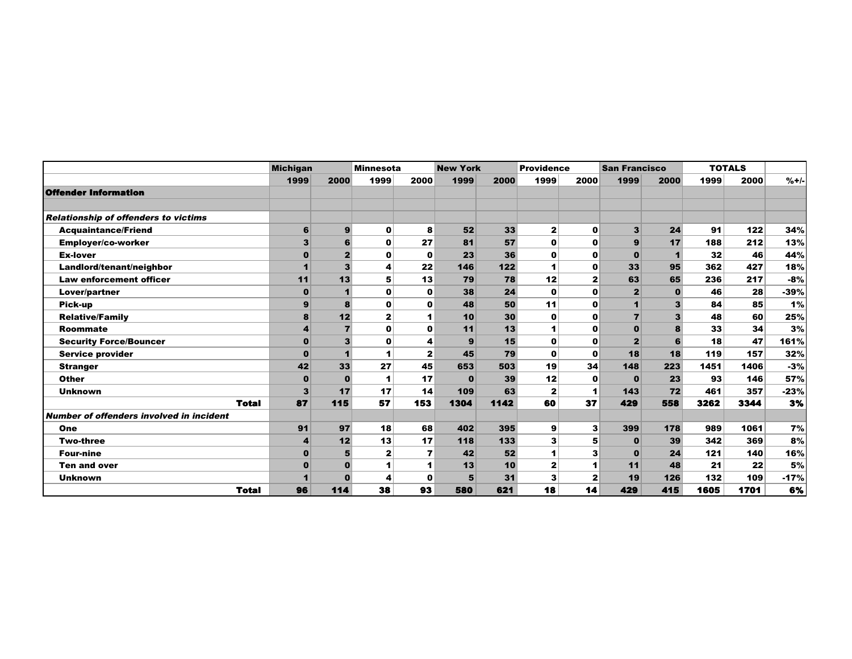|                                                 | <b>Michigan</b> |              | <b>Minnesota</b> |              | <b>New York</b> |      | <b>Providence</b> |              | <b>San Francisco</b> |                         |      | <b>TOTALS</b> |        |
|-------------------------------------------------|-----------------|--------------|------------------|--------------|-----------------|------|-------------------|--------------|----------------------|-------------------------|------|---------------|--------|
|                                                 | 1999            | 2000         | 1999             | 2000         | 1999            | 2000 | 1999              | 2000         | 1999                 | 2000                    | 1999 | 2000          | $%+/-$ |
| <b>Offender Information</b>                     |                 |              |                  |              |                 |      |                   |              |                      |                         |      |               |        |
|                                                 |                 |              |                  |              |                 |      |                   |              |                      |                         |      |               |        |
| <b>Relationship of offenders to victims</b>     |                 |              |                  |              |                 |      |                   |              |                      |                         |      |               |        |
| <b>Acquaintance/Friend</b>                      | 6               | 9            | $\mathbf 0$      | 8            | 52              | 33   | $\mathbf{2}$      | $\mathbf 0$  | $\mathbf{3}$         | 24                      | 91   | 122           | 34%    |
| <b>Employer/co-worker</b>                       | 3               | 6            | $\mathbf o$      | 27           | 81              | 57   | $\mathbf o$       | $\mathbf 0$  | 9                    | 17                      | 188  | 212           | 13%    |
| <b>Ex-lover</b>                                 | $\bf{0}$        | $\mathbf{2}$ | 0                | $\mathbf 0$  | 23              | 36   | $\mathbf 0$       | 0            | $\mathbf 0$          | $\blacktriangleleft$    | 32   | 46            | 44%    |
| Landlord/tenant/neighbor                        |                 | 3            | 4                | 22           | 146             | 122  | 1                 | $\mathbf 0$  | 33                   | 95                      | 362  | 427           | 18%    |
| <b>Law enforcement officer</b>                  | 11              | 13           | 5                | 13           | 79              | 78   | 12                | $\mathbf{z}$ | 63                   | 65                      | 236  | 217           | $-8%$  |
| Lover/partner                                   | 0               |              | $\mathbf 0$      | 0            | 38              | 24   | 0                 | $\mathbf{o}$ | $\mathbf{2}$         | $\mathbf{o}$            | 46   | 28            | $-39%$ |
| <b>Pick-up</b>                                  | 9               | 8            | $\mathbf{0}$     | $\mathbf 0$  | 48              | 50   | 11                | $\mathbf o$  | $\mathbf{1}$         | $\overline{\mathbf{3}}$ | 84   | 85            | 1%     |
| <b>Relative/Family</b>                          | 8               | 12           | $\mathbf{2}$     | 1            | 10              | 30   | 0                 | 0            | $\overline{7}$       | 3                       | 48   | 60            | 25%    |
| <b>Roommate</b>                                 |                 |              | $\mathbf{0}$     | $\mathbf{0}$ | 11              | 13   | 1                 | $\mathbf 0$  | $\mathbf 0$          | 8                       | 33   | 34            | 3%     |
| <b>Security Force/Bouncer</b>                   | $\bf{0}$        | 3            | $\mathbf{0}$     | 4            | 9               | 15   | $\mathbf 0$       | $\mathbf 0$  | $\overline{2}$       | 6                       | 18   | 47            | 161%   |
| <b>Service provider</b>                         |                 |              |                  | $\mathbf{2}$ | 45              | 79   | $\mathbf o$       | $\mathbf{o}$ | 18                   | 18                      | 119  | 157           | 32%    |
| <b>Stranger</b>                                 | 42              | 33           | 27               | 45           | 653             | 503  | 19                | 34           | 148                  | 223                     | 1451 | 1406          | $-3%$  |
| <b>Other</b>                                    | $\bf{0}$        | O            | 1                | 17           | $\bf{0}$        | 39   | 12                | $\mathbf 0$  | $\bf{0}$             | 23                      | 93   | 146           | 57%    |
| <b>Unknown</b>                                  | 3               | 17           | 17               | 14           | 109             | 63   | $\mathbf{z}$      | 1            | 143                  | 72                      | 461  | 357           | $-23%$ |
| <b>Total</b>                                    | 87              | 115          | 57               | 153          | 1304            | 1142 | 60                | 37           | 429                  | 558                     | 3262 | 3344          | 3%     |
| <b>Number of offenders involved in incident</b> |                 |              |                  |              |                 |      |                   |              |                      |                         |      |               |        |
| One                                             | 91              | 97           | 18               | 68           | 402             | 395  | 9                 | 3            | 399                  | 178                     | 989  | 1061          | 7%     |
| <b>Two-three</b>                                | 4               | 12           | 13               | 17           | 118             | 133  | 3                 | 5            | $\bf{0}$             | 39                      | 342  | 369           | 8%     |
| <b>Four-nine</b>                                |                 |              | $\mathbf{2}$     | 7            | 42              | 52   | 1                 | 3            | $\bf{0}$             | 24                      | 121  | 140           | 16%    |
| <b>Ten and over</b>                             |                 |              |                  |              | 13              | 10   | 2                 | 1            | 11                   | 48                      | 21   | 22            | 5%     |
| <b>Unknown</b>                                  |                 | $\bf{0}$     | 4                | $\mathbf 0$  | 5               | 31   | 3                 | $\mathbf{2}$ | 19                   | 126                     | 132  | 109           | $-17%$ |
| <b>Total</b>                                    | 96              | 114          | 38               | 93           | 580             | 621  | 18                | 14           | 429                  | 415                     | 1605 | 1701          | 6%     |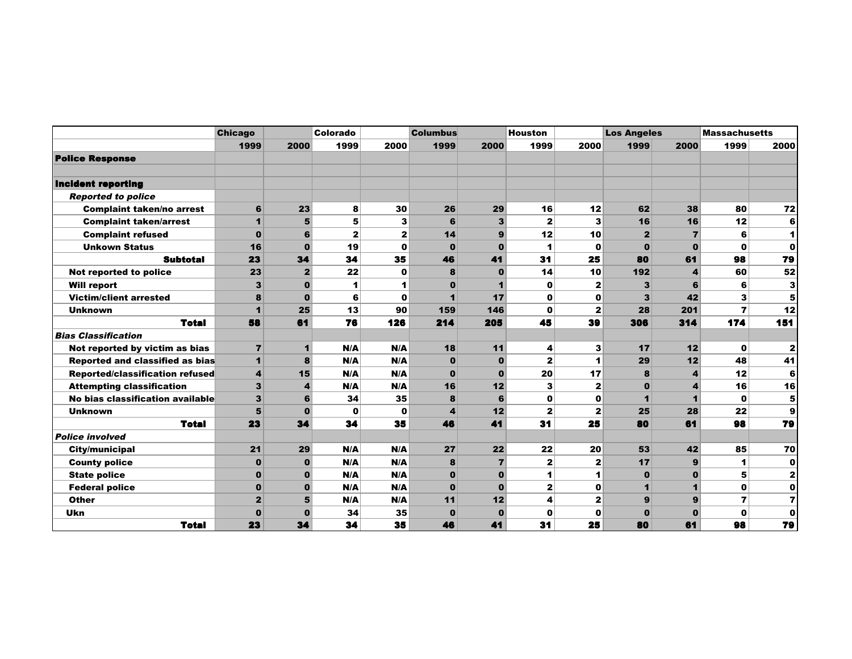|                                        | <b>Chicago</b>          |                | Colorado     |                | <b>Columbus</b>         |                | <b>Houston</b> |                      | <b>Los Angeles</b>   |                         | <b>Massachusetts</b> |                         |
|----------------------------------------|-------------------------|----------------|--------------|----------------|-------------------------|----------------|----------------|----------------------|----------------------|-------------------------|----------------------|-------------------------|
|                                        | 1999                    | 2000           | 1999         | 2000           | 1999                    | 2000           | 1999           | 2000                 | 1999                 | 2000                    | 1999                 | 2000                    |
| <b>Police Response</b>                 |                         |                |              |                |                         |                |                |                      |                      |                         |                      |                         |
|                                        |                         |                |              |                |                         |                |                |                      |                      |                         |                      |                         |
| Incident reporting                     |                         |                |              |                |                         |                |                |                      |                      |                         |                      |                         |
| <b>Reported to police</b>              |                         |                |              |                |                         |                |                |                      |                      |                         |                      |                         |
| <b>Complaint taken/no arrest</b>       | 6                       | 23             | 8            | 30             | 26                      | 29             | 16             | 12                   | 62                   | 38                      | 80                   | 72                      |
| <b>Complaint taken/arrest</b>          | $\mathbf{1}$            | 5              | 5            | 3              | 6                       | 3              | 2              | 3                    | 16                   | 16                      | 12                   | 6                       |
| <b>Complaint refused</b>               | $\bf{0}$                | 6              | $\mathbf{z}$ | $\overline{2}$ | 14                      | 9              | 12             | 10                   | $\mathbf{2}$         | 7                       | 6                    | $\blacktriangleleft$    |
| <b>Unkown Status</b>                   | 16                      | $\mathbf{0}$   | 19           | $\mathbf 0$    | $\bf{0}$                | $\Omega$       | 1              | $\mathbf 0$          | $\Omega$             | $\mathbf{0}$            | $\mathbf{0}$         | $\mathbf 0$             |
| <b>Subtotal</b>                        | 23                      | 34             | 34           | 35             | 46                      | 41             | 31             | 25                   | 80                   | 61                      | 98                   | 79                      |
| Not reported to police                 | 23                      | $\overline{2}$ | 22           | $\mathbf 0$    | 8                       | $\bf{0}$       | 14             | 10                   | 192                  | 4                       | 60                   | 52                      |
| <b>Will report</b>                     | 3                       | $\bf{0}$       | 1            | 1              | $\bf{0}$                |                | 0              | $\mathbf{z}$         | 3                    | 6                       | 6                    | 3                       |
| <b>Victim/client arrested</b>          | 8                       | $\bf{0}$       | 6            | $\mathbf 0$    | $\blacksquare$          | 17             | 0              | 0                    | 3                    | 42                      | 3                    | 5                       |
| <b>Unknown</b>                         | $\mathbf{1}$            | 25             | 13           | 90             | 159                     | 146            | $\mathbf{0}$   | $\mathbf{z}$         | 28                   | 201                     | $\overline{7}$       | 12                      |
| <b>Total</b>                           | 58                      | 61             | 76           | 126            | 214                     | 205            | 45             | 39                   | 306                  | 314                     | 174                  | 151                     |
| <b>Bias Classification</b>             |                         |                |              |                |                         |                |                |                      |                      |                         |                      |                         |
| Not reported by victim as bias         | $\overline{7}$          | $\blacksquare$ | N/A          | N/A            | 18                      | 11             | 4              | 3                    | 17                   | 12                      | $\mathbf 0$          | $\mathbf{2}$            |
| <b>Reported and classified as bias</b> | $\mathbf{1}$            | 8              | N/A          | N/A            | $\bf{0}$                | $\mathbf{0}$   | $\mathbf{z}$   | $\blacktriangleleft$ | 29                   | 12                      | 48                   | 41                      |
| Reported/classification refused        | $\boldsymbol{4}$        | 15             | N/A          | N/A            | $\bf{0}$                | $\mathbf{0}$   | 20             | 17                   | 8                    | $\overline{\mathbf{4}}$ | 12                   | 6                       |
| <b>Attempting classification</b>       | 3                       | 4              | N/A          | N/A            | 16                      | 12             | 3              | $\mathbf{z}$         | $\bf{0}$             | $\overline{\mathbf{4}}$ | 16                   | 16                      |
| No bias classification available       | $\overline{\mathbf{3}}$ | 6              | 34           | 35             | 8                       | 6              | 0              | 0                    | $\blacktriangleleft$ | 1                       | $\mathbf o$          | 5                       |
| <b>Unknown</b>                         | 5                       | $\bf{0}$       | $\mathbf 0$  | $\mathbf 0$    | $\overline{\mathbf{4}}$ | 12             | $\mathbf{z}$   | $\mathbf{z}$         | 25                   | 28                      | 22                   | 9                       |
| <b>Total</b>                           | 23                      | 34             | 34           | 35             | 46                      | 41             | 31             | 25                   | 80                   | 61                      | 98                   | 79                      |
| <b>Police involved</b>                 |                         |                |              |                |                         |                |                |                      |                      |                         |                      |                         |
| City/municipal                         | 21                      | 29             | N/A          | N/A            | 27                      | 22             | 22             | 20                   | 53                   | 42                      | 85                   | 70                      |
| <b>County police</b>                   | $\bf{0}$                | $\bf{0}$       | N/A          | N/A            | 8                       | $\overline{7}$ | 2              | $\mathbf{z}$         | 17                   | 9                       | 1                    | $\mathbf 0$             |
| <b>State police</b>                    | $\bf{0}$                | $\bf{0}$       | N/A          | N/A            | $\bf{0}$                | $\mathbf{0}$   | 1              | 1                    | $\bf{0}$             | $\mathbf 0$             | 5 <sup>1</sup>       | $\overline{\mathbf{2}}$ |
| <b>Federal police</b>                  | $\bf{0}$                | $\bf{0}$       | N/A          | N/A            | $\bf{0}$                | $\mathbf{0}$   | 2              | $\mathbf 0$          | 1                    | 1                       | $\mathbf 0$          | $\mathbf 0$             |
| <b>Other</b>                           | $\mathbf{2}$            | 5              | N/A          | N/A            | 11                      | 12             | 4              | $\mathbf{z}$         | 9                    | $\mathbf{9}$            | 7                    | $\overline{7}$          |
| <b>Ukn</b>                             | $\Omega$                | $\Omega$       | 34           | 35             | $\bf{0}$                | $\bf{0}$       | O              | $\mathbf 0$          | $\Omega$             | $\bf{0}$                | $\mathbf{0}$         | $\mathbf 0$             |
| <b>Total</b>                           | 23                      | 34             | 34           | 35             | 46                      | 41             | 31             | 25                   | 80                   | 61                      | 98                   | 79                      |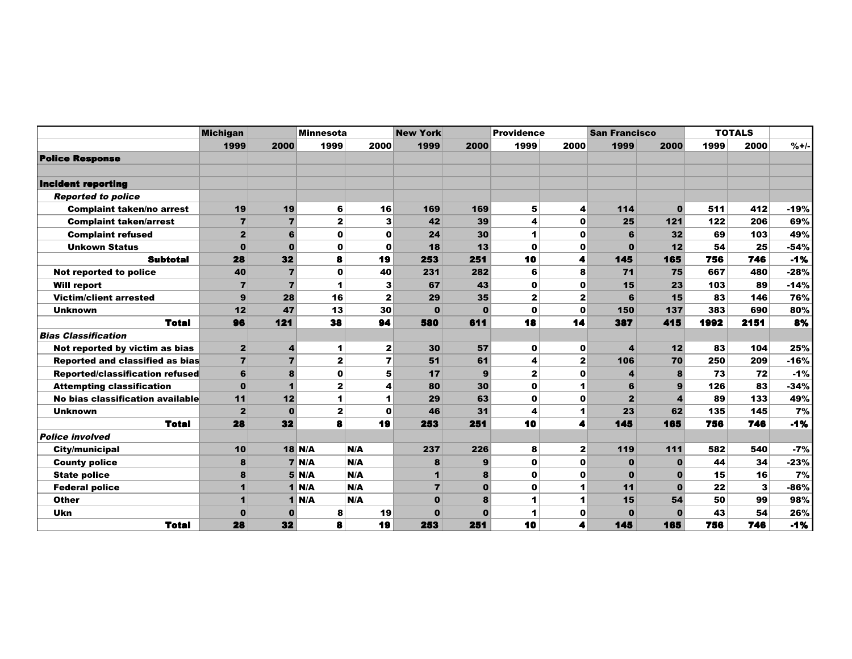|                                  | <b>Michigan</b>         |                | <b>Minnesota</b>     |                | <b>New York</b> | <b>Providence</b> |              | <b>San Francisco</b> |                  | <b>TOTALS</b> |      |      |        |
|----------------------------------|-------------------------|----------------|----------------------|----------------|-----------------|-------------------|--------------|----------------------|------------------|---------------|------|------|--------|
|                                  | 1999                    | 2000           | 1999                 | 2000           | 1999            | 2000              | 1999         | 2000                 | 1999             | 2000          | 1999 | 2000 | $%+/-$ |
| <b>Police Response</b>           |                         |                |                      |                |                 |                   |              |                      |                  |               |      |      |        |
|                                  |                         |                |                      |                |                 |                   |              |                      |                  |               |      |      |        |
| <b>Incident reporting</b>        |                         |                |                      |                |                 |                   |              |                      |                  |               |      |      |        |
| <b>Reported to police</b>        |                         |                |                      |                |                 |                   |              |                      |                  |               |      |      |        |
| <b>Complaint taken/no arrest</b> | 19                      | 19             | $6 \mid$             | 16             | 169             | 169               | 5            | 4                    | 114              | $\bf{0}$      | 511  | 412  | $-19%$ |
| <b>Complaint taken/arrest</b>    | $\overline{7}$          | $\overline{7}$ | $\mathbf{2}$         | 3              | 42              | 39                | 4            | $\mathbf 0$          | 25               | 121           | 122  | 206  | 69%    |
| <b>Complaint refused</b>         | $\mathbf{z}$            | 6              | $\mathbf 0$          | $\mathbf o$    | 24              | 30                | 1            | $\mathbf 0$          | 6                | 32            | 69   | 103  | 49%    |
| <b>Unkown Status</b>             | $\Omega$                | $\mathbf{0}$   | $\mathbf 0$          | 0              | 18              | 13                | $\Omega$     | $\mathbf 0$          | $\mathbf{0}$     | 12            | 54   | 25   | -54%   |
| <b>Subtotal</b>                  | 28                      | 32             | 8                    | 19             | 253             | 251               | 10           | 4                    | 145              | 165           | 756  | 746  | $-1%$  |
| Not reported to police           | 40                      | $\overline{7}$ | $\mathbf 0$          | 40             | 231             | 282               | 6            | 8                    | 71               | 75            | 667  | 480  | $-28%$ |
| <b>Will report</b>               | $\overline{7}$          | $\overline{7}$ | 1                    | 3              | 67              | 43                | 0            | $\mathbf o$          | 15               | 23            | 103  | 89   | $-14%$ |
| <b>Victim/client arrested</b>    | 9                       | 28             | 16                   | $\mathbf{2}$   | 29              | 35                | $\mathbf{2}$ | $\mathbf{2}$         | 6                | 15            | 83   | 146  | 76%    |
| <b>Unknown</b>                   | 12                      | 47             | 13                   | 30             | $\bf{0}$        | $\mathbf 0$       | $\bf{0}$     | $\mathbf 0$          | 150              | 137           | 383  | 690  | 80%    |
| <b>Total</b>                     | 96                      | 121            | 38                   | 94             | 580             | 611               | 18           | 14                   | 387              | 415           | 1992 | 2151 | 8%     |
| <b>Bias Classification</b>       |                         |                |                      |                |                 |                   |              |                      |                  |               |      |      |        |
| Not reported by victim as bias   | $\overline{\mathbf{2}}$ | 4              | $\mathbf{1}$         | $\mathbf{2}$   | 30              | 57                | $\bf{0}$     | 0                    | $\boldsymbol{4}$ | 12            | 83   | 104  | 25%    |
| Reported and classified as bias  | $\overline{7}$          | $\overline{7}$ | $\mathbf{2}$         | $\overline{ }$ | 51              | 61                | 4            | $\mathbf{z}$         | 106              | 70            | 250  | 209  | $-16%$ |
| Reported/classification refused  | 6                       | 8              | $\mathbf 0$          | 5              | 17              | $\mathbf{9}$      | $\mathbf{z}$ | $\mathbf 0$          | 4                | 8             | 73   | 72   | $-1%$  |
| <b>Attempting classification</b> | $\bf{0}$                | $\mathbf{1}$   | $\mathbf{2}$         | 4              | 80              | 30                | $\bf{0}$     | 1                    | 6                | $\mathbf{9}$  | 126  | 83   | -34%   |
| No bias classification available | 11                      | 12             | $\blacktriangleleft$ |                | 29              | 63                | $\mathbf 0$  | $\mathbf o$          | $\overline{2}$   |               | 89   | 133  | 49%    |
| <b>Unknown</b>                   | $\mathbf{2}$            | $\mathbf 0$    | $\mathbf{2}$         | $\mathbf 0$    | 46              | 31                | 4            | 1                    | 23               | 62            | 135  | 145  | 7%     |
| <b>Total</b>                     | 28                      | 32             | 8                    | 19             | 253             | 251               | 10           | 4                    | 145              | 165           | 756  | 746  | $-1%$  |
| <b>Police involved</b>           |                         |                |                      |                |                 |                   |              |                      |                  |               |      |      |        |
| City/municipal                   | 10                      |                | <b>18 N/A</b>        | N/A            | 237             | 226               | 8            | 2                    | 119              | 111           | 582  | 540  | $-7%$  |
| <b>County police</b>             | 8                       |                | $7$ N/A              | N/A            | 8               | 9                 | $\bf{0}$     | 0                    | $\mathbf{0}$     | $\bf{0}$      | 44   | 34   | $-23%$ |
| <b>State police</b>              | 8                       |                | $5$ N/A              | N/A            | $\blacksquare$  | 8                 | o            | $\mathbf 0$          | $\mathbf{0}$     | 0             | 15   | 16   | 7%     |
| <b>Federal police</b>            | 1                       |                | $1$ N/A              | N/A            | $\overline{7}$  | $\bf{0}$          | $\Omega$     | 1                    | 11               | $\bf{0}$      | 22   | 3    | -86%   |
| <b>Other</b>                     | 1                       |                | $1$ N/A              | N/A            | $\mathbf{0}$    | 8                 | 1            | 1                    | 15               | 54            | 50   | 99   | 98%    |
| Ukn                              | $\bf{0}$                | O              | 8                    | 19             | $\Omega$        | $\bf{0}$          |              | $\mathbf o$          | $\bf{0}$         |               | 43   | 54   | 26%    |
| <b>Total</b>                     | 28                      | 32             | 8                    | 19             | 253             | 251               | 10           | 4                    | 145              | 165           | 756  | 746  | $-1%$  |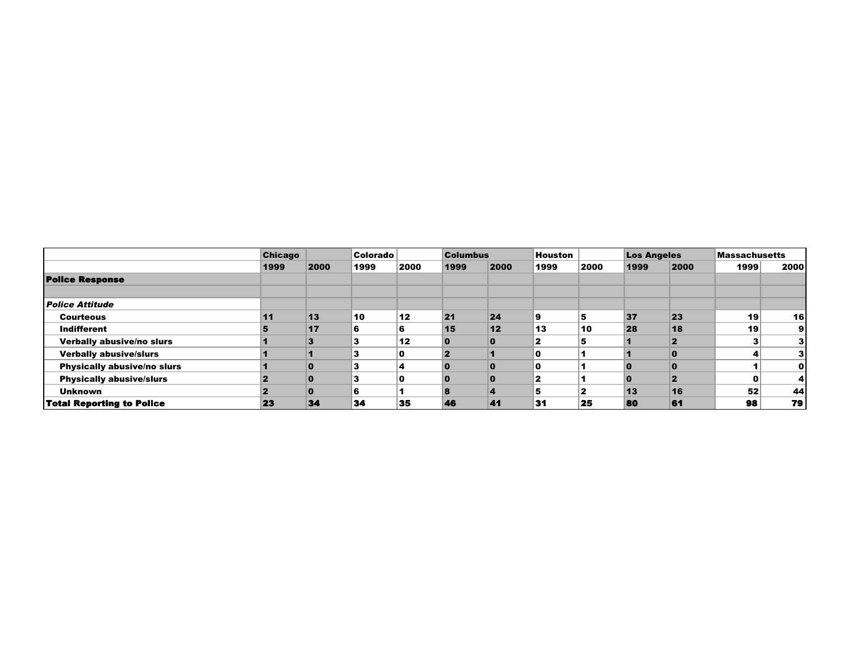|                                  | <b>Chicago</b> | 2000     | Colorado<br>1999 |      |           | <b>Columbus</b> |      |      | <b>Los Angeles</b> |      | <b>Massachusetts</b> |      |
|----------------------------------|----------------|----------|------------------|------|-----------|-----------------|------|------|--------------------|------|----------------------|------|
|                                  | 1999           |          |                  | 2000 | 1999      | 2000            | 1999 | 2000 | 1999               | 2000 | 1999                 | 2000 |
| <b>Police Response</b>           |                |          |                  |      |           |                 |      |      |                    |      |                      |      |
| <i>Police Attitude</i>           |                |          |                  |      |           |                 |      |      |                    |      |                      |      |
| <b>Courteous</b>                 | 11             | 13       | 10               | 12   | 21        | 24              | 9    |      | 37                 | 23   | 19                   | 16   |
| Indifferent                      |                | 17       | 6                | 6    | 15        | 12              | 13   | 10   | 28                 | 18   | 19                   | 9    |
| Verbally abusive/no slurs        |                |          |                  | 12   |           | 0               |      |      |                    |      |                      |      |
| <b>Verbally abusive/slurs</b>    |                |          |                  |      |           |                 |      |      |                    |      | 4                    |      |
| Physically abusive/no slurs      |                |          | 3                |      |           | 0               |      |      |                    |      |                      | 0    |
| <b>Physically abusive/slurs</b>  |                | $\bf{0}$ | 3                | n    | ŋ         | $\bf{0}$        | 2    |      |                    |      | 0                    | 4    |
| <b>Unknown</b>                   |                | $\bf{0}$ | 6                |      | $\bullet$ | 4               | 5    |      | 13                 | 16   | 52                   | 44   |
| <b>Total Reporting to Police</b> | 23             | 34       | 34               | 35   | 46        | 41              | 31   | 25   | 80                 | 61   | 98                   | 79   |